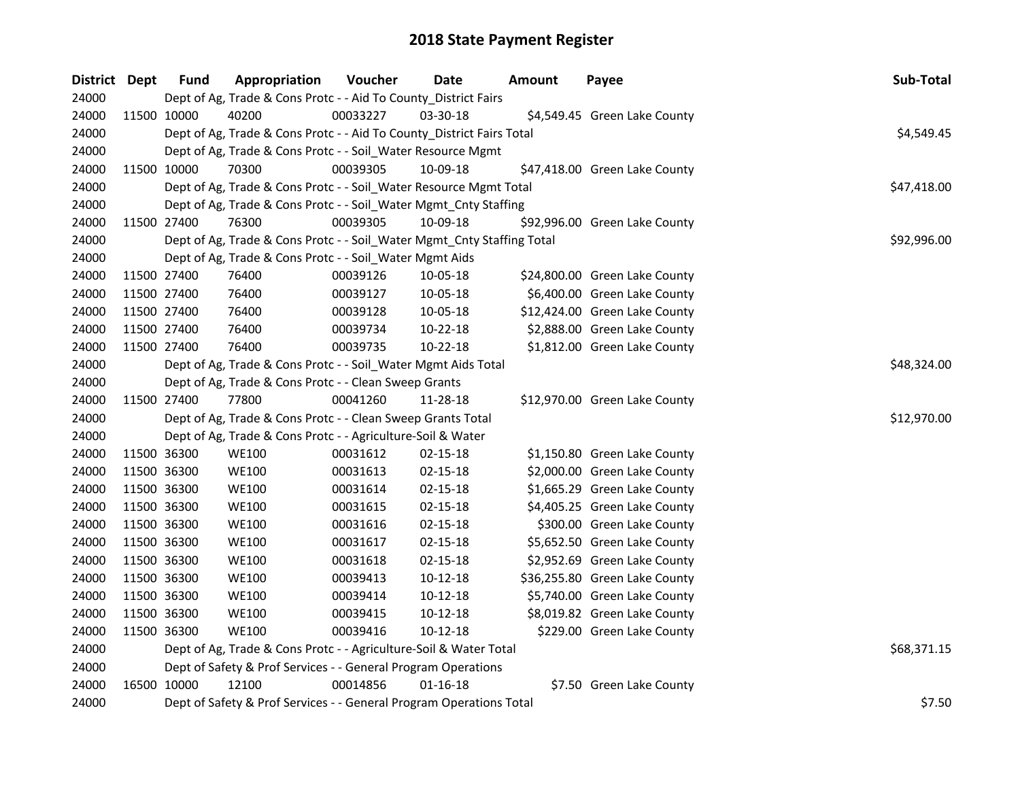| District Dept |             | <b>Fund</b> | Appropriation                                                          | Voucher  | Date           | <b>Amount</b> | Payee                         | Sub-Total   |
|---------------|-------------|-------------|------------------------------------------------------------------------|----------|----------------|---------------|-------------------------------|-------------|
| 24000         |             |             | Dept of Ag, Trade & Cons Protc - - Aid To County_District Fairs        |          |                |               |                               |             |
| 24000         | 11500 10000 |             | 40200                                                                  | 00033227 | 03-30-18       |               | \$4,549.45 Green Lake County  |             |
| 24000         |             |             | Dept of Ag, Trade & Cons Protc - - Aid To County_District Fairs Total  |          |                |               |                               | \$4,549.45  |
| 24000         |             |             | Dept of Ag, Trade & Cons Protc - - Soil_Water Resource Mgmt            |          |                |               |                               |             |
| 24000         | 11500 10000 |             | 70300                                                                  | 00039305 | 10-09-18       |               | \$47,418.00 Green Lake County |             |
| 24000         |             |             | Dept of Ag, Trade & Cons Protc - - Soil_Water Resource Mgmt Total      |          |                |               |                               | \$47,418.00 |
| 24000         |             |             | Dept of Ag, Trade & Cons Protc - - Soil_Water Mgmt_Cnty Staffing       |          |                |               |                               |             |
| 24000         | 11500 27400 |             | 76300                                                                  | 00039305 | 10-09-18       |               | \$92,996.00 Green Lake County |             |
| 24000         |             |             | Dept of Ag, Trade & Cons Protc - - Soil_Water Mgmt_Cnty Staffing Total |          |                |               |                               | \$92,996.00 |
| 24000         |             |             | Dept of Ag, Trade & Cons Protc - - Soil_Water Mgmt Aids                |          |                |               |                               |             |
| 24000         | 11500 27400 |             | 76400                                                                  | 00039126 | 10-05-18       |               | \$24,800.00 Green Lake County |             |
| 24000         | 11500 27400 |             | 76400                                                                  | 00039127 | 10-05-18       |               | \$6,400.00 Green Lake County  |             |
| 24000         | 11500 27400 |             | 76400                                                                  | 00039128 | 10-05-18       |               | \$12,424.00 Green Lake County |             |
| 24000         | 11500 27400 |             | 76400                                                                  | 00039734 | 10-22-18       |               | \$2,888.00 Green Lake County  |             |
| 24000         | 11500 27400 |             | 76400                                                                  | 00039735 | 10-22-18       |               | \$1,812.00 Green Lake County  |             |
| 24000         |             |             | Dept of Ag, Trade & Cons Protc - - Soil_Water Mgmt Aids Total          |          |                |               |                               | \$48,324.00 |
| 24000         |             |             | Dept of Ag, Trade & Cons Protc - - Clean Sweep Grants                  |          |                |               |                               |             |
| 24000         | 11500 27400 |             | 77800                                                                  | 00041260 | 11-28-18       |               | \$12,970.00 Green Lake County |             |
| 24000         |             |             | Dept of Ag, Trade & Cons Protc - - Clean Sweep Grants Total            |          |                |               |                               | \$12,970.00 |
| 24000         |             |             | Dept of Ag, Trade & Cons Protc - - Agriculture-Soil & Water            |          |                |               |                               |             |
| 24000         | 11500 36300 |             | <b>WE100</b>                                                           | 00031612 | $02 - 15 - 18$ |               | \$1,150.80 Green Lake County  |             |
| 24000         | 11500 36300 |             | <b>WE100</b>                                                           | 00031613 | 02-15-18       |               | \$2,000.00 Green Lake County  |             |
| 24000         | 11500 36300 |             | <b>WE100</b>                                                           | 00031614 | 02-15-18       |               | \$1,665.29 Green Lake County  |             |
| 24000         | 11500 36300 |             | <b>WE100</b>                                                           | 00031615 | 02-15-18       |               | \$4,405.25 Green Lake County  |             |
| 24000         | 11500 36300 |             | <b>WE100</b>                                                           | 00031616 | 02-15-18       |               | \$300.00 Green Lake County    |             |
| 24000         | 11500 36300 |             | <b>WE100</b>                                                           | 00031617 | 02-15-18       |               | \$5,652.50 Green Lake County  |             |
| 24000         | 11500 36300 |             | <b>WE100</b>                                                           | 00031618 | 02-15-18       |               | \$2,952.69 Green Lake County  |             |
| 24000         | 11500 36300 |             | <b>WE100</b>                                                           | 00039413 | 10-12-18       |               | \$36,255.80 Green Lake County |             |
| 24000         | 11500 36300 |             | <b>WE100</b>                                                           | 00039414 | 10-12-18       |               | \$5,740.00 Green Lake County  |             |
| 24000         | 11500 36300 |             | <b>WE100</b>                                                           | 00039415 | 10-12-18       |               | \$8,019.82 Green Lake County  |             |
| 24000         | 11500 36300 |             | <b>WE100</b>                                                           | 00039416 | 10-12-18       |               | \$229.00 Green Lake County    |             |
| 24000         |             |             | Dept of Ag, Trade & Cons Protc - - Agriculture-Soil & Water Total      |          |                |               |                               | \$68,371.15 |
| 24000         |             |             | Dept of Safety & Prof Services - - General Program Operations          |          |                |               |                               |             |
| 24000         | 16500 10000 |             | 12100                                                                  | 00014856 | $01 - 16 - 18$ |               | \$7.50 Green Lake County      |             |
| 24000         |             |             | Dept of Safety & Prof Services - - General Program Operations Total    |          |                |               |                               | \$7.50      |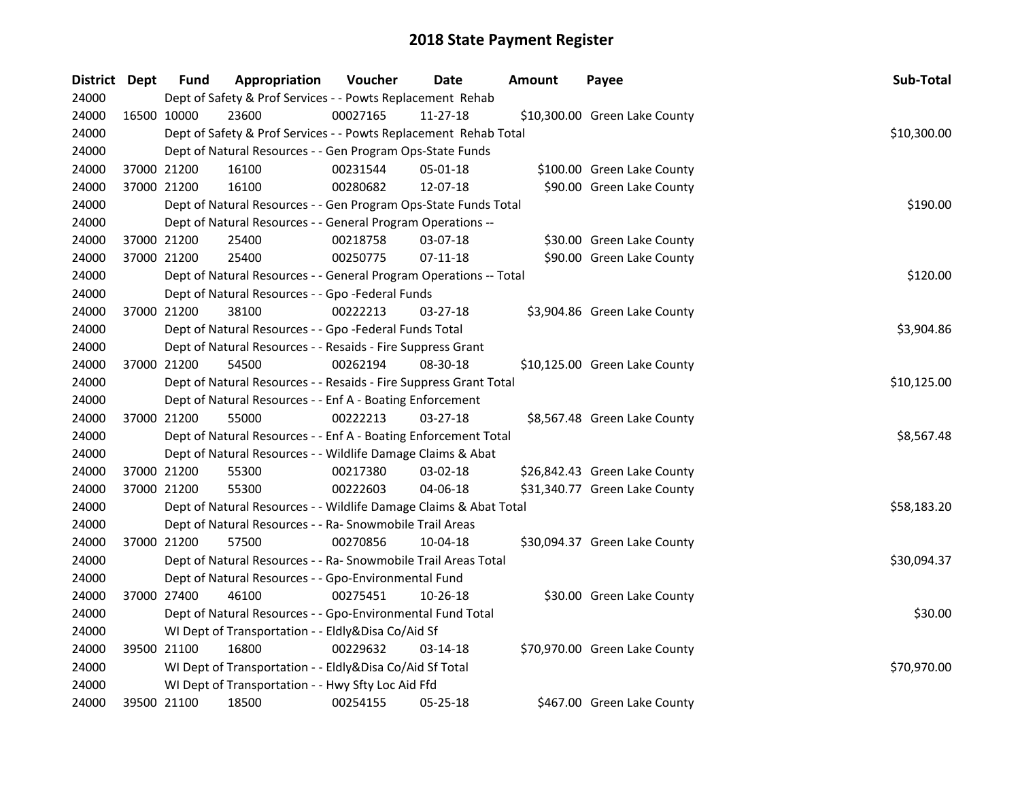| District Dept |             | <b>Fund</b> | Appropriation                                                     | Voucher  | <b>Date</b>    | <b>Amount</b> | Payee                         | Sub-Total   |
|---------------|-------------|-------------|-------------------------------------------------------------------|----------|----------------|---------------|-------------------------------|-------------|
| 24000         |             |             | Dept of Safety & Prof Services - - Powts Replacement Rehab        |          |                |               |                               |             |
| 24000         |             | 16500 10000 | 23600                                                             | 00027165 | 11-27-18       |               | \$10,300.00 Green Lake County |             |
| 24000         |             |             | Dept of Safety & Prof Services - - Powts Replacement Rehab Total  |          |                |               |                               | \$10,300.00 |
| 24000         |             |             | Dept of Natural Resources - - Gen Program Ops-State Funds         |          |                |               |                               |             |
| 24000         |             | 37000 21200 | 16100                                                             | 00231544 | 05-01-18       |               | \$100.00 Green Lake County    |             |
| 24000         |             | 37000 21200 | 16100                                                             | 00280682 | 12-07-18       |               | \$90.00 Green Lake County     |             |
| 24000         |             |             | Dept of Natural Resources - - Gen Program Ops-State Funds Total   |          |                |               |                               | \$190.00    |
| 24000         |             |             | Dept of Natural Resources - - General Program Operations --       |          |                |               |                               |             |
| 24000         |             | 37000 21200 | 25400                                                             | 00218758 | 03-07-18       |               | \$30.00 Green Lake County     |             |
| 24000         |             | 37000 21200 | 25400                                                             | 00250775 | $07-11-18$     |               | \$90.00 Green Lake County     |             |
| 24000         |             |             | Dept of Natural Resources - - General Program Operations -- Total |          |                |               |                               | \$120.00    |
| 24000         |             |             | Dept of Natural Resources - - Gpo -Federal Funds                  |          |                |               |                               |             |
| 24000         |             | 37000 21200 | 38100                                                             | 00222213 | 03-27-18       |               | \$3,904.86 Green Lake County  |             |
| 24000         |             |             | Dept of Natural Resources - - Gpo -Federal Funds Total            |          |                |               |                               | \$3,904.86  |
| 24000         |             |             | Dept of Natural Resources - - Resaids - Fire Suppress Grant       |          |                |               |                               |             |
| 24000         |             | 37000 21200 | 54500                                                             | 00262194 | 08-30-18       |               | \$10,125.00 Green Lake County |             |
| 24000         |             |             | Dept of Natural Resources - - Resaids - Fire Suppress Grant Total |          |                |               |                               | \$10,125.00 |
| 24000         |             |             | Dept of Natural Resources - - Enf A - Boating Enforcement         |          |                |               |                               |             |
| 24000         |             | 37000 21200 | 55000                                                             | 00222213 | 03-27-18       |               | \$8,567.48 Green Lake County  |             |
| 24000         |             |             | Dept of Natural Resources - - Enf A - Boating Enforcement Total   |          |                |               |                               | \$8,567.48  |
| 24000         |             |             | Dept of Natural Resources - - Wildlife Damage Claims & Abat       |          |                |               |                               |             |
| 24000         |             | 37000 21200 | 55300                                                             | 00217380 | 03-02-18       |               | \$26,842.43 Green Lake County |             |
| 24000         | 37000 21200 |             | 55300                                                             | 00222603 | 04-06-18       |               | \$31,340.77 Green Lake County |             |
| 24000         |             |             | Dept of Natural Resources - - Wildlife Damage Claims & Abat Total |          |                |               |                               | \$58,183.20 |
| 24000         |             |             | Dept of Natural Resources - - Ra- Snowmobile Trail Areas          |          |                |               |                               |             |
| 24000         |             | 37000 21200 | 57500                                                             | 00270856 | 10-04-18       |               | \$30,094.37 Green Lake County |             |
| 24000         |             |             | Dept of Natural Resources - - Ra- Snowmobile Trail Areas Total    |          |                |               |                               | \$30,094.37 |
| 24000         |             |             | Dept of Natural Resources - - Gpo-Environmental Fund              |          |                |               |                               |             |
| 24000         | 37000 27400 |             | 46100                                                             | 00275451 | $10 - 26 - 18$ |               | \$30.00 Green Lake County     |             |
| 24000         |             |             | Dept of Natural Resources - - Gpo-Environmental Fund Total        |          |                |               |                               | \$30.00     |
| 24000         |             |             | WI Dept of Transportation - - Eldly&Disa Co/Aid Sf                |          |                |               |                               |             |
| 24000         |             | 39500 21100 | 16800                                                             | 00229632 | $03 - 14 - 18$ |               | \$70,970.00 Green Lake County |             |
| 24000         |             |             | WI Dept of Transportation - - Eldly&Disa Co/Aid Sf Total          |          |                |               |                               | \$70,970.00 |
| 24000         |             |             | WI Dept of Transportation - - Hwy Sfty Loc Aid Ffd                |          |                |               |                               |             |
| 24000         |             | 39500 21100 | 18500                                                             | 00254155 | 05-25-18       |               | \$467.00 Green Lake County    |             |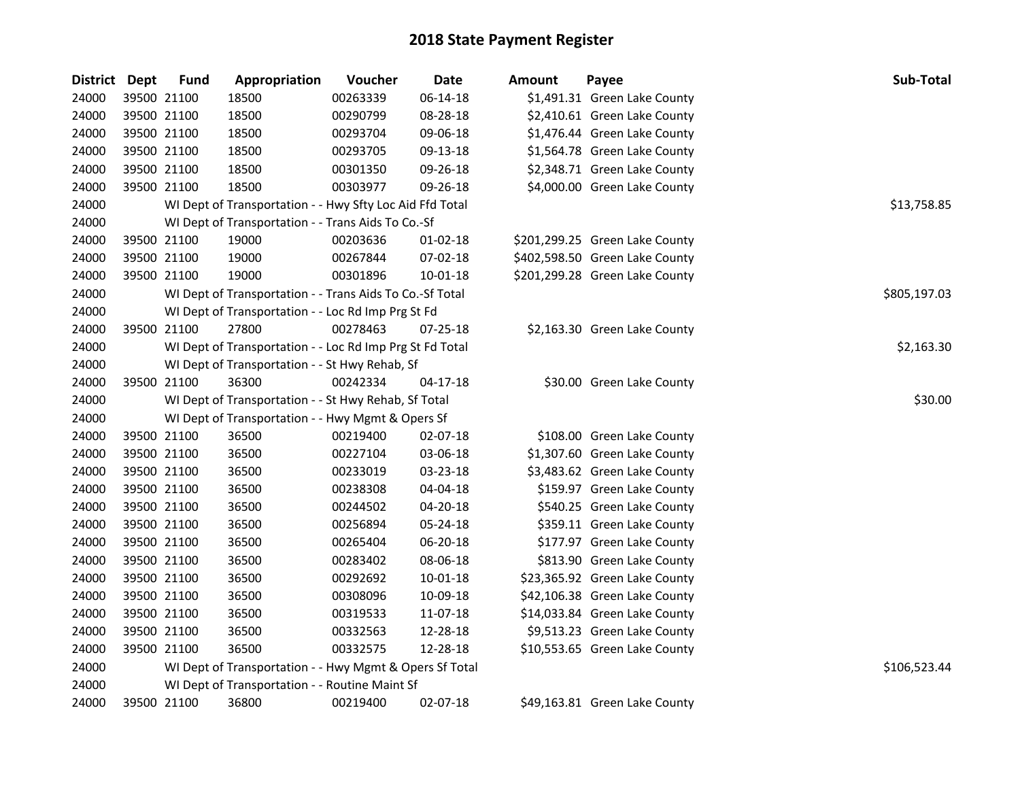| District Dept |             | <b>Fund</b> | Appropriation                                            | Voucher  | <b>Date</b>    | Amount | Payee                          | Sub-Total    |
|---------------|-------------|-------------|----------------------------------------------------------|----------|----------------|--------|--------------------------------|--------------|
| 24000         |             | 39500 21100 | 18500                                                    | 00263339 | 06-14-18       |        | \$1,491.31 Green Lake County   |              |
| 24000         |             | 39500 21100 | 18500                                                    | 00290799 | 08-28-18       |        | \$2,410.61 Green Lake County   |              |
| 24000         |             | 39500 21100 | 18500                                                    | 00293704 | 09-06-18       |        | \$1,476.44 Green Lake County   |              |
| 24000         |             | 39500 21100 | 18500                                                    | 00293705 | 09-13-18       |        | \$1,564.78 Green Lake County   |              |
| 24000         |             | 39500 21100 | 18500                                                    | 00301350 | 09-26-18       |        | \$2,348.71 Green Lake County   |              |
| 24000         |             | 39500 21100 | 18500                                                    | 00303977 | 09-26-18       |        | \$4,000.00 Green Lake County   |              |
| 24000         |             |             | WI Dept of Transportation - - Hwy Sfty Loc Aid Ffd Total |          |                |        |                                | \$13,758.85  |
| 24000         |             |             | WI Dept of Transportation - - Trans Aids To Co.-Sf       |          |                |        |                                |              |
| 24000         |             | 39500 21100 | 19000                                                    | 00203636 | $01-02-18$     |        | \$201,299.25 Green Lake County |              |
| 24000         |             | 39500 21100 | 19000                                                    | 00267844 | 07-02-18       |        | \$402,598.50 Green Lake County |              |
| 24000         |             | 39500 21100 | 19000                                                    | 00301896 | 10-01-18       |        | \$201,299.28 Green Lake County |              |
| 24000         |             |             | WI Dept of Transportation - - Trans Aids To Co.-Sf Total |          |                |        |                                | \$805,197.03 |
| 24000         |             |             | WI Dept of Transportation - - Loc Rd Imp Prg St Fd       |          |                |        |                                |              |
| 24000         |             | 39500 21100 | 27800                                                    | 00278463 | 07-25-18       |        | \$2,163.30 Green Lake County   |              |
| 24000         |             |             | WI Dept of Transportation - - Loc Rd Imp Prg St Fd Total |          |                |        |                                | \$2,163.30   |
| 24000         |             |             | WI Dept of Transportation - - St Hwy Rehab, Sf           |          |                |        |                                |              |
| 24000         |             | 39500 21100 | 36300                                                    | 00242334 | $04 - 17 - 18$ |        | \$30.00 Green Lake County      |              |
| 24000         |             |             | WI Dept of Transportation - - St Hwy Rehab, Sf Total     |          |                |        |                                | \$30.00      |
| 24000         |             |             | WI Dept of Transportation - - Hwy Mgmt & Opers Sf        |          |                |        |                                |              |
| 24000         | 39500 21100 |             | 36500                                                    | 00219400 | 02-07-18       |        | \$108.00 Green Lake County     |              |
| 24000         | 39500 21100 |             | 36500                                                    | 00227104 | 03-06-18       |        | \$1,307.60 Green Lake County   |              |
| 24000         | 39500 21100 |             | 36500                                                    | 00233019 | 03-23-18       |        | \$3,483.62 Green Lake County   |              |
| 24000         | 39500 21100 |             | 36500                                                    | 00238308 | 04-04-18       |        | \$159.97 Green Lake County     |              |
| 24000         |             | 39500 21100 | 36500                                                    | 00244502 | 04-20-18       |        | \$540.25 Green Lake County     |              |
| 24000         |             | 39500 21100 | 36500                                                    | 00256894 | 05-24-18       |        | \$359.11 Green Lake County     |              |
| 24000         |             | 39500 21100 | 36500                                                    | 00265404 | 06-20-18       |        | \$177.97 Green Lake County     |              |
| 24000         |             | 39500 21100 | 36500                                                    | 00283402 | 08-06-18       |        | \$813.90 Green Lake County     |              |
| 24000         |             | 39500 21100 | 36500                                                    | 00292692 | 10-01-18       |        | \$23,365.92 Green Lake County  |              |
| 24000         |             | 39500 21100 | 36500                                                    | 00308096 | 10-09-18       |        | \$42,106.38 Green Lake County  |              |
| 24000         |             | 39500 21100 | 36500                                                    | 00319533 | 11-07-18       |        | \$14,033.84 Green Lake County  |              |
| 24000         |             | 39500 21100 | 36500                                                    | 00332563 | 12-28-18       |        | \$9,513.23 Green Lake County   |              |
| 24000         |             | 39500 21100 | 36500                                                    | 00332575 | 12-28-18       |        | \$10,553.65 Green Lake County  |              |
| 24000         |             |             | WI Dept of Transportation - - Hwy Mgmt & Opers Sf Total  |          |                |        |                                | \$106,523.44 |
| 24000         |             |             | WI Dept of Transportation - - Routine Maint Sf           |          |                |        |                                |              |
| 24000         |             | 39500 21100 | 36800                                                    | 00219400 | 02-07-18       |        | \$49,163.81 Green Lake County  |              |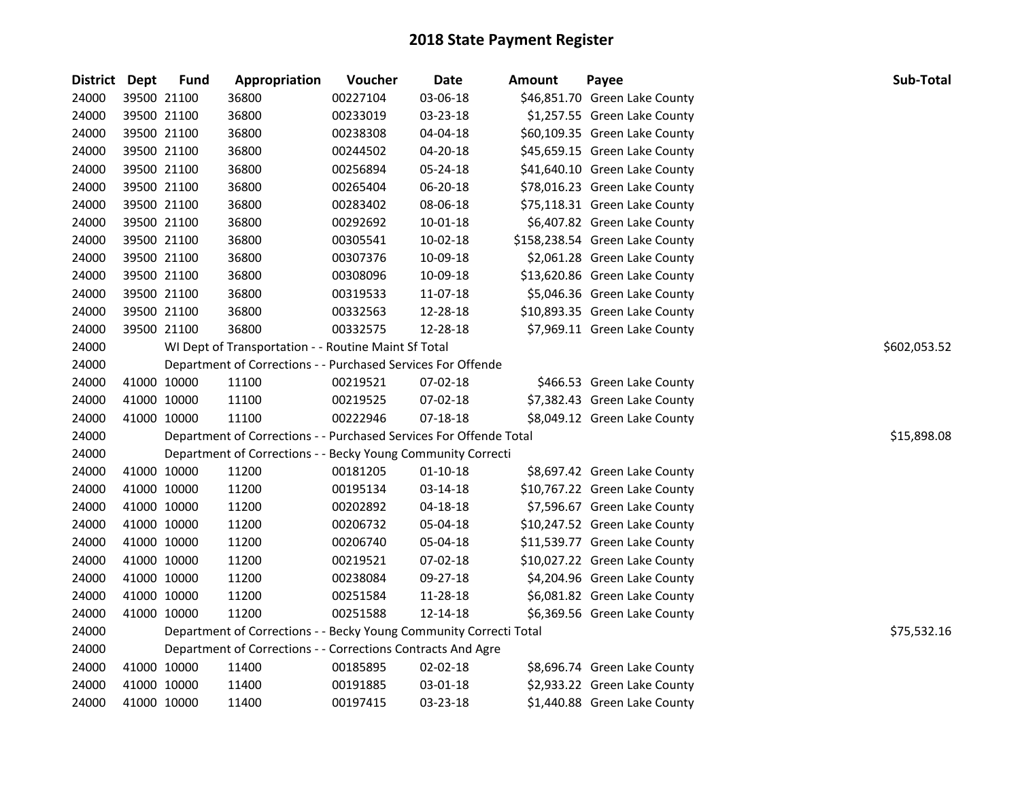| <b>District</b> | Dept | <b>Fund</b> | Appropriation                                                      | Voucher  | <b>Date</b>    | Amount | Payee                          | Sub-Total    |
|-----------------|------|-------------|--------------------------------------------------------------------|----------|----------------|--------|--------------------------------|--------------|
| 24000           |      | 39500 21100 | 36800                                                              | 00227104 | 03-06-18       |        | \$46,851.70 Green Lake County  |              |
| 24000           |      | 39500 21100 | 36800                                                              | 00233019 | 03-23-18       |        | \$1,257.55 Green Lake County   |              |
| 24000           |      | 39500 21100 | 36800                                                              | 00238308 | 04-04-18       |        | \$60,109.35 Green Lake County  |              |
| 24000           |      | 39500 21100 | 36800                                                              | 00244502 | 04-20-18       |        | \$45,659.15 Green Lake County  |              |
| 24000           |      | 39500 21100 | 36800                                                              | 00256894 | 05-24-18       |        | \$41,640.10 Green Lake County  |              |
| 24000           |      | 39500 21100 | 36800                                                              | 00265404 | 06-20-18       |        | \$78,016.23 Green Lake County  |              |
| 24000           |      | 39500 21100 | 36800                                                              | 00283402 | 08-06-18       |        | \$75,118.31 Green Lake County  |              |
| 24000           |      | 39500 21100 | 36800                                                              | 00292692 | $10 - 01 - 18$ |        | \$6,407.82 Green Lake County   |              |
| 24000           |      | 39500 21100 | 36800                                                              | 00305541 | 10-02-18       |        | \$158,238.54 Green Lake County |              |
| 24000           |      | 39500 21100 | 36800                                                              | 00307376 | 10-09-18       |        | \$2,061.28 Green Lake County   |              |
| 24000           |      | 39500 21100 | 36800                                                              | 00308096 | 10-09-18       |        | \$13,620.86 Green Lake County  |              |
| 24000           |      | 39500 21100 | 36800                                                              | 00319533 | 11-07-18       |        | \$5,046.36 Green Lake County   |              |
| 24000           |      | 39500 21100 | 36800                                                              | 00332563 | 12-28-18       |        | \$10,893.35 Green Lake County  |              |
| 24000           |      | 39500 21100 | 36800                                                              | 00332575 | 12-28-18       |        | \$7,969.11 Green Lake County   |              |
| 24000           |      |             | WI Dept of Transportation - - Routine Maint Sf Total               |          |                |        |                                | \$602,053.52 |
| 24000           |      |             | Department of Corrections - - Purchased Services For Offende       |          |                |        |                                |              |
| 24000           |      | 41000 10000 | 11100                                                              | 00219521 | 07-02-18       |        | \$466.53 Green Lake County     |              |
| 24000           |      | 41000 10000 | 11100                                                              | 00219525 | 07-02-18       |        | \$7,382.43 Green Lake County   |              |
| 24000           |      | 41000 10000 | 11100                                                              | 00222946 | 07-18-18       |        | \$8,049.12 Green Lake County   |              |
| 24000           |      |             | Department of Corrections - - Purchased Services For Offende Total |          |                |        |                                | \$15,898.08  |
| 24000           |      |             | Department of Corrections - - Becky Young Community Correcti       |          |                |        |                                |              |
| 24000           |      | 41000 10000 | 11200                                                              | 00181205 | $01-10-18$     |        | \$8,697.42 Green Lake County   |              |
| 24000           |      | 41000 10000 | 11200                                                              | 00195134 | 03-14-18       |        | \$10,767.22 Green Lake County  |              |
| 24000           |      | 41000 10000 | 11200                                                              | 00202892 | 04-18-18       |        | \$7,596.67 Green Lake County   |              |
| 24000           |      | 41000 10000 | 11200                                                              | 00206732 | 05-04-18       |        | \$10,247.52 Green Lake County  |              |
| 24000           |      | 41000 10000 | 11200                                                              | 00206740 | 05-04-18       |        | \$11,539.77 Green Lake County  |              |
| 24000           |      | 41000 10000 | 11200                                                              | 00219521 | 07-02-18       |        | \$10,027.22 Green Lake County  |              |
| 24000           |      | 41000 10000 | 11200                                                              | 00238084 | 09-27-18       |        | \$4,204.96 Green Lake County   |              |
| 24000           |      | 41000 10000 | 11200                                                              | 00251584 | 11-28-18       |        | \$6,081.82 Green Lake County   |              |
| 24000           |      | 41000 10000 | 11200                                                              | 00251588 | 12-14-18       |        | \$6,369.56 Green Lake County   |              |
| 24000           |      |             | Department of Corrections - - Becky Young Community Correcti Total |          |                |        |                                | \$75,532.16  |
| 24000           |      |             | Department of Corrections - - Corrections Contracts And Agre       |          |                |        |                                |              |
| 24000           |      | 41000 10000 | 11400                                                              | 00185895 | 02-02-18       |        | \$8,696.74 Green Lake County   |              |
| 24000           |      | 41000 10000 | 11400                                                              | 00191885 | 03-01-18       |        | \$2,933.22 Green Lake County   |              |
| 24000           |      | 41000 10000 | 11400                                                              | 00197415 | 03-23-18       |        | \$1,440.88 Green Lake County   |              |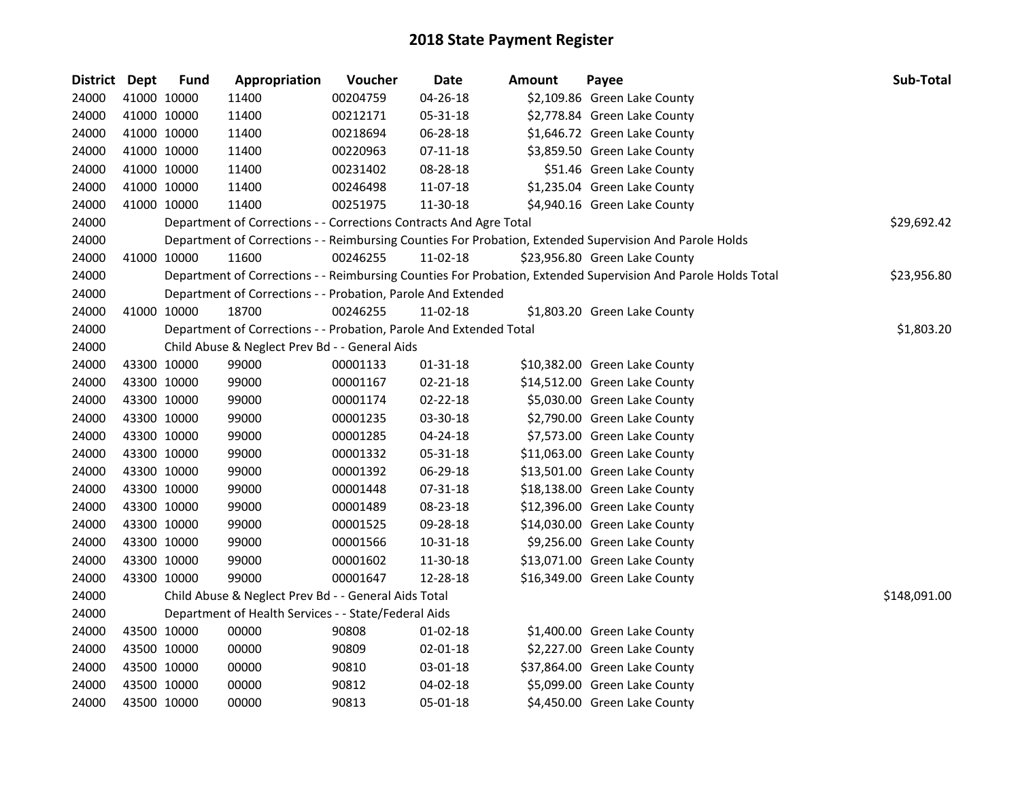| District Dept |             | <b>Fund</b> | Appropriation                                                      | Voucher  | <b>Date</b>    | <b>Amount</b> | Payee                                                                                                         | Sub-Total    |
|---------------|-------------|-------------|--------------------------------------------------------------------|----------|----------------|---------------|---------------------------------------------------------------------------------------------------------------|--------------|
| 24000         | 41000 10000 |             | 11400                                                              | 00204759 | 04-26-18       |               | \$2,109.86 Green Lake County                                                                                  |              |
| 24000         | 41000 10000 |             | 11400                                                              | 00212171 | 05-31-18       |               | \$2,778.84 Green Lake County                                                                                  |              |
| 24000         | 41000 10000 |             | 11400                                                              | 00218694 | 06-28-18       |               | \$1,646.72 Green Lake County                                                                                  |              |
| 24000         | 41000 10000 |             | 11400                                                              | 00220963 | 07-11-18       |               | \$3,859.50 Green Lake County                                                                                  |              |
| 24000         | 41000 10000 |             | 11400                                                              | 00231402 | 08-28-18       |               | \$51.46 Green Lake County                                                                                     |              |
| 24000         | 41000 10000 |             | 11400                                                              | 00246498 | 11-07-18       |               | \$1,235.04 Green Lake County                                                                                  |              |
| 24000         | 41000 10000 |             | 11400                                                              | 00251975 | 11-30-18       |               | \$4,940.16 Green Lake County                                                                                  |              |
| 24000         |             |             | Department of Corrections - - Corrections Contracts And Agre Total |          |                |               |                                                                                                               | \$29,692.42  |
| 24000         |             |             |                                                                    |          |                |               | Department of Corrections - - Reimbursing Counties For Probation, Extended Supervision And Parole Holds       |              |
| 24000         | 41000 10000 |             | 11600                                                              | 00246255 | 11-02-18       |               | \$23,956.80 Green Lake County                                                                                 |              |
| 24000         |             |             |                                                                    |          |                |               | Department of Corrections - - Reimbursing Counties For Probation, Extended Supervision And Parole Holds Total | \$23,956.80  |
| 24000         |             |             | Department of Corrections - - Probation, Parole And Extended       |          |                |               |                                                                                                               |              |
| 24000         | 41000 10000 |             | 18700                                                              | 00246255 | 11-02-18       |               | \$1,803.20 Green Lake County                                                                                  |              |
| 24000         |             |             | Department of Corrections - - Probation, Parole And Extended Total |          |                |               |                                                                                                               | \$1,803.20   |
| 24000         |             |             | Child Abuse & Neglect Prev Bd - - General Aids                     |          |                |               |                                                                                                               |              |
| 24000         | 43300 10000 |             | 99000                                                              | 00001133 | 01-31-18       |               | \$10,382.00 Green Lake County                                                                                 |              |
| 24000         | 43300 10000 |             | 99000                                                              | 00001167 | 02-21-18       |               | \$14,512.00 Green Lake County                                                                                 |              |
| 24000         | 43300 10000 |             | 99000                                                              | 00001174 | $02 - 22 - 18$ |               | \$5,030.00 Green Lake County                                                                                  |              |
| 24000         | 43300 10000 |             | 99000                                                              | 00001235 | 03-30-18       |               | \$2,790.00 Green Lake County                                                                                  |              |
| 24000         | 43300 10000 |             | 99000                                                              | 00001285 | 04-24-18       |               | \$7,573.00 Green Lake County                                                                                  |              |
| 24000         | 43300 10000 |             | 99000                                                              | 00001332 | 05-31-18       |               | \$11,063.00 Green Lake County                                                                                 |              |
| 24000         | 43300 10000 |             | 99000                                                              | 00001392 | 06-29-18       |               | \$13,501.00 Green Lake County                                                                                 |              |
| 24000         | 43300 10000 |             | 99000                                                              | 00001448 | 07-31-18       |               | \$18,138.00 Green Lake County                                                                                 |              |
| 24000         | 43300 10000 |             | 99000                                                              | 00001489 | 08-23-18       |               | \$12,396.00 Green Lake County                                                                                 |              |
| 24000         | 43300 10000 |             | 99000                                                              | 00001525 | 09-28-18       |               | \$14,030.00 Green Lake County                                                                                 |              |
| 24000         | 43300 10000 |             | 99000                                                              | 00001566 | 10-31-18       |               | \$9,256.00 Green Lake County                                                                                  |              |
| 24000         | 43300 10000 |             | 99000                                                              | 00001602 | 11-30-18       |               | \$13,071.00 Green Lake County                                                                                 |              |
| 24000         | 43300 10000 |             | 99000                                                              | 00001647 | 12-28-18       |               | \$16,349.00 Green Lake County                                                                                 |              |
| 24000         |             |             | Child Abuse & Neglect Prev Bd - - General Aids Total               |          |                |               |                                                                                                               | \$148,091.00 |
| 24000         |             |             | Department of Health Services - - State/Federal Aids               |          |                |               |                                                                                                               |              |
| 24000         | 43500 10000 |             | 00000                                                              | 90808    | 01-02-18       |               | \$1,400.00 Green Lake County                                                                                  |              |
| 24000         | 43500 10000 |             | 00000                                                              | 90809    | 02-01-18       |               | \$2,227.00 Green Lake County                                                                                  |              |
| 24000         | 43500 10000 |             | 00000                                                              | 90810    | 03-01-18       |               | \$37,864.00 Green Lake County                                                                                 |              |
| 24000         | 43500 10000 |             | 00000                                                              | 90812    | 04-02-18       |               | \$5,099.00 Green Lake County                                                                                  |              |
| 24000         | 43500 10000 |             | 00000                                                              | 90813    | 05-01-18       |               | \$4,450.00 Green Lake County                                                                                  |              |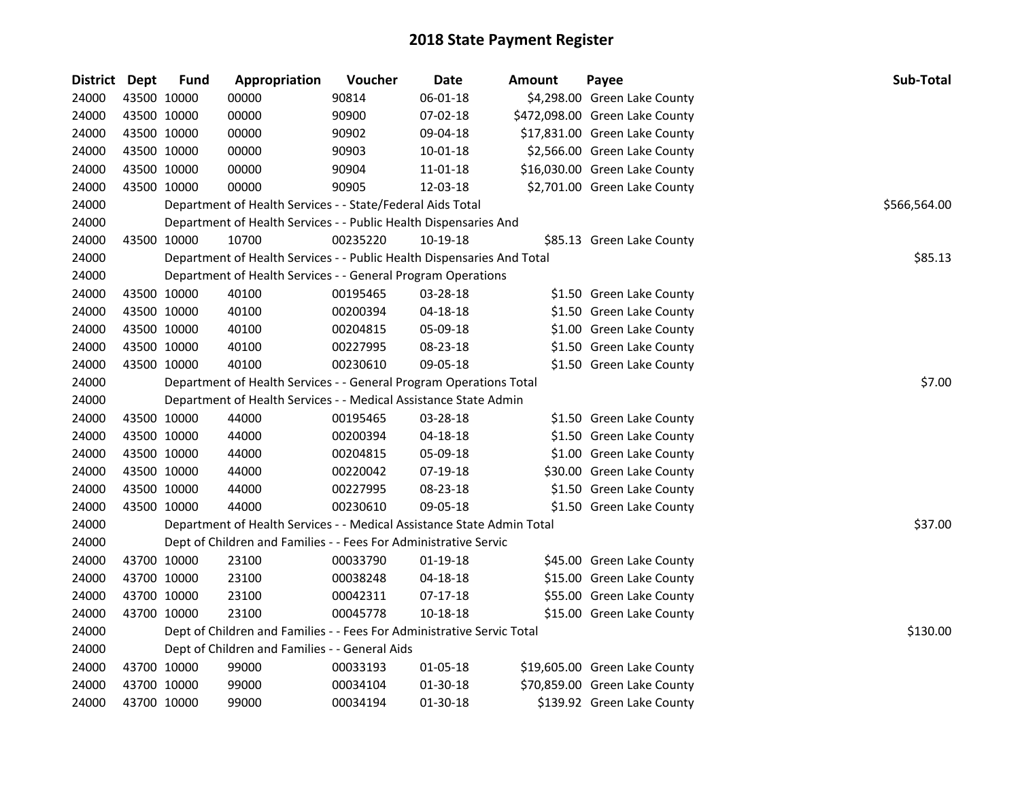| <b>District</b> | <b>Dept</b> | <b>Fund</b> | Appropriation                                                          | Voucher  | Date           | <b>Amount</b> | Payee                          | Sub-Total    |
|-----------------|-------------|-------------|------------------------------------------------------------------------|----------|----------------|---------------|--------------------------------|--------------|
| 24000           |             | 43500 10000 | 00000                                                                  | 90814    | 06-01-18       |               | \$4,298.00 Green Lake County   |              |
| 24000           |             | 43500 10000 | 00000                                                                  | 90900    | 07-02-18       |               | \$472,098.00 Green Lake County |              |
| 24000           |             | 43500 10000 | 00000                                                                  | 90902    | 09-04-18       |               | \$17,831.00 Green Lake County  |              |
| 24000           |             | 43500 10000 | 00000                                                                  | 90903    | 10-01-18       |               | \$2,566.00 Green Lake County   |              |
| 24000           |             | 43500 10000 | 00000                                                                  | 90904    | 11-01-18       |               | \$16,030.00 Green Lake County  |              |
| 24000           |             | 43500 10000 | 00000                                                                  | 90905    | 12-03-18       |               | \$2,701.00 Green Lake County   |              |
| 24000           |             |             | Department of Health Services - - State/Federal Aids Total             |          |                |               |                                | \$566,564.00 |
| 24000           |             |             | Department of Health Services - - Public Health Dispensaries And       |          |                |               |                                |              |
| 24000           |             | 43500 10000 | 10700                                                                  | 00235220 | 10-19-18       |               | \$85.13 Green Lake County      |              |
| 24000           |             |             | Department of Health Services - - Public Health Dispensaries And Total |          |                |               |                                | \$85.13      |
| 24000           |             |             | Department of Health Services - - General Program Operations           |          |                |               |                                |              |
| 24000           |             | 43500 10000 | 40100                                                                  | 00195465 | 03-28-18       |               | \$1.50 Green Lake County       |              |
| 24000           |             | 43500 10000 | 40100                                                                  | 00200394 | 04-18-18       |               | \$1.50 Green Lake County       |              |
| 24000           |             | 43500 10000 | 40100                                                                  | 00204815 | 05-09-18       |               | \$1.00 Green Lake County       |              |
| 24000           |             | 43500 10000 | 40100                                                                  | 00227995 | 08-23-18       |               | \$1.50 Green Lake County       |              |
| 24000           | 43500 10000 |             | 40100                                                                  | 00230610 | 09-05-18       |               | \$1.50 Green Lake County       |              |
| 24000           |             |             | Department of Health Services - - General Program Operations Total     |          |                |               |                                | \$7.00       |
| 24000           |             |             | Department of Health Services - - Medical Assistance State Admin       |          |                |               |                                |              |
| 24000           |             | 43500 10000 | 44000                                                                  | 00195465 | 03-28-18       |               | \$1.50 Green Lake County       |              |
| 24000           |             | 43500 10000 | 44000                                                                  | 00200394 | 04-18-18       |               | \$1.50 Green Lake County       |              |
| 24000           |             | 43500 10000 | 44000                                                                  | 00204815 | 05-09-18       |               | \$1.00 Green Lake County       |              |
| 24000           |             | 43500 10000 | 44000                                                                  | 00220042 | 07-19-18       |               | \$30.00 Green Lake County      |              |
| 24000           |             | 43500 10000 | 44000                                                                  | 00227995 | 08-23-18       |               | \$1.50 Green Lake County       |              |
| 24000           |             | 43500 10000 | 44000                                                                  | 00230610 | 09-05-18       |               | \$1.50 Green Lake County       |              |
| 24000           |             |             | Department of Health Services - - Medical Assistance State Admin Total |          |                |               |                                | \$37.00      |
| 24000           |             |             | Dept of Children and Families - - Fees For Administrative Servic       |          |                |               |                                |              |
| 24000           |             | 43700 10000 | 23100                                                                  | 00033790 | $01 - 19 - 18$ |               | \$45.00 Green Lake County      |              |
| 24000           |             | 43700 10000 | 23100                                                                  | 00038248 | 04-18-18       |               | \$15.00 Green Lake County      |              |
| 24000           |             | 43700 10000 | 23100                                                                  | 00042311 | 07-17-18       |               | \$55.00 Green Lake County      |              |
| 24000           | 43700 10000 |             | 23100                                                                  | 00045778 | 10-18-18       |               | \$15.00 Green Lake County      |              |
| 24000           |             |             | Dept of Children and Families - - Fees For Administrative Servic Total |          |                |               |                                | \$130.00     |
| 24000           |             |             | Dept of Children and Families - - General Aids                         |          |                |               |                                |              |
| 24000           |             | 43700 10000 | 99000                                                                  | 00033193 | 01-05-18       |               | \$19,605.00 Green Lake County  |              |
| 24000           |             | 43700 10000 | 99000                                                                  | 00034104 | 01-30-18       |               | \$70,859.00 Green Lake County  |              |
| 24000           | 43700 10000 |             | 99000                                                                  | 00034194 | 01-30-18       |               | \$139.92 Green Lake County     |              |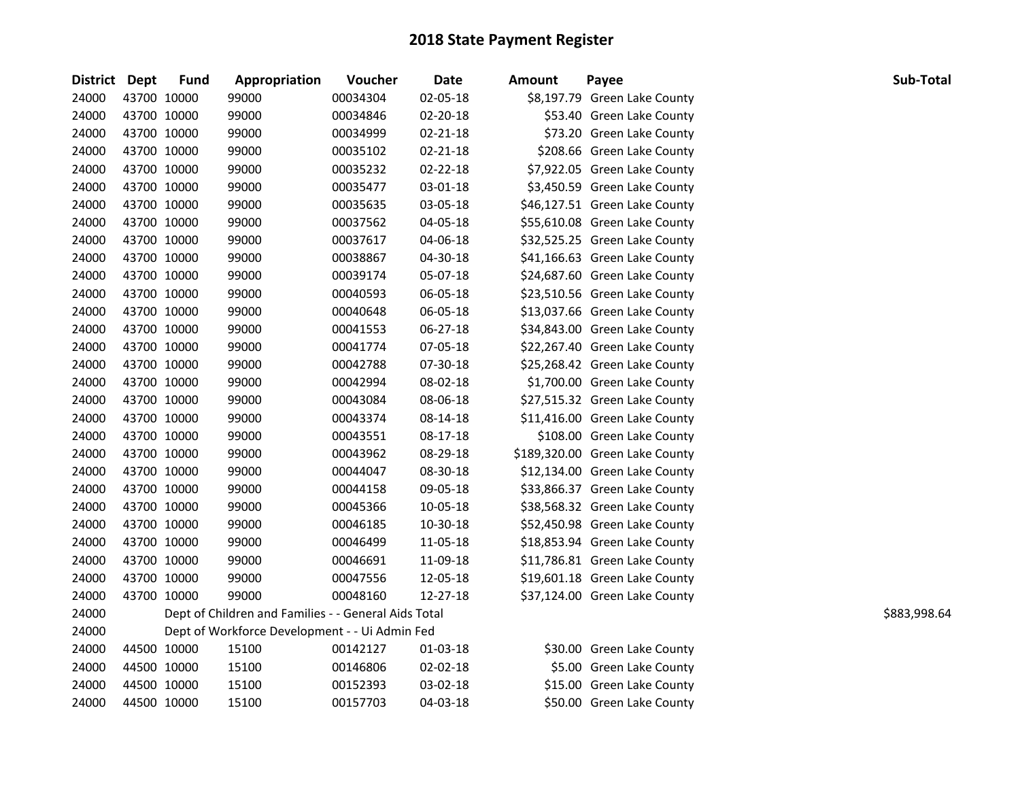| District Dept |             | <b>Fund</b> | Appropriation                                        | Voucher  | Date     | <b>Amount</b> | Payee                          | Sub-Total    |
|---------------|-------------|-------------|------------------------------------------------------|----------|----------|---------------|--------------------------------|--------------|
| 24000         | 43700 10000 |             | 99000                                                | 00034304 | 02-05-18 |               | \$8,197.79 Green Lake County   |              |
| 24000         | 43700 10000 |             | 99000                                                | 00034846 | 02-20-18 |               | \$53.40 Green Lake County      |              |
| 24000         | 43700 10000 |             | 99000                                                | 00034999 | 02-21-18 |               | \$73.20 Green Lake County      |              |
| 24000         | 43700 10000 |             | 99000                                                | 00035102 | 02-21-18 |               | \$208.66 Green Lake County     |              |
| 24000         | 43700 10000 |             | 99000                                                | 00035232 | 02-22-18 |               | \$7,922.05 Green Lake County   |              |
| 24000         | 43700 10000 |             | 99000                                                | 00035477 | 03-01-18 |               | \$3,450.59 Green Lake County   |              |
| 24000         | 43700 10000 |             | 99000                                                | 00035635 | 03-05-18 |               | \$46,127.51 Green Lake County  |              |
| 24000         | 43700 10000 |             | 99000                                                | 00037562 | 04-05-18 |               | \$55,610.08 Green Lake County  |              |
| 24000         | 43700 10000 |             | 99000                                                | 00037617 | 04-06-18 |               | \$32,525.25 Green Lake County  |              |
| 24000         | 43700 10000 |             | 99000                                                | 00038867 | 04-30-18 |               | \$41,166.63 Green Lake County  |              |
| 24000         | 43700 10000 |             | 99000                                                | 00039174 | 05-07-18 |               | \$24,687.60 Green Lake County  |              |
| 24000         | 43700 10000 |             | 99000                                                | 00040593 | 06-05-18 |               | \$23,510.56 Green Lake County  |              |
| 24000         | 43700 10000 |             | 99000                                                | 00040648 | 06-05-18 |               | \$13,037.66 Green Lake County  |              |
| 24000         | 43700 10000 |             | 99000                                                | 00041553 | 06-27-18 |               | \$34,843.00 Green Lake County  |              |
| 24000         | 43700 10000 |             | 99000                                                | 00041774 | 07-05-18 |               | \$22,267.40 Green Lake County  |              |
| 24000         | 43700 10000 |             | 99000                                                | 00042788 | 07-30-18 |               | \$25,268.42 Green Lake County  |              |
| 24000         | 43700 10000 |             | 99000                                                | 00042994 | 08-02-18 |               | \$1,700.00 Green Lake County   |              |
| 24000         | 43700 10000 |             | 99000                                                | 00043084 | 08-06-18 |               | \$27,515.32 Green Lake County  |              |
| 24000         | 43700 10000 |             | 99000                                                | 00043374 | 08-14-18 |               | \$11,416.00 Green Lake County  |              |
| 24000         | 43700 10000 |             | 99000                                                | 00043551 | 08-17-18 |               | \$108.00 Green Lake County     |              |
| 24000         | 43700 10000 |             | 99000                                                | 00043962 | 08-29-18 |               | \$189,320.00 Green Lake County |              |
| 24000         | 43700 10000 |             | 99000                                                | 00044047 | 08-30-18 |               | \$12,134.00 Green Lake County  |              |
| 24000         | 43700 10000 |             | 99000                                                | 00044158 | 09-05-18 |               | \$33,866.37 Green Lake County  |              |
| 24000         | 43700 10000 |             | 99000                                                | 00045366 | 10-05-18 |               | \$38,568.32 Green Lake County  |              |
| 24000         | 43700 10000 |             | 99000                                                | 00046185 | 10-30-18 |               | \$52,450.98 Green Lake County  |              |
| 24000         | 43700 10000 |             | 99000                                                | 00046499 | 11-05-18 |               | \$18,853.94 Green Lake County  |              |
| 24000         | 43700 10000 |             | 99000                                                | 00046691 | 11-09-18 |               | \$11,786.81 Green Lake County  |              |
| 24000         | 43700 10000 |             | 99000                                                | 00047556 | 12-05-18 |               | \$19,601.18 Green Lake County  |              |
| 24000         | 43700 10000 |             | 99000                                                | 00048160 | 12-27-18 |               | \$37,124.00 Green Lake County  |              |
| 24000         |             |             | Dept of Children and Families - - General Aids Total |          |          |               |                                | \$883,998.64 |
| 24000         |             |             | Dept of Workforce Development - - Ui Admin Fed       |          |          |               |                                |              |
| 24000         | 44500 10000 |             | 15100                                                | 00142127 | 01-03-18 |               | \$30.00 Green Lake County      |              |
| 24000         | 44500 10000 |             | 15100                                                | 00146806 | 02-02-18 |               | \$5.00 Green Lake County       |              |
| 24000         | 44500 10000 |             | 15100                                                | 00152393 | 03-02-18 |               | \$15.00 Green Lake County      |              |
| 24000         | 44500 10000 |             | 15100                                                | 00157703 | 04-03-18 |               | \$50.00 Green Lake County      |              |
|               |             |             |                                                      |          |          |               |                                |              |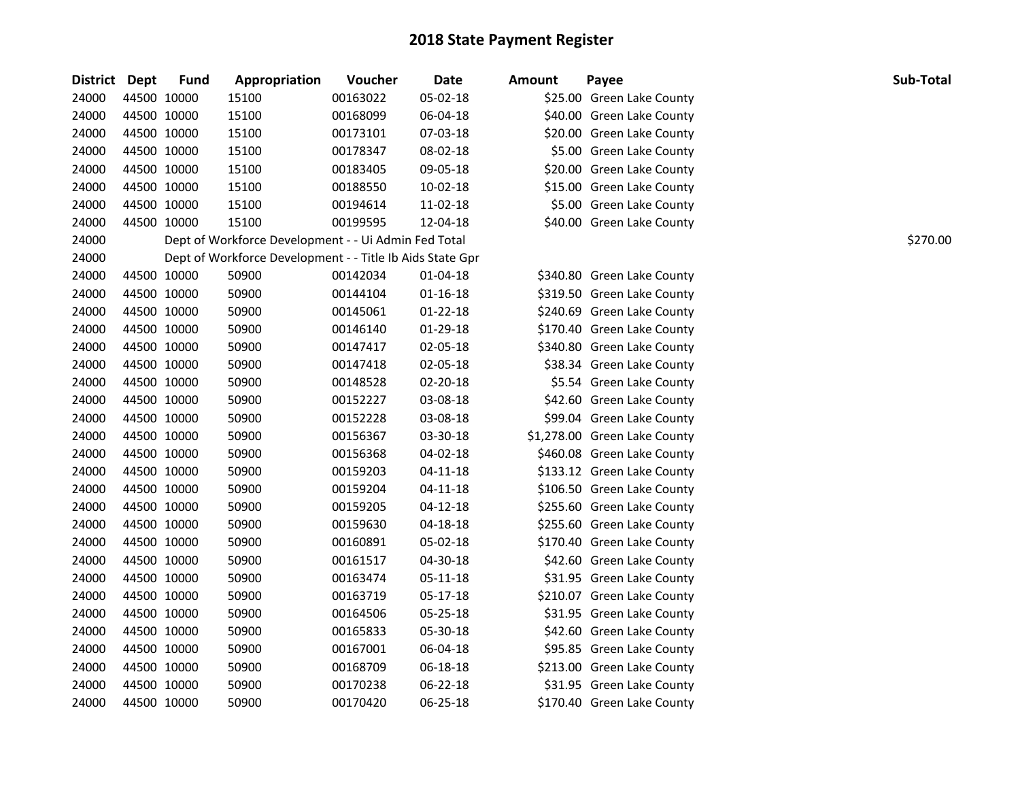| District Dept |             | <b>Fund</b> | Appropriation                                             | Voucher  | <b>Date</b>    | <b>Amount</b> | Payee                        | Sub-Total |
|---------------|-------------|-------------|-----------------------------------------------------------|----------|----------------|---------------|------------------------------|-----------|
| 24000         | 44500 10000 |             | 15100                                                     | 00163022 | 05-02-18       |               | \$25.00 Green Lake County    |           |
| 24000         | 44500 10000 |             | 15100                                                     | 00168099 | 06-04-18       |               | \$40.00 Green Lake County    |           |
| 24000         | 44500 10000 |             | 15100                                                     | 00173101 | 07-03-18       |               | \$20.00 Green Lake County    |           |
| 24000         | 44500 10000 |             | 15100                                                     | 00178347 | 08-02-18       |               | \$5.00 Green Lake County     |           |
| 24000         | 44500 10000 |             | 15100                                                     | 00183405 | 09-05-18       |               | \$20.00 Green Lake County    |           |
| 24000         | 44500 10000 |             | 15100                                                     | 00188550 | 10-02-18       |               | \$15.00 Green Lake County    |           |
| 24000         | 44500 10000 |             | 15100                                                     | 00194614 | 11-02-18       |               | \$5.00 Green Lake County     |           |
| 24000         | 44500 10000 |             | 15100                                                     | 00199595 | 12-04-18       |               | \$40.00 Green Lake County    |           |
| 24000         |             |             | Dept of Workforce Development - - Ui Admin Fed Total      |          |                |               |                              | \$270.00  |
| 24000         |             |             | Dept of Workforce Development - - Title Ib Aids State Gpr |          |                |               |                              |           |
| 24000         | 44500 10000 |             | 50900                                                     | 00142034 | 01-04-18       |               | \$340.80 Green Lake County   |           |
| 24000         | 44500 10000 |             | 50900                                                     | 00144104 | 01-16-18       |               | \$319.50 Green Lake County   |           |
| 24000         | 44500 10000 |             | 50900                                                     | 00145061 | $01 - 22 - 18$ |               | \$240.69 Green Lake County   |           |
| 24000         | 44500 10000 |             | 50900                                                     | 00146140 | 01-29-18       |               | \$170.40 Green Lake County   |           |
| 24000         | 44500 10000 |             | 50900                                                     | 00147417 | 02-05-18       |               | \$340.80 Green Lake County   |           |
| 24000         | 44500 10000 |             | 50900                                                     | 00147418 | 02-05-18       |               | \$38.34 Green Lake County    |           |
| 24000         | 44500 10000 |             | 50900                                                     | 00148528 | 02-20-18       |               | \$5.54 Green Lake County     |           |
| 24000         | 44500 10000 |             | 50900                                                     | 00152227 | 03-08-18       |               | \$42.60 Green Lake County    |           |
| 24000         | 44500 10000 |             | 50900                                                     | 00152228 | 03-08-18       |               | \$99.04 Green Lake County    |           |
| 24000         | 44500 10000 |             | 50900                                                     | 00156367 | 03-30-18       |               | \$1,278.00 Green Lake County |           |
| 24000         | 44500 10000 |             | 50900                                                     | 00156368 | 04-02-18       |               | \$460.08 Green Lake County   |           |
| 24000         | 44500 10000 |             | 50900                                                     | 00159203 | $04 - 11 - 18$ |               | \$133.12 Green Lake County   |           |
| 24000         | 44500 10000 |             | 50900                                                     | 00159204 | $04 - 11 - 18$ |               | \$106.50 Green Lake County   |           |
| 24000         | 44500 10000 |             | 50900                                                     | 00159205 | 04-12-18       |               | \$255.60 Green Lake County   |           |
| 24000         | 44500 10000 |             | 50900                                                     | 00159630 | 04-18-18       |               | \$255.60 Green Lake County   |           |
| 24000         | 44500 10000 |             | 50900                                                     | 00160891 | 05-02-18       |               | \$170.40 Green Lake County   |           |
| 24000         | 44500 10000 |             | 50900                                                     | 00161517 | 04-30-18       |               | \$42.60 Green Lake County    |           |
| 24000         | 44500 10000 |             | 50900                                                     | 00163474 | 05-11-18       |               | \$31.95 Green Lake County    |           |
| 24000         | 44500 10000 |             | 50900                                                     | 00163719 | 05-17-18       |               | \$210.07 Green Lake County   |           |
| 24000         | 44500 10000 |             | 50900                                                     | 00164506 | 05-25-18       |               | \$31.95 Green Lake County    |           |
| 24000         | 44500 10000 |             | 50900                                                     | 00165833 | 05-30-18       |               | \$42.60 Green Lake County    |           |
| 24000         | 44500 10000 |             | 50900                                                     | 00167001 | 06-04-18       |               | \$95.85 Green Lake County    |           |
| 24000         | 44500 10000 |             | 50900                                                     | 00168709 | 06-18-18       |               | \$213.00 Green Lake County   |           |
| 24000         | 44500 10000 |             | 50900                                                     | 00170238 | 06-22-18       |               | \$31.95 Green Lake County    |           |
| 24000         | 44500 10000 |             | 50900                                                     | 00170420 | 06-25-18       |               | \$170.40 Green Lake County   |           |

| $\mathbf{t}$ | Pavee                   |
|--------------|-------------------------|
|              | '5.00 Green Lake County |
|              | 0.00 Green Lake County  |
|              | 0.00 Green Lake County  |
|              | 5.00 Green Lake County  |
|              | 0.00 Green Lake County  |
|              | 5.00 Green Lake County  |
|              | 5.00 Green Lake County  |
|              | 0.00 Green Lake County  |
|              |                         |
|              |                         |
|              | 0.80 Green Lake County  |
|              | 9.50 Green Lake County  |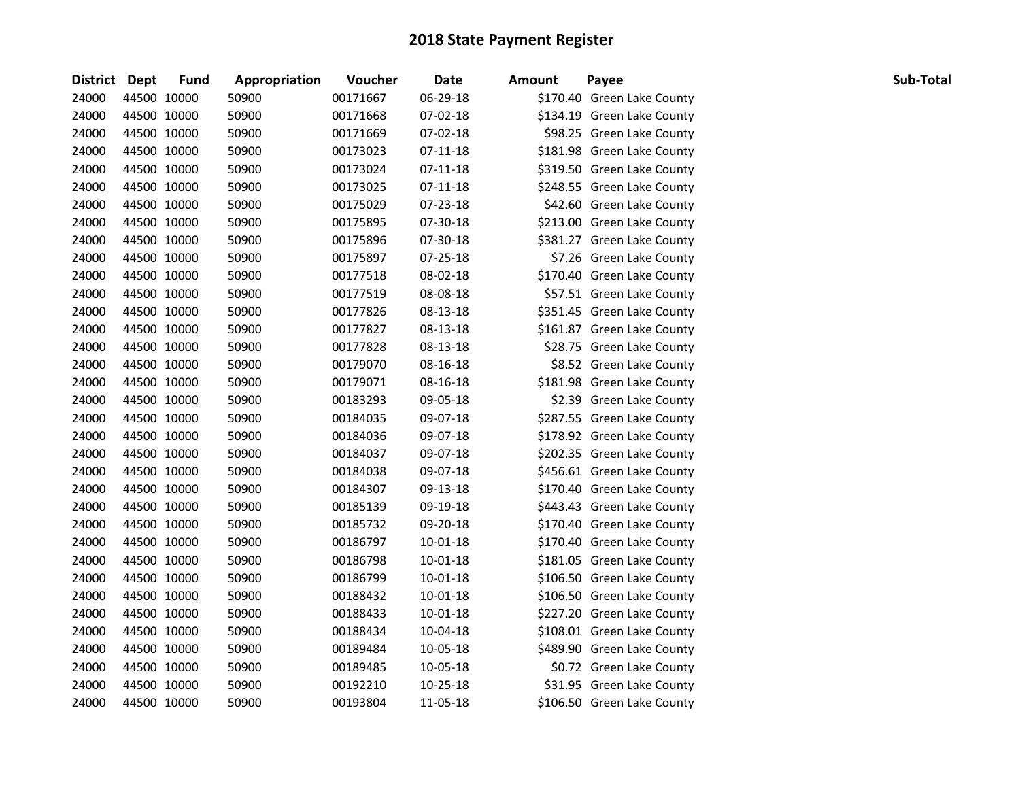| District Dept |             | <b>Fund</b> | Appropriation | Voucher  | Date     | <b>Amount</b> | Payee                      | Sub-Total |
|---------------|-------------|-------------|---------------|----------|----------|---------------|----------------------------|-----------|
| 24000         | 44500 10000 |             | 50900         | 00171667 | 06-29-18 |               | \$170.40 Green Lake County |           |
| 24000         | 44500 10000 |             | 50900         | 00171668 | 07-02-18 |               | \$134.19 Green Lake County |           |
| 24000         | 44500 10000 |             | 50900         | 00171669 | 07-02-18 |               | \$98.25 Green Lake County  |           |
| 24000         | 44500 10000 |             | 50900         | 00173023 | 07-11-18 |               | \$181.98 Green Lake County |           |
| 24000         | 44500 10000 |             | 50900         | 00173024 | 07-11-18 |               | \$319.50 Green Lake County |           |
| 24000         | 44500 10000 |             | 50900         | 00173025 | 07-11-18 |               | \$248.55 Green Lake County |           |
| 24000         | 44500 10000 |             | 50900         | 00175029 | 07-23-18 |               | \$42.60 Green Lake County  |           |
| 24000         | 44500 10000 |             | 50900         | 00175895 | 07-30-18 |               | \$213.00 Green Lake County |           |
| 24000         | 44500 10000 |             | 50900         | 00175896 | 07-30-18 |               | \$381.27 Green Lake County |           |
| 24000         | 44500 10000 |             | 50900         | 00175897 | 07-25-18 |               | \$7.26 Green Lake County   |           |
| 24000         | 44500 10000 |             | 50900         | 00177518 | 08-02-18 |               | \$170.40 Green Lake County |           |
| 24000         | 44500 10000 |             | 50900         | 00177519 | 08-08-18 |               | \$57.51 Green Lake County  |           |
| 24000         | 44500 10000 |             | 50900         | 00177826 | 08-13-18 |               | \$351.45 Green Lake County |           |
| 24000         | 44500 10000 |             | 50900         | 00177827 | 08-13-18 |               | \$161.87 Green Lake County |           |
| 24000         | 44500 10000 |             | 50900         | 00177828 | 08-13-18 |               | \$28.75 Green Lake County  |           |
| 24000         | 44500 10000 |             | 50900         | 00179070 | 08-16-18 |               | \$8.52 Green Lake County   |           |
| 24000         | 44500 10000 |             | 50900         | 00179071 | 08-16-18 |               | \$181.98 Green Lake County |           |
| 24000         | 44500 10000 |             | 50900         | 00183293 | 09-05-18 |               | \$2.39 Green Lake County   |           |
| 24000         | 44500 10000 |             | 50900         | 00184035 | 09-07-18 |               | \$287.55 Green Lake County |           |
| 24000         | 44500 10000 |             | 50900         | 00184036 | 09-07-18 |               | \$178.92 Green Lake County |           |
| 24000         | 44500 10000 |             | 50900         | 00184037 | 09-07-18 |               | \$202.35 Green Lake County |           |
| 24000         | 44500 10000 |             | 50900         | 00184038 | 09-07-18 |               | \$456.61 Green Lake County |           |
| 24000         | 44500 10000 |             | 50900         | 00184307 | 09-13-18 |               | \$170.40 Green Lake County |           |
| 24000         | 44500 10000 |             | 50900         | 00185139 | 09-19-18 |               | \$443.43 Green Lake County |           |
| 24000         | 44500 10000 |             | 50900         | 00185732 | 09-20-18 |               | \$170.40 Green Lake County |           |
| 24000         | 44500 10000 |             | 50900         | 00186797 | 10-01-18 |               | \$170.40 Green Lake County |           |
| 24000         | 44500 10000 |             | 50900         | 00186798 | 10-01-18 |               | \$181.05 Green Lake County |           |
| 24000         | 44500 10000 |             | 50900         | 00186799 | 10-01-18 |               | \$106.50 Green Lake County |           |
| 24000         | 44500 10000 |             | 50900         | 00188432 | 10-01-18 |               | \$106.50 Green Lake County |           |
| 24000         | 44500 10000 |             | 50900         | 00188433 | 10-01-18 |               | \$227.20 Green Lake County |           |
| 24000         | 44500 10000 |             | 50900         | 00188434 | 10-04-18 |               | \$108.01 Green Lake County |           |
| 24000         | 44500 10000 |             | 50900         | 00189484 | 10-05-18 |               | \$489.90 Green Lake County |           |
| 24000         | 44500 10000 |             | 50900         | 00189485 | 10-05-18 |               | \$0.72 Green Lake County   |           |
| 24000         | 44500 10000 |             | 50900         | 00192210 | 10-25-18 |               | \$31.95 Green Lake County  |           |
| 24000         | 44500 10000 |             | 50900         | 00193804 | 11-05-18 |               | \$106.50 Green Lake County |           |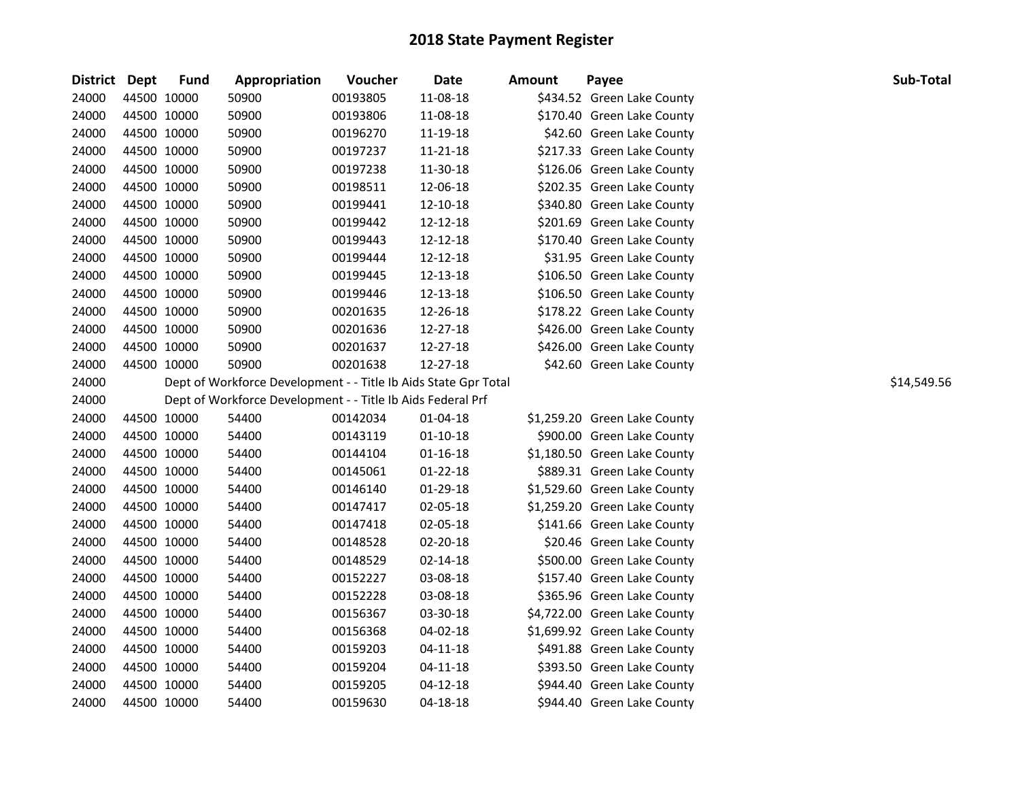| District Dept |             | <b>Fund</b> | Appropriation                                                   | Voucher  | Date           | <b>Amount</b> | Payee                        | Sub-Total   |
|---------------|-------------|-------------|-----------------------------------------------------------------|----------|----------------|---------------|------------------------------|-------------|
| 24000         |             | 44500 10000 | 50900                                                           | 00193805 | 11-08-18       |               | \$434.52 Green Lake County   |             |
| 24000         | 44500 10000 |             | 50900                                                           | 00193806 | 11-08-18       |               | \$170.40 Green Lake County   |             |
| 24000         | 44500 10000 |             | 50900                                                           | 00196270 | 11-19-18       |               | \$42.60 Green Lake County    |             |
| 24000         | 44500 10000 |             | 50900                                                           | 00197237 | 11-21-18       |               | \$217.33 Green Lake County   |             |
| 24000         | 44500 10000 |             | 50900                                                           | 00197238 | 11-30-18       |               | \$126.06 Green Lake County   |             |
| 24000         | 44500 10000 |             | 50900                                                           | 00198511 | 12-06-18       |               | \$202.35 Green Lake County   |             |
| 24000         | 44500 10000 |             | 50900                                                           | 00199441 | 12-10-18       |               | \$340.80 Green Lake County   |             |
| 24000         | 44500 10000 |             | 50900                                                           | 00199442 | 12-12-18       |               | \$201.69 Green Lake County   |             |
| 24000         | 44500 10000 |             | 50900                                                           | 00199443 | 12-12-18       |               | \$170.40 Green Lake County   |             |
| 24000         | 44500 10000 |             | 50900                                                           | 00199444 | 12-12-18       |               | \$31.95 Green Lake County    |             |
| 24000         | 44500 10000 |             | 50900                                                           | 00199445 | 12-13-18       |               | \$106.50 Green Lake County   |             |
| 24000         | 44500 10000 |             | 50900                                                           | 00199446 | 12-13-18       |               | \$106.50 Green Lake County   |             |
| 24000         | 44500 10000 |             | 50900                                                           | 00201635 | 12-26-18       |               | \$178.22 Green Lake County   |             |
| 24000         | 44500 10000 |             | 50900                                                           | 00201636 | 12-27-18       |               | \$426.00 Green Lake County   |             |
| 24000         | 44500 10000 |             | 50900                                                           | 00201637 | 12-27-18       |               | \$426.00 Green Lake County   |             |
| 24000         | 44500 10000 |             | 50900                                                           | 00201638 | 12-27-18       |               | \$42.60 Green Lake County    |             |
| 24000         |             |             | Dept of Workforce Development - - Title Ib Aids State Gpr Total |          |                |               |                              | \$14,549.56 |
| 24000         |             |             | Dept of Workforce Development - - Title Ib Aids Federal Prf     |          |                |               |                              |             |
| 24000         | 44500 10000 |             | 54400                                                           | 00142034 | 01-04-18       |               | \$1,259.20 Green Lake County |             |
| 24000         | 44500 10000 |             | 54400                                                           | 00143119 | $01-10-18$     |               | \$900.00 Green Lake County   |             |
| 24000         | 44500 10000 |             | 54400                                                           | 00144104 | $01 - 16 - 18$ |               | \$1,180.50 Green Lake County |             |
| 24000         | 44500 10000 |             | 54400                                                           | 00145061 | $01 - 22 - 18$ |               | \$889.31 Green Lake County   |             |
| 24000         | 44500 10000 |             | 54400                                                           | 00146140 | 01-29-18       |               | \$1,529.60 Green Lake County |             |
| 24000         | 44500 10000 |             | 54400                                                           | 00147417 | 02-05-18       |               | \$1,259.20 Green Lake County |             |
| 24000         | 44500 10000 |             | 54400                                                           | 00147418 | 02-05-18       |               | \$141.66 Green Lake County   |             |
| 24000         | 44500 10000 |             | 54400                                                           | 00148528 | 02-20-18       |               | \$20.46 Green Lake County    |             |
| 24000         | 44500 10000 |             | 54400                                                           | 00148529 | $02 - 14 - 18$ |               | \$500.00 Green Lake County   |             |
| 24000         | 44500 10000 |             | 54400                                                           | 00152227 | 03-08-18       |               | \$157.40 Green Lake County   |             |
| 24000         | 44500 10000 |             | 54400                                                           | 00152228 | 03-08-18       |               | \$365.96 Green Lake County   |             |
| 24000         | 44500 10000 |             | 54400                                                           | 00156367 | 03-30-18       |               | \$4,722.00 Green Lake County |             |
| 24000         | 44500 10000 |             | 54400                                                           | 00156368 | 04-02-18       |               | \$1,699.92 Green Lake County |             |
| 24000         | 44500 10000 |             | 54400                                                           | 00159203 | $04 - 11 - 18$ |               | \$491.88 Green Lake County   |             |
| 24000         | 44500 10000 |             | 54400                                                           | 00159204 | $04 - 11 - 18$ |               | \$393.50 Green Lake County   |             |
| 24000         | 44500 10000 |             | 54400                                                           | 00159205 | 04-12-18       |               | \$944.40 Green Lake County   |             |
| 24000         | 44500 10000 |             | 54400                                                           | 00159630 | 04-18-18       |               | \$944.40 Green Lake County   |             |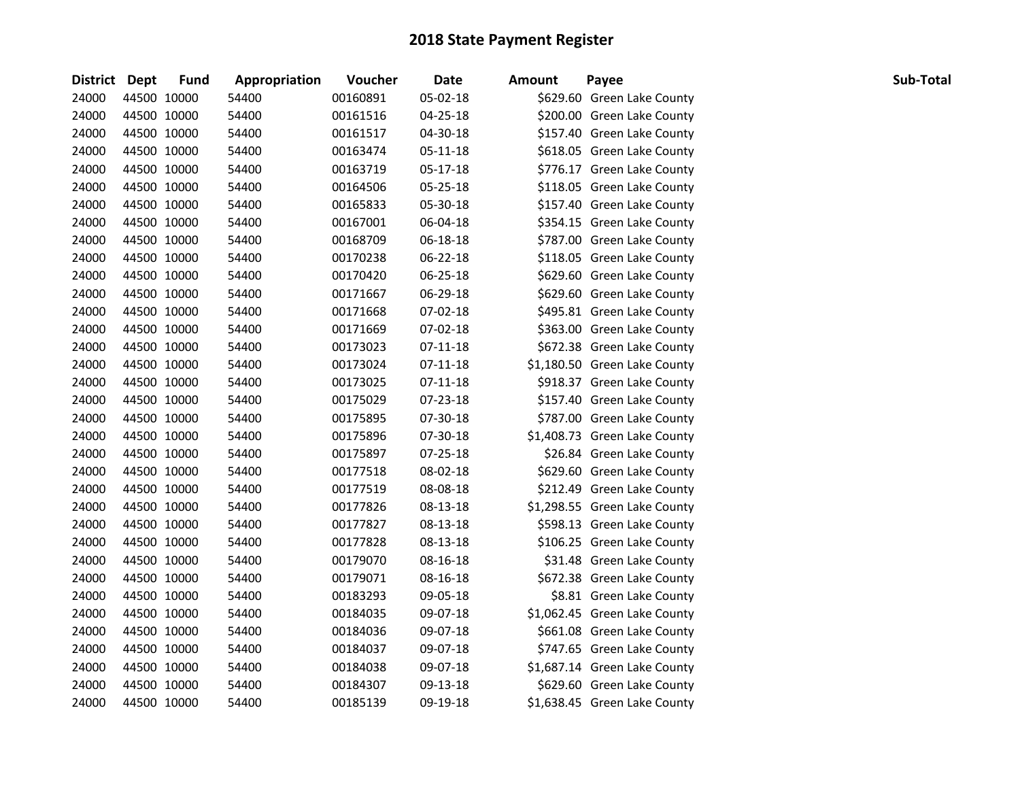| District Dept |             | <b>Fund</b> | Appropriation | Voucher  | Date           | <b>Amount</b> | Payee                        | Sub-Total |
|---------------|-------------|-------------|---------------|----------|----------------|---------------|------------------------------|-----------|
| 24000         | 44500 10000 |             | 54400         | 00160891 | 05-02-18       |               | \$629.60 Green Lake County   |           |
| 24000         | 44500 10000 |             | 54400         | 00161516 | $04 - 25 - 18$ |               | \$200.00 Green Lake County   |           |
| 24000         | 44500 10000 |             | 54400         | 00161517 | 04-30-18       |               | \$157.40 Green Lake County   |           |
| 24000         | 44500 10000 |             | 54400         | 00163474 | 05-11-18       |               | \$618.05 Green Lake County   |           |
| 24000         | 44500 10000 |             | 54400         | 00163719 | 05-17-18       |               | \$776.17 Green Lake County   |           |
| 24000         | 44500 10000 |             | 54400         | 00164506 | 05-25-18       |               | \$118.05 Green Lake County   |           |
| 24000         |             | 44500 10000 | 54400         | 00165833 | 05-30-18       |               | \$157.40 Green Lake County   |           |
| 24000         |             | 44500 10000 | 54400         | 00167001 | 06-04-18       |               | \$354.15 Green Lake County   |           |
| 24000         | 44500 10000 |             | 54400         | 00168709 | 06-18-18       |               | \$787.00 Green Lake County   |           |
| 24000         | 44500 10000 |             | 54400         | 00170238 | 06-22-18       |               | \$118.05 Green Lake County   |           |
| 24000         | 44500 10000 |             | 54400         | 00170420 | 06-25-18       |               | \$629.60 Green Lake County   |           |
| 24000         | 44500 10000 |             | 54400         | 00171667 | 06-29-18       |               | \$629.60 Green Lake County   |           |
| 24000         | 44500 10000 |             | 54400         | 00171668 | 07-02-18       |               | \$495.81 Green Lake County   |           |
| 24000         | 44500 10000 |             | 54400         | 00171669 | 07-02-18       |               | \$363.00 Green Lake County   |           |
| 24000         | 44500 10000 |             | 54400         | 00173023 | 07-11-18       |               | \$672.38 Green Lake County   |           |
| 24000         |             | 44500 10000 | 54400         | 00173024 | 07-11-18       |               | \$1,180.50 Green Lake County |           |
| 24000         | 44500 10000 |             | 54400         | 00173025 | 07-11-18       |               | \$918.37 Green Lake County   |           |
| 24000         | 44500 10000 |             | 54400         | 00175029 | 07-23-18       |               | \$157.40 Green Lake County   |           |
| 24000         |             | 44500 10000 | 54400         | 00175895 | 07-30-18       |               | \$787.00 Green Lake County   |           |
| 24000         |             | 44500 10000 | 54400         | 00175896 | 07-30-18       |               | \$1,408.73 Green Lake County |           |
| 24000         |             | 44500 10000 | 54400         | 00175897 | 07-25-18       |               | \$26.84 Green Lake County    |           |
| 24000         | 44500 10000 |             | 54400         | 00177518 | 08-02-18       |               | \$629.60 Green Lake County   |           |
| 24000         | 44500 10000 |             | 54400         | 00177519 | 08-08-18       |               | \$212.49 Green Lake County   |           |
| 24000         | 44500 10000 |             | 54400         | 00177826 | 08-13-18       |               | \$1,298.55 Green Lake County |           |
| 24000         | 44500 10000 |             | 54400         | 00177827 | 08-13-18       |               | \$598.13 Green Lake County   |           |
| 24000         | 44500 10000 |             | 54400         | 00177828 | 08-13-18       |               | \$106.25 Green Lake County   |           |
| 24000         | 44500 10000 |             | 54400         | 00179070 | 08-16-18       |               | \$31.48 Green Lake County    |           |
| 24000         |             | 44500 10000 | 54400         | 00179071 | 08-16-18       |               | \$672.38 Green Lake County   |           |
| 24000         | 44500 10000 |             | 54400         | 00183293 | 09-05-18       |               | \$8.81 Green Lake County     |           |
| 24000         | 44500 10000 |             | 54400         | 00184035 | 09-07-18       |               | \$1,062.45 Green Lake County |           |
| 24000         |             | 44500 10000 | 54400         | 00184036 | 09-07-18       |               | \$661.08 Green Lake County   |           |
| 24000         | 44500 10000 |             | 54400         | 00184037 | 09-07-18       |               | \$747.65 Green Lake County   |           |
| 24000         | 44500 10000 |             | 54400         | 00184038 | 09-07-18       |               | \$1,687.14 Green Lake County |           |
| 24000         | 44500 10000 |             | 54400         | 00184307 | 09-13-18       |               | \$629.60 Green Lake County   |           |
| 24000         | 44500 10000 |             | 54400         | 00185139 | 09-19-18       |               | \$1,638.45 Green Lake County |           |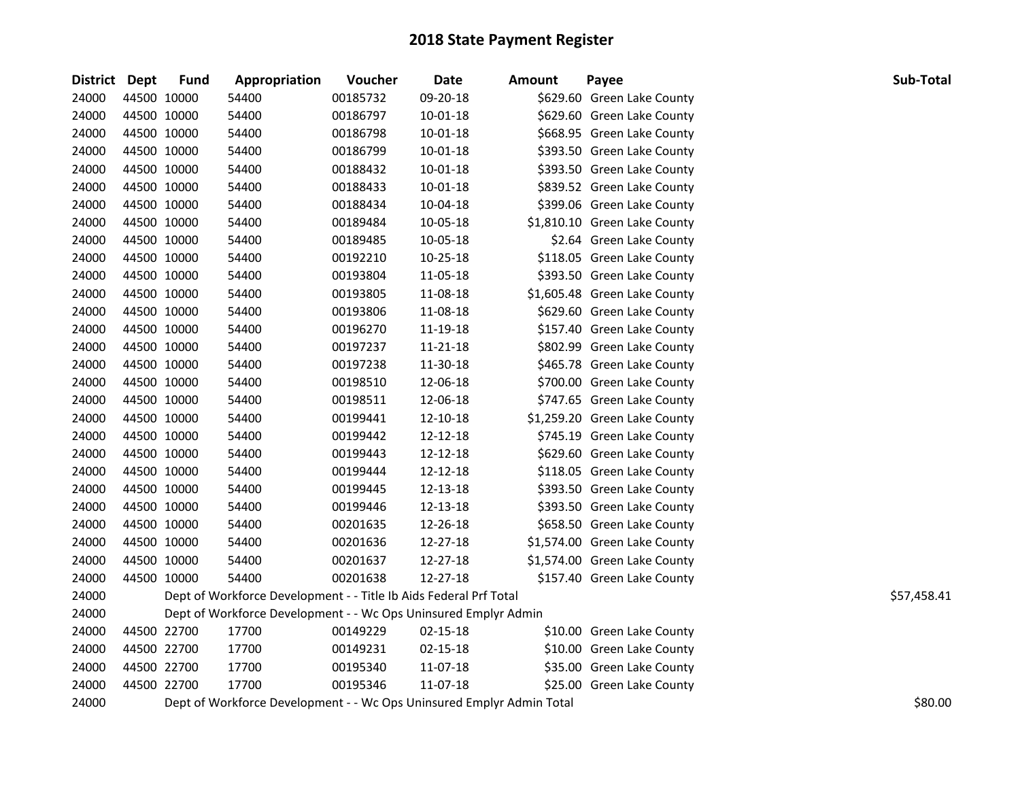| District Dept |             | <b>Fund</b> | Appropriation                                                         | Voucher  | Date     | <b>Amount</b> | Payee                        | Sub-Total   |
|---------------|-------------|-------------|-----------------------------------------------------------------------|----------|----------|---------------|------------------------------|-------------|
| 24000         | 44500 10000 |             | 54400                                                                 | 00185732 | 09-20-18 |               | \$629.60 Green Lake County   |             |
| 24000         | 44500 10000 |             | 54400                                                                 | 00186797 | 10-01-18 |               | \$629.60 Green Lake County   |             |
| 24000         | 44500 10000 |             | 54400                                                                 | 00186798 | 10-01-18 |               | \$668.95 Green Lake County   |             |
| 24000         | 44500 10000 |             | 54400                                                                 | 00186799 | 10-01-18 |               | \$393.50 Green Lake County   |             |
| 24000         | 44500 10000 |             | 54400                                                                 | 00188432 | 10-01-18 |               | \$393.50 Green Lake County   |             |
| 24000         | 44500 10000 |             | 54400                                                                 | 00188433 | 10-01-18 |               | \$839.52 Green Lake County   |             |
| 24000         | 44500 10000 |             | 54400                                                                 | 00188434 | 10-04-18 |               | \$399.06 Green Lake County   |             |
| 24000         | 44500 10000 |             | 54400                                                                 | 00189484 | 10-05-18 |               | \$1,810.10 Green Lake County |             |
| 24000         | 44500 10000 |             | 54400                                                                 | 00189485 | 10-05-18 |               | \$2.64 Green Lake County     |             |
| 24000         | 44500 10000 |             | 54400                                                                 | 00192210 | 10-25-18 |               | \$118.05 Green Lake County   |             |
| 24000         | 44500 10000 |             | 54400                                                                 | 00193804 | 11-05-18 |               | \$393.50 Green Lake County   |             |
| 24000         | 44500 10000 |             | 54400                                                                 | 00193805 | 11-08-18 |               | \$1,605.48 Green Lake County |             |
| 24000         | 44500 10000 |             | 54400                                                                 | 00193806 | 11-08-18 |               | \$629.60 Green Lake County   |             |
| 24000         | 44500 10000 |             | 54400                                                                 | 00196270 | 11-19-18 |               | \$157.40 Green Lake County   |             |
| 24000         | 44500 10000 |             | 54400                                                                 | 00197237 | 11-21-18 |               | \$802.99 Green Lake County   |             |
| 24000         | 44500 10000 |             | 54400                                                                 | 00197238 | 11-30-18 |               | \$465.78 Green Lake County   |             |
| 24000         | 44500 10000 |             | 54400                                                                 | 00198510 | 12-06-18 |               | \$700.00 Green Lake County   |             |
| 24000         | 44500 10000 |             | 54400                                                                 | 00198511 | 12-06-18 |               | \$747.65 Green Lake County   |             |
| 24000         | 44500 10000 |             | 54400                                                                 | 00199441 | 12-10-18 |               | \$1,259.20 Green Lake County |             |
| 24000         | 44500 10000 |             | 54400                                                                 | 00199442 | 12-12-18 |               | \$745.19 Green Lake County   |             |
| 24000         | 44500 10000 |             | 54400                                                                 | 00199443 | 12-12-18 |               | \$629.60 Green Lake County   |             |
| 24000         | 44500 10000 |             | 54400                                                                 | 00199444 | 12-12-18 |               | \$118.05 Green Lake County   |             |
| 24000         | 44500 10000 |             | 54400                                                                 | 00199445 | 12-13-18 |               | \$393.50 Green Lake County   |             |
| 24000         | 44500 10000 |             | 54400                                                                 | 00199446 | 12-13-18 |               | \$393.50 Green Lake County   |             |
| 24000         | 44500 10000 |             | 54400                                                                 | 00201635 | 12-26-18 |               | \$658.50 Green Lake County   |             |
| 24000         | 44500 10000 |             | 54400                                                                 | 00201636 | 12-27-18 |               | \$1,574.00 Green Lake County |             |
| 24000         | 44500 10000 |             | 54400                                                                 | 00201637 | 12-27-18 |               | \$1,574.00 Green Lake County |             |
| 24000         | 44500 10000 |             | 54400                                                                 | 00201638 | 12-27-18 |               | \$157.40 Green Lake County   |             |
| 24000         |             |             | Dept of Workforce Development - - Title Ib Aids Federal Prf Total     |          |          |               |                              | \$57,458.41 |
| 24000         |             |             | Dept of Workforce Development - - Wc Ops Uninsured Emplyr Admin       |          |          |               |                              |             |
| 24000         | 44500 22700 |             | 17700                                                                 | 00149229 | 02-15-18 |               | \$10.00 Green Lake County    |             |
| 24000         | 44500 22700 |             | 17700                                                                 | 00149231 | 02-15-18 |               | \$10.00 Green Lake County    |             |
| 24000         | 44500 22700 |             | 17700                                                                 | 00195340 | 11-07-18 |               | \$35.00 Green Lake County    |             |
| 24000         | 44500 22700 |             | 17700                                                                 | 00195346 | 11-07-18 |               | \$25.00 Green Lake County    |             |
| 24000         |             |             | Dept of Workforce Development - - Wc Ops Uninsured Emplyr Admin Total |          |          |               |                              | \$80.00     |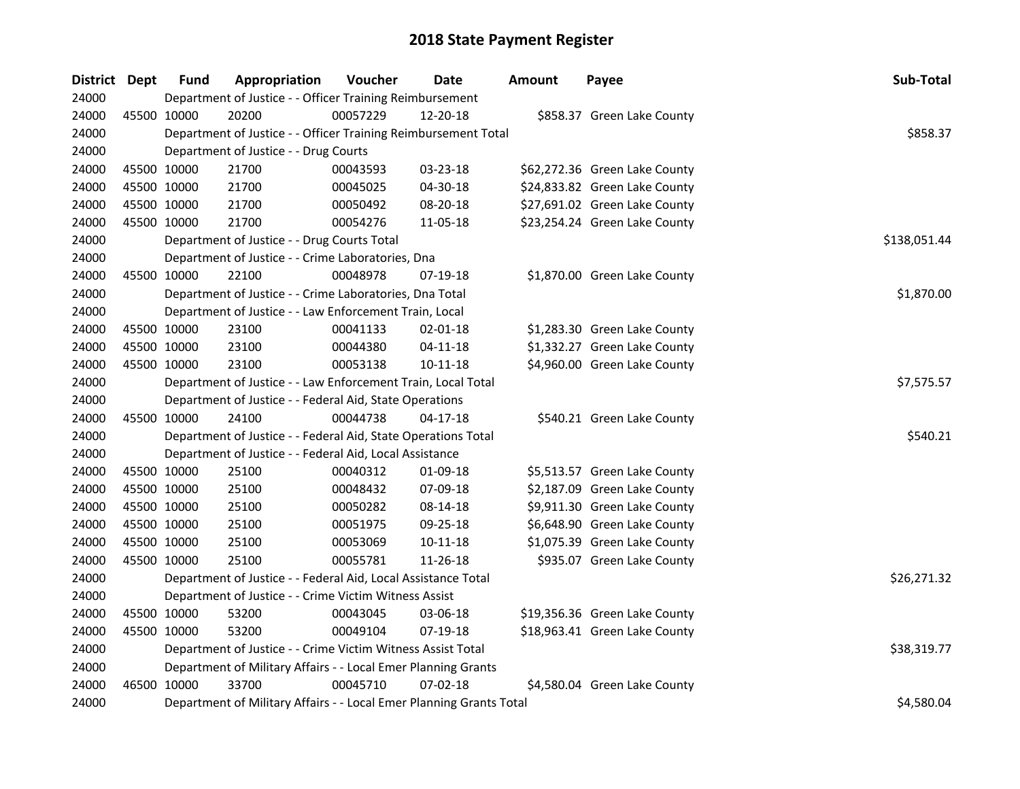| District Dept |             | <b>Fund</b> | Appropriation                                                       | Voucher    | <b>Date</b>    | Amount       | Payee                         | Sub-Total   |
|---------------|-------------|-------------|---------------------------------------------------------------------|------------|----------------|--------------|-------------------------------|-------------|
| 24000         |             |             | Department of Justice - - Officer Training Reimbursement            |            |                |              |                               |             |
| 24000         | 45500 10000 |             | 20200                                                               | 00057229   | 12-20-18       |              | \$858.37 Green Lake County    |             |
| 24000         |             |             | Department of Justice - - Officer Training Reimbursement Total      |            |                |              |                               | \$858.37    |
| 24000         |             |             | Department of Justice - - Drug Courts                               |            |                |              |                               |             |
| 24000         |             | 45500 10000 | 21700                                                               | 00043593   | 03-23-18       |              | \$62,272.36 Green Lake County |             |
| 24000         | 45500 10000 |             | 21700                                                               | 00045025   | 04-30-18       |              | \$24,833.82 Green Lake County |             |
| 24000         | 45500 10000 |             | 21700                                                               | 00050492   | 08-20-18       |              | \$27,691.02 Green Lake County |             |
| 24000         | 45500 10000 |             | 21700                                                               | 00054276   | 11-05-18       |              | \$23,254.24 Green Lake County |             |
| 24000         |             |             | Department of Justice - - Drug Courts Total                         |            |                | \$138,051.44 |                               |             |
| 24000         |             |             | Department of Justice - - Crime Laboratories, Dna                   |            |                |              |                               |             |
| 24000         |             | 45500 10000 | 22100                                                               | 00048978   | 07-19-18       |              | \$1,870.00 Green Lake County  |             |
| 24000         |             |             | Department of Justice - - Crime Laboratories, Dna Total             |            |                |              |                               | \$1,870.00  |
| 24000         |             |             | Department of Justice - - Law Enforcement Train, Local              |            |                |              |                               |             |
| 24000         |             | 45500 10000 | 23100                                                               | 00041133   | 02-01-18       |              | \$1,283.30 Green Lake County  |             |
| 24000         |             | 45500 10000 | 23100                                                               | 00044380   | $04 - 11 - 18$ |              | \$1,332.27 Green Lake County  |             |
| 24000         | 45500 10000 |             | 23100                                                               | 00053138   | $10 - 11 - 18$ |              | \$4,960.00 Green Lake County  |             |
| 24000         |             |             | Department of Justice - - Law Enforcement Train, Local Total        | \$7,575.57 |                |              |                               |             |
| 24000         |             |             | Department of Justice - - Federal Aid, State Operations             |            |                |              |                               |             |
| 24000         | 45500 10000 |             | 24100                                                               | 00044738   | $04 - 17 - 18$ |              | \$540.21 Green Lake County    |             |
| 24000         |             |             | Department of Justice - - Federal Aid, State Operations Total       |            |                |              |                               | \$540.21    |
| 24000         |             |             | Department of Justice - - Federal Aid, Local Assistance             |            |                |              |                               |             |
| 24000         |             | 45500 10000 | 25100                                                               | 00040312   | 01-09-18       |              | \$5,513.57 Green Lake County  |             |
| 24000         | 45500 10000 |             | 25100                                                               | 00048432   | 07-09-18       |              | \$2,187.09 Green Lake County  |             |
| 24000         |             | 45500 10000 | 25100                                                               | 00050282   | 08-14-18       |              | \$9,911.30 Green Lake County  |             |
| 24000         |             | 45500 10000 | 25100                                                               | 00051975   | 09-25-18       |              | \$6,648.90 Green Lake County  |             |
| 24000         |             | 45500 10000 | 25100                                                               | 00053069   | $10 - 11 - 18$ |              | \$1,075.39 Green Lake County  |             |
| 24000         | 45500 10000 |             | 25100                                                               | 00055781   | 11-26-18       |              | \$935.07 Green Lake County    |             |
| 24000         |             |             | Department of Justice - - Federal Aid, Local Assistance Total       |            |                |              |                               | \$26,271.32 |
| 24000         |             |             | Department of Justice - - Crime Victim Witness Assist               |            |                |              |                               |             |
| 24000         | 45500 10000 |             | 53200                                                               | 00043045   | 03-06-18       |              | \$19,356.36 Green Lake County |             |
| 24000         | 45500 10000 |             | 53200                                                               | 00049104   | 07-19-18       |              | \$18,963.41 Green Lake County |             |
| 24000         |             |             | Department of Justice - - Crime Victim Witness Assist Total         |            |                |              |                               | \$38,319.77 |
| 24000         |             |             | Department of Military Affairs - - Local Emer Planning Grants       |            |                |              |                               |             |
| 24000         | 46500 10000 |             | 33700                                                               | 00045710   | 07-02-18       |              | \$4,580.04 Green Lake County  |             |
| 24000         |             |             | Department of Military Affairs - - Local Emer Planning Grants Total |            |                | \$4,580.04   |                               |             |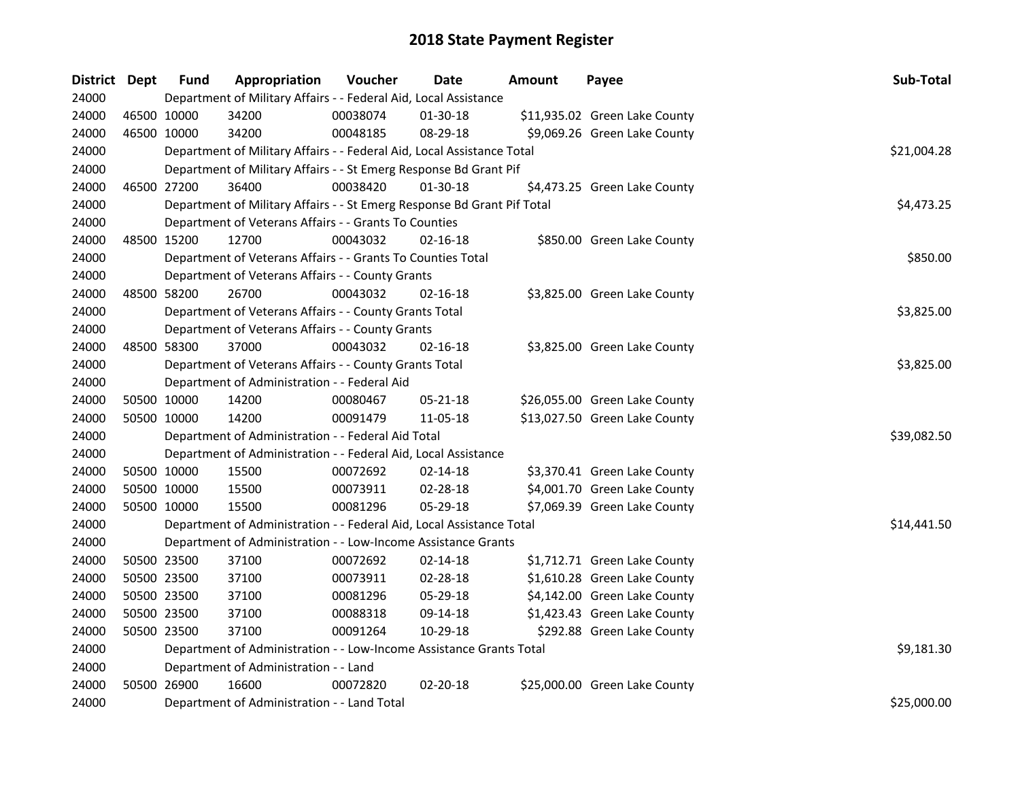| District Dept |             | <b>Fund</b> | Appropriation                                                           | Voucher  | <b>Date</b>    | Amount | Payee                         | Sub-Total   |  |  |  |
|---------------|-------------|-------------|-------------------------------------------------------------------------|----------|----------------|--------|-------------------------------|-------------|--|--|--|
| 24000         |             |             | Department of Military Affairs - - Federal Aid, Local Assistance        |          |                |        |                               |             |  |  |  |
| 24000         | 46500 10000 |             | 34200                                                                   | 00038074 | 01-30-18       |        | \$11,935.02 Green Lake County |             |  |  |  |
| 24000         | 46500 10000 |             | 34200                                                                   | 00048185 | 08-29-18       |        | \$9,069.26 Green Lake County  |             |  |  |  |
| 24000         |             |             | Department of Military Affairs - - Federal Aid, Local Assistance Total  |          |                |        |                               | \$21,004.28 |  |  |  |
| 24000         |             |             | Department of Military Affairs - - St Emerg Response Bd Grant Pif       |          |                |        |                               |             |  |  |  |
| 24000         |             | 46500 27200 | 36400                                                                   | 00038420 | $01-30-18$     |        | \$4,473.25 Green Lake County  |             |  |  |  |
| 24000         |             |             | Department of Military Affairs - - St Emerg Response Bd Grant Pif Total |          |                |        |                               | \$4,473.25  |  |  |  |
| 24000         |             |             | Department of Veterans Affairs - - Grants To Counties                   |          |                |        |                               |             |  |  |  |
| 24000         |             | 48500 15200 | 12700                                                                   | 00043032 | $02 - 16 - 18$ |        | \$850.00 Green Lake County    |             |  |  |  |
| 24000         |             |             | Department of Veterans Affairs - - Grants To Counties Total             |          |                |        |                               | \$850.00    |  |  |  |
| 24000         |             |             | Department of Veterans Affairs - - County Grants                        |          |                |        |                               |             |  |  |  |
| 24000         |             | 48500 58200 | 26700                                                                   | 00043032 | $02 - 16 - 18$ |        | \$3,825.00 Green Lake County  |             |  |  |  |
| 24000         |             |             | Department of Veterans Affairs - - County Grants Total                  |          |                |        |                               | \$3,825.00  |  |  |  |
| 24000         |             |             | Department of Veterans Affairs - - County Grants                        |          |                |        |                               |             |  |  |  |
| 24000         | 48500 58300 |             | 37000                                                                   | 00043032 | $02 - 16 - 18$ |        | \$3,825.00 Green Lake County  |             |  |  |  |
| 24000         |             |             | Department of Veterans Affairs - - County Grants Total                  |          |                |        |                               |             |  |  |  |
| 24000         |             |             | Department of Administration - - Federal Aid                            |          |                |        |                               |             |  |  |  |
| 24000         | 50500 10000 |             | 14200                                                                   | 00080467 | 05-21-18       |        | \$26,055.00 Green Lake County |             |  |  |  |
| 24000         | 50500 10000 |             | 14200                                                                   | 00091479 | 11-05-18       |        | \$13,027.50 Green Lake County |             |  |  |  |
| 24000         |             |             | Department of Administration - - Federal Aid Total                      |          |                |        |                               | \$39,082.50 |  |  |  |
| 24000         |             |             | Department of Administration - - Federal Aid, Local Assistance          |          |                |        |                               |             |  |  |  |
| 24000         | 50500 10000 |             | 15500                                                                   | 00072692 | 02-14-18       |        | \$3,370.41 Green Lake County  |             |  |  |  |
| 24000         | 50500 10000 |             | 15500                                                                   | 00073911 | 02-28-18       |        | \$4,001.70 Green Lake County  |             |  |  |  |
| 24000         | 50500 10000 |             | 15500                                                                   | 00081296 | 05-29-18       |        | \$7,069.39 Green Lake County  |             |  |  |  |
| 24000         |             |             | Department of Administration - - Federal Aid, Local Assistance Total    |          |                |        |                               | \$14,441.50 |  |  |  |
| 24000         |             |             | Department of Administration - - Low-Income Assistance Grants           |          |                |        |                               |             |  |  |  |
| 24000         | 50500 23500 |             | 37100                                                                   | 00072692 | $02 - 14 - 18$ |        | \$1,712.71 Green Lake County  |             |  |  |  |
| 24000         | 50500 23500 |             | 37100                                                                   | 00073911 | 02-28-18       |        | \$1,610.28 Green Lake County  |             |  |  |  |
| 24000         | 50500 23500 |             | 37100                                                                   | 00081296 | 05-29-18       |        | \$4,142.00 Green Lake County  |             |  |  |  |
| 24000         | 50500 23500 |             | 37100                                                                   | 00088318 | 09-14-18       |        | \$1,423.43 Green Lake County  |             |  |  |  |
| 24000         | 50500 23500 |             | 37100                                                                   | 00091264 | 10-29-18       |        | \$292.88 Green Lake County    |             |  |  |  |
| 24000         |             |             | Department of Administration - - Low-Income Assistance Grants Total     |          |                |        |                               | \$9,181.30  |  |  |  |
| 24000         |             |             | Department of Administration - - Land                                   |          |                |        |                               |             |  |  |  |
| 24000         | 50500 26900 |             | 16600                                                                   | 00072820 | 02-20-18       |        | \$25,000.00 Green Lake County |             |  |  |  |
| 24000         |             |             | Department of Administration - - Land Total                             |          |                |        |                               | \$25,000.00 |  |  |  |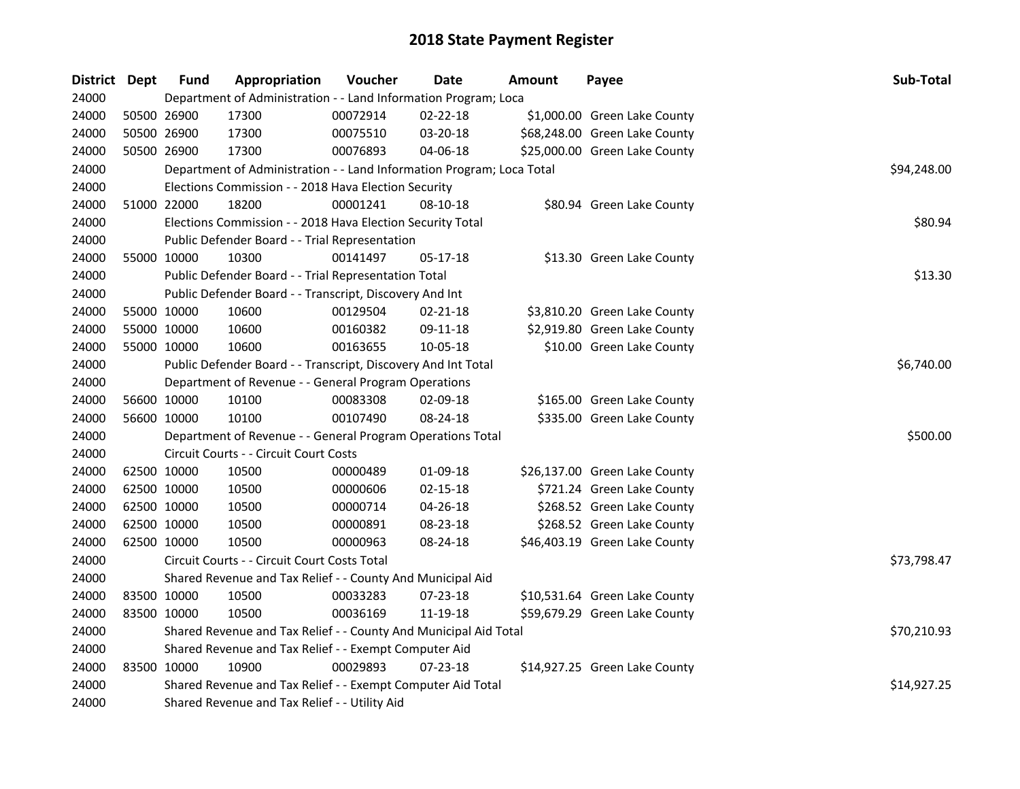| District Dept | <b>Fund</b> | Appropriation                                                         | Voucher    | <b>Date</b>    | <b>Amount</b> | Payee                         | Sub-Total   |
|---------------|-------------|-----------------------------------------------------------------------|------------|----------------|---------------|-------------------------------|-------------|
| 24000         |             | Department of Administration - - Land Information Program; Loca       |            |                |               |                               |             |
| 24000         | 50500 26900 | 17300                                                                 | 00072914   | 02-22-18       |               | \$1,000.00 Green Lake County  |             |
| 24000         | 50500 26900 | 17300                                                                 | 00075510   | 03-20-18       |               | \$68,248.00 Green Lake County |             |
| 24000         | 50500 26900 | 17300                                                                 | 00076893   | 04-06-18       |               | \$25,000.00 Green Lake County |             |
| 24000         |             | Department of Administration - - Land Information Program; Loca Total |            |                |               |                               | \$94,248.00 |
| 24000         |             | Elections Commission - - 2018 Hava Election Security                  |            |                |               |                               |             |
| 24000         | 51000 22000 | 18200                                                                 | 00001241   | 08-10-18       |               | \$80.94 Green Lake County     |             |
| 24000         |             | Elections Commission - - 2018 Hava Election Security Total            |            |                |               |                               | \$80.94     |
| 24000         |             | Public Defender Board - - Trial Representation                        |            |                |               |                               |             |
| 24000         | 55000 10000 | 10300                                                                 | 00141497   | 05-17-18       |               | \$13.30 Green Lake County     |             |
| 24000         |             | Public Defender Board - - Trial Representation Total                  | \$13.30    |                |               |                               |             |
| 24000         |             | Public Defender Board - - Transcript, Discovery And Int               |            |                |               |                               |             |
| 24000         | 55000 10000 | 10600                                                                 | 00129504   | 02-21-18       |               | \$3,810.20 Green Lake County  |             |
| 24000         | 55000 10000 | 10600                                                                 | 00160382   | 09-11-18       |               | \$2,919.80 Green Lake County  |             |
| 24000         | 55000 10000 | 10600                                                                 | 00163655   | 10-05-18       |               | \$10.00 Green Lake County     |             |
| 24000         |             | Public Defender Board - - Transcript, Discovery And Int Total         | \$6,740.00 |                |               |                               |             |
| 24000         |             | Department of Revenue - - General Program Operations                  |            |                |               |                               |             |
| 24000         | 56600 10000 | 10100                                                                 | 00083308   | 02-09-18       |               | \$165.00 Green Lake County    |             |
| 24000         | 56600 10000 | 10100                                                                 | 00107490   | 08-24-18       |               | \$335.00 Green Lake County    |             |
| 24000         |             | Department of Revenue - - General Program Operations Total            |            |                |               |                               | \$500.00    |
| 24000         |             | Circuit Courts - - Circuit Court Costs                                |            |                |               |                               |             |
| 24000         | 62500 10000 | 10500                                                                 | 00000489   | 01-09-18       |               | \$26,137.00 Green Lake County |             |
| 24000         | 62500 10000 | 10500                                                                 | 00000606   | $02 - 15 - 18$ |               | \$721.24 Green Lake County    |             |
| 24000         | 62500 10000 | 10500                                                                 | 00000714   | 04-26-18       |               | \$268.52 Green Lake County    |             |
| 24000         | 62500 10000 | 10500                                                                 | 00000891   | 08-23-18       |               | \$268.52 Green Lake County    |             |
| 24000         | 62500 10000 | 10500                                                                 | 00000963   | 08-24-18       |               | \$46,403.19 Green Lake County |             |
| 24000         |             | Circuit Courts - - Circuit Court Costs Total                          |            |                |               |                               | \$73,798.47 |
| 24000         |             | Shared Revenue and Tax Relief - - County And Municipal Aid            |            |                |               |                               |             |
| 24000         | 83500 10000 | 10500                                                                 | 00033283   | 07-23-18       |               | \$10,531.64 Green Lake County |             |
| 24000         | 83500 10000 | 10500                                                                 | 00036169   | 11-19-18       |               | \$59,679.29 Green Lake County |             |
| 24000         |             | Shared Revenue and Tax Relief - - County And Municipal Aid Total      |            |                |               |                               | \$70,210.93 |
| 24000         |             | Shared Revenue and Tax Relief - - Exempt Computer Aid                 |            |                |               |                               |             |
| 24000         | 83500 10000 | 10900                                                                 | 00029893   | 07-23-18       |               | \$14,927.25 Green Lake County |             |
| 24000         |             | Shared Revenue and Tax Relief - - Exempt Computer Aid Total           |            |                |               |                               | \$14,927.25 |
| 24000         |             | Shared Revenue and Tax Relief - - Utility Aid                         |            |                |               |                               |             |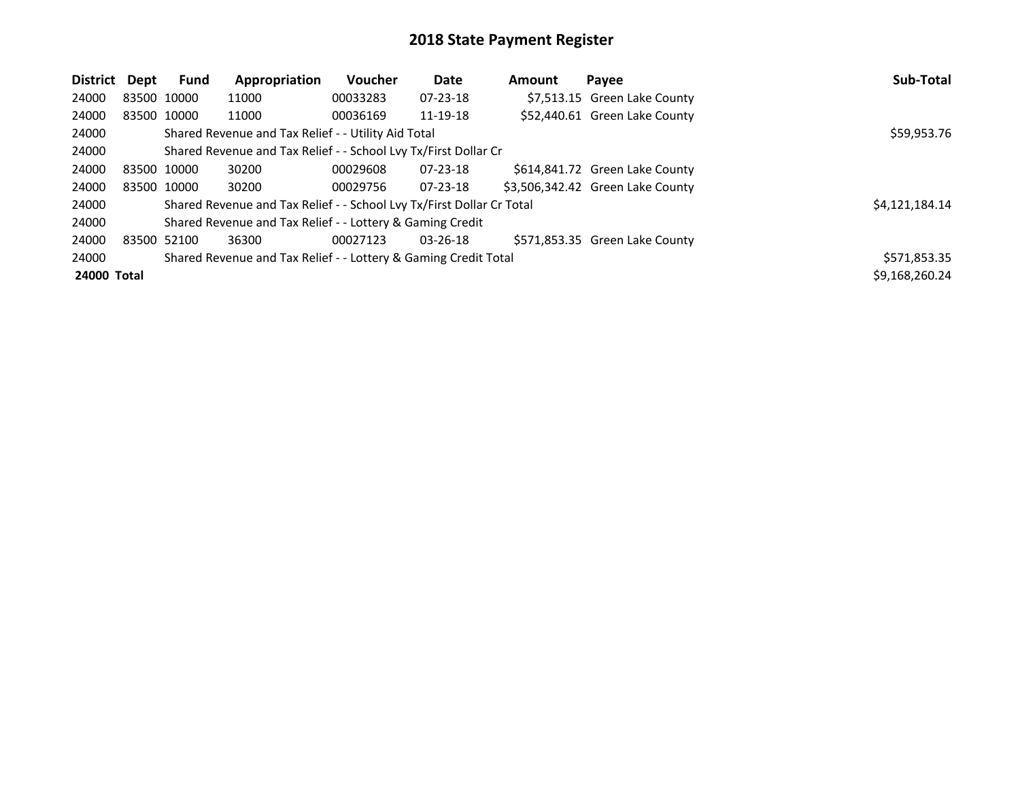| District Dept |             | Fund        | Appropriation                                                         | <b>Voucher</b> | Date           | Amount | Payee                            | Sub-Total      |
|---------------|-------------|-------------|-----------------------------------------------------------------------|----------------|----------------|--------|----------------------------------|----------------|
| 24000         | 83500 10000 |             | 11000                                                                 | 00033283       | 07-23-18       |        | \$7,513.15 Green Lake County     |                |
| 24000         |             | 83500 10000 | 11000                                                                 | 00036169       | 11-19-18       |        | \$52,440.61 Green Lake County    |                |
| 24000         |             |             | Shared Revenue and Tax Relief - - Utility Aid Total                   |                |                |        |                                  | \$59,953.76    |
| 24000         |             |             | Shared Revenue and Tax Relief - - School Lvy Tx/First Dollar Cr       |                |                |        |                                  |                |
| 24000         | 83500 10000 |             | 30200                                                                 | 00029608       | $07 - 23 - 18$ |        | \$614,841.72 Green Lake County   |                |
| 24000         |             | 83500 10000 | 30200                                                                 | 00029756       | $07 - 23 - 18$ |        | \$3,506,342.42 Green Lake County |                |
| 24000         |             |             | Shared Revenue and Tax Relief - - School Lvy Tx/First Dollar Cr Total |                |                |        |                                  | \$4,121,184.14 |
| 24000         |             |             | Shared Revenue and Tax Relief - - Lottery & Gaming Credit             |                |                |        |                                  |                |
| 24000         | 83500 52100 |             | 36300                                                                 | 00027123       | 03-26-18       |        | \$571,853.35 Green Lake County   |                |
| 24000         |             |             | Shared Revenue and Tax Relief - - Lottery & Gaming Credit Total       |                |                |        |                                  | \$571,853.35   |
| 24000 Total   |             |             |                                                                       |                |                |        |                                  | \$9,168,260.24 |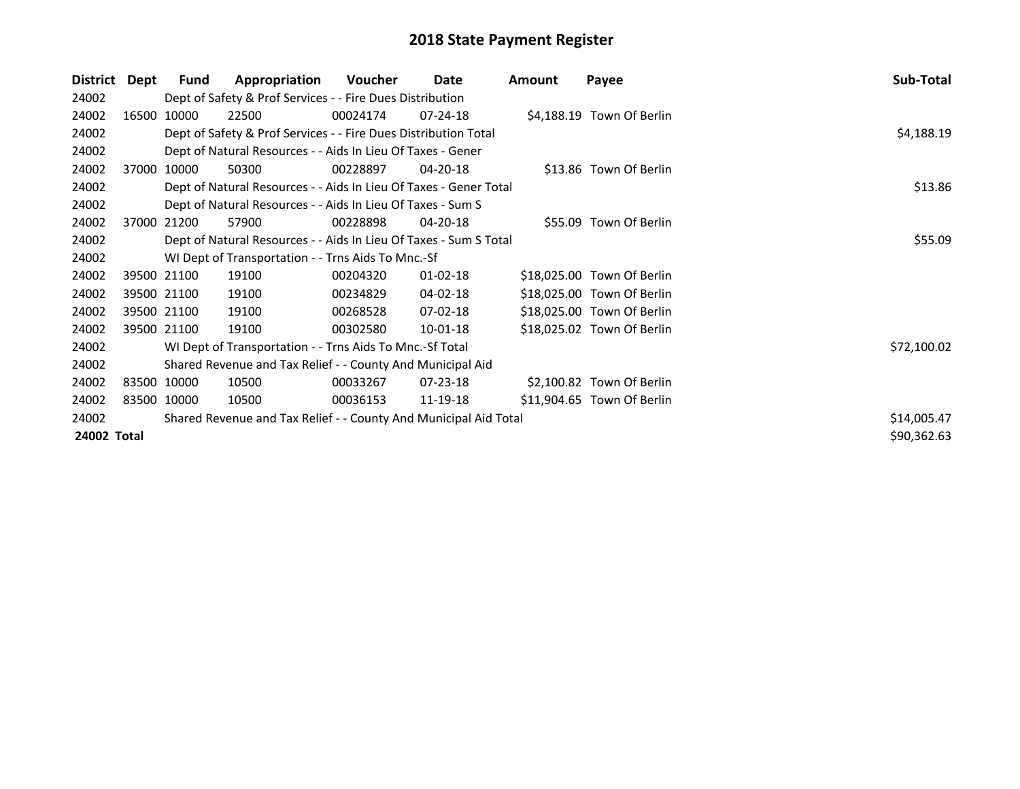| District    | Dept | Fund        | Appropriation                                                     | Voucher  | Date           | Amount | Payee                      | Sub-Total   |
|-------------|------|-------------|-------------------------------------------------------------------|----------|----------------|--------|----------------------------|-------------|
| 24002       |      |             | Dept of Safety & Prof Services - - Fire Dues Distribution         |          |                |        |                            |             |
| 24002       |      | 16500 10000 | 22500                                                             | 00024174 | $07 - 24 - 18$ |        | \$4,188.19 Town Of Berlin  |             |
| 24002       |      |             | Dept of Safety & Prof Services - - Fire Dues Distribution Total   |          |                |        |                            | \$4,188.19  |
| 24002       |      |             | Dept of Natural Resources - - Aids In Lieu Of Taxes - Gener       |          |                |        |                            |             |
| 24002       |      | 37000 10000 | 50300                                                             | 00228897 | $04 - 20 - 18$ |        | \$13.86 Town Of Berlin     |             |
| 24002       |      |             | Dept of Natural Resources - - Aids In Lieu Of Taxes - Gener Total |          |                |        |                            | \$13.86     |
| 24002       |      |             | Dept of Natural Resources - - Aids In Lieu Of Taxes - Sum S       |          |                |        |                            |             |
| 24002       |      | 37000 21200 | 57900                                                             | 00228898 | $04 - 20 - 18$ |        | \$55.09 Town Of Berlin     |             |
| 24002       |      |             | Dept of Natural Resources - - Aids In Lieu Of Taxes - Sum S Total | \$55.09  |                |        |                            |             |
| 24002       |      |             | WI Dept of Transportation - - Trns Aids To Mnc.-Sf                |          |                |        |                            |             |
| 24002       |      | 39500 21100 | 19100                                                             | 00204320 | $01 - 02 - 18$ |        | \$18,025.00 Town Of Berlin |             |
| 24002       |      | 39500 21100 | 19100                                                             | 00234829 | 04-02-18       |        | \$18,025.00 Town Of Berlin |             |
| 24002       |      | 39500 21100 | 19100                                                             | 00268528 | 07-02-18       |        | \$18,025.00 Town Of Berlin |             |
| 24002       |      | 39500 21100 | 19100                                                             | 00302580 | 10-01-18       |        | \$18,025.02 Town Of Berlin |             |
| 24002       |      |             | WI Dept of Transportation - - Trns Aids To Mnc.-Sf Total          |          |                |        |                            | \$72,100.02 |
| 24002       |      |             | Shared Revenue and Tax Relief - - County And Municipal Aid        |          |                |        |                            |             |
| 24002       |      | 83500 10000 | 10500                                                             | 00033267 | 07-23-18       |        | \$2,100.82 Town Of Berlin  |             |
| 24002       |      | 83500 10000 | 10500                                                             | 00036153 | 11-19-18       |        | \$11,904.65 Town Of Berlin |             |
| 24002       |      |             | Shared Revenue and Tax Relief - - County And Municipal Aid Total  |          |                |        |                            | \$14,005.47 |
| 24002 Total |      |             |                                                                   |          |                |        |                            | \$90,362.63 |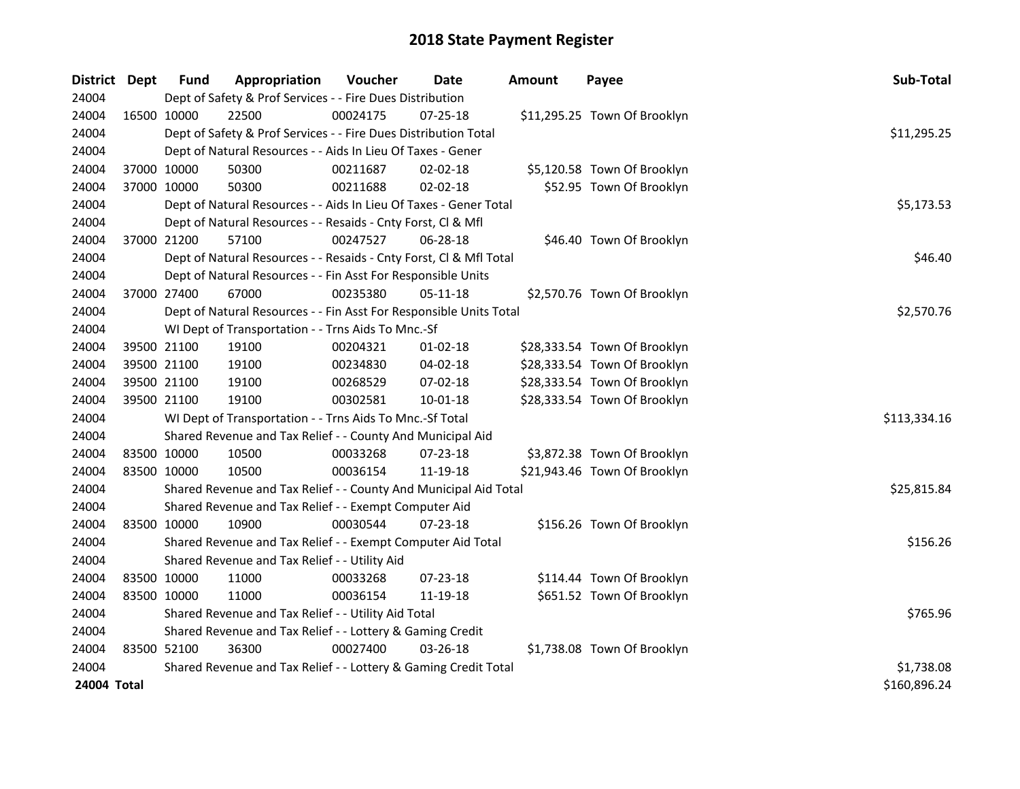| District Dept | Fund        | Appropriation                                                      | Voucher  | Date           | <b>Amount</b> | Payee                        | Sub-Total    |
|---------------|-------------|--------------------------------------------------------------------|----------|----------------|---------------|------------------------------|--------------|
| 24004         |             | Dept of Safety & Prof Services - - Fire Dues Distribution          |          |                |               |                              |              |
| 24004         | 16500 10000 | 22500                                                              | 00024175 | 07-25-18       |               | \$11,295.25 Town Of Brooklyn |              |
| 24004         |             | Dept of Safety & Prof Services - - Fire Dues Distribution Total    |          |                |               |                              | \$11,295.25  |
| 24004         |             | Dept of Natural Resources - - Aids In Lieu Of Taxes - Gener        |          |                |               |                              |              |
| 24004         | 37000 10000 | 50300                                                              | 00211687 | $02 - 02 - 18$ |               | \$5,120.58 Town Of Brooklyn  |              |
| 24004         | 37000 10000 | 50300                                                              | 00211688 | 02-02-18       |               | \$52.95 Town Of Brooklyn     |              |
| 24004         |             | Dept of Natural Resources - - Aids In Lieu Of Taxes - Gener Total  |          |                |               |                              | \$5,173.53   |
| 24004         |             | Dept of Natural Resources - - Resaids - Cnty Forst, Cl & Mfl       |          |                |               |                              |              |
| 24004         | 37000 21200 | 57100                                                              | 00247527 | 06-28-18       |               | \$46.40 Town Of Brooklyn     |              |
| 24004         |             | Dept of Natural Resources - - Resaids - Cnty Forst, Cl & Mfl Total | \$46.40  |                |               |                              |              |
| 24004         |             | Dept of Natural Resources - - Fin Asst For Responsible Units       |          |                |               |                              |              |
| 24004         | 37000 27400 | 67000                                                              | 00235380 | $05 - 11 - 18$ |               | \$2,570.76 Town Of Brooklyn  |              |
| 24004         |             | Dept of Natural Resources - - Fin Asst For Responsible Units Total |          |                |               |                              | \$2,570.76   |
| 24004         |             | WI Dept of Transportation - - Trns Aids To Mnc.-Sf                 |          |                |               |                              |              |
| 24004         | 39500 21100 | 19100                                                              | 00204321 | $01-02-18$     |               | \$28,333.54 Town Of Brooklyn |              |
| 24004         | 39500 21100 | 19100                                                              | 00234830 | 04-02-18       |               | \$28,333.54 Town Of Brooklyn |              |
| 24004         | 39500 21100 | 19100                                                              | 00268529 | 07-02-18       |               | \$28,333.54 Town Of Brooklyn |              |
| 24004         | 39500 21100 | 19100                                                              | 00302581 | 10-01-18       |               | \$28,333.54 Town Of Brooklyn |              |
| 24004         |             | WI Dept of Transportation - - Trns Aids To Mnc.-Sf Total           |          |                |               |                              | \$113,334.16 |
| 24004         |             | Shared Revenue and Tax Relief - - County And Municipal Aid         |          |                |               |                              |              |
| 24004         | 83500 10000 | 10500                                                              | 00033268 | 07-23-18       |               | \$3,872.38 Town Of Brooklyn  |              |
| 24004         | 83500 10000 | 10500                                                              | 00036154 | 11-19-18       |               | \$21,943.46 Town Of Brooklyn |              |
| 24004         |             | Shared Revenue and Tax Relief - - County And Municipal Aid Total   |          |                |               |                              | \$25,815.84  |
| 24004         |             | Shared Revenue and Tax Relief - - Exempt Computer Aid              |          |                |               |                              |              |
| 24004         | 83500 10000 | 10900                                                              | 00030544 | $07 - 23 - 18$ |               | \$156.26 Town Of Brooklyn    |              |
| 24004         |             | Shared Revenue and Tax Relief - - Exempt Computer Aid Total        |          |                |               |                              | \$156.26     |
| 24004         |             | Shared Revenue and Tax Relief - - Utility Aid                      |          |                |               |                              |              |
| 24004         | 83500 10000 | 11000                                                              | 00033268 | 07-23-18       |               | \$114.44 Town Of Brooklyn    |              |
| 24004         | 83500 10000 | 11000                                                              | 00036154 | 11-19-18       |               | \$651.52 Town Of Brooklyn    |              |
| 24004         |             | Shared Revenue and Tax Relief - - Utility Aid Total                |          |                |               |                              | \$765.96     |
| 24004         |             | Shared Revenue and Tax Relief - - Lottery & Gaming Credit          |          |                |               |                              |              |
| 24004         | 83500 52100 | 36300                                                              | 00027400 | 03-26-18       |               | \$1,738.08 Town Of Brooklyn  |              |
| 24004         |             | Shared Revenue and Tax Relief - - Lottery & Gaming Credit Total    |          |                |               |                              | \$1,738.08   |
| 24004 Total   |             |                                                                    |          |                |               |                              | \$160,896.24 |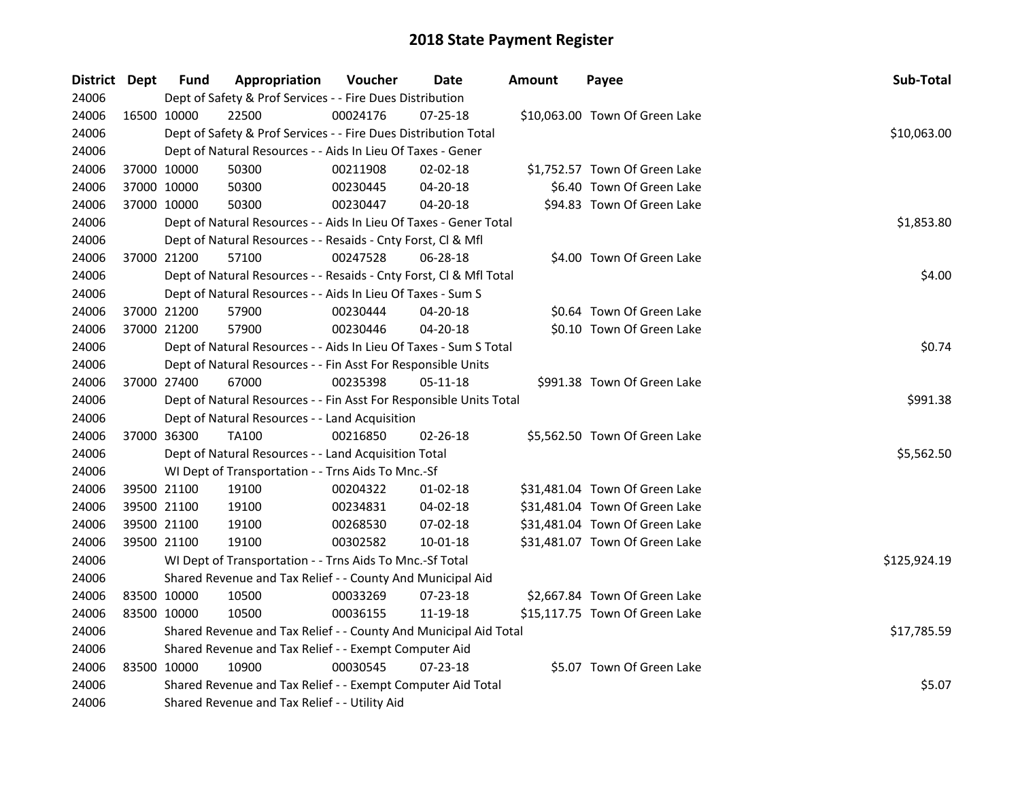| District Dept | <b>Fund</b> | Appropriation                                                      | Voucher  | Date           | <b>Amount</b> | Payee                          | Sub-Total    |
|---------------|-------------|--------------------------------------------------------------------|----------|----------------|---------------|--------------------------------|--------------|
| 24006         |             | Dept of Safety & Prof Services - - Fire Dues Distribution          |          |                |               |                                |              |
| 24006         | 16500 10000 | 22500                                                              | 00024176 | 07-25-18       |               | \$10,063.00 Town Of Green Lake |              |
| 24006         |             | Dept of Safety & Prof Services - - Fire Dues Distribution Total    |          |                |               |                                | \$10,063.00  |
| 24006         |             | Dept of Natural Resources - - Aids In Lieu Of Taxes - Gener        |          |                |               |                                |              |
| 24006         | 37000 10000 | 50300                                                              | 00211908 | 02-02-18       |               | \$1,752.57 Town Of Green Lake  |              |
| 24006         | 37000 10000 | 50300                                                              | 00230445 | 04-20-18       |               | \$6.40 Town Of Green Lake      |              |
| 24006         | 37000 10000 | 50300                                                              | 00230447 | 04-20-18       |               | \$94.83 Town Of Green Lake     |              |
| 24006         |             | Dept of Natural Resources - - Aids In Lieu Of Taxes - Gener Total  |          |                |               |                                | \$1,853.80   |
| 24006         |             | Dept of Natural Resources - - Resaids - Cnty Forst, Cl & Mfl       |          |                |               |                                |              |
| 24006         | 37000 21200 | 57100                                                              | 00247528 | 06-28-18       |               | \$4.00 Town Of Green Lake      |              |
| 24006         |             | Dept of Natural Resources - - Resaids - Cnty Forst, Cl & Mfl Total |          |                |               |                                | \$4.00       |
| 24006         |             | Dept of Natural Resources - - Aids In Lieu Of Taxes - Sum S        |          |                |               |                                |              |
| 24006         | 37000 21200 | 57900                                                              | 00230444 | 04-20-18       |               | \$0.64 Town Of Green Lake      |              |
| 24006         | 37000 21200 | 57900                                                              | 00230446 | 04-20-18       |               | \$0.10 Town Of Green Lake      |              |
| 24006         |             | Dept of Natural Resources - - Aids In Lieu Of Taxes - Sum S Total  |          |                |               |                                | \$0.74       |
| 24006         |             | Dept of Natural Resources - - Fin Asst For Responsible Units       |          |                |               |                                |              |
| 24006         | 37000 27400 | 67000                                                              | 00235398 | 05-11-18       |               | \$991.38 Town Of Green Lake    |              |
| 24006         |             | Dept of Natural Resources - - Fin Asst For Responsible Units Total |          |                |               |                                | \$991.38     |
| 24006         |             | Dept of Natural Resources - - Land Acquisition                     |          |                |               |                                |              |
| 24006         | 37000 36300 | <b>TA100</b>                                                       | 00216850 | $02 - 26 - 18$ |               | \$5,562.50 Town Of Green Lake  |              |
| 24006         |             | Dept of Natural Resources - - Land Acquisition Total               |          |                |               |                                | \$5,562.50   |
| 24006         |             | WI Dept of Transportation - - Trns Aids To Mnc.-Sf                 |          |                |               |                                |              |
| 24006         | 39500 21100 | 19100                                                              | 00204322 | $01 - 02 - 18$ |               | \$31,481.04 Town Of Green Lake |              |
| 24006         | 39500 21100 | 19100                                                              | 00234831 | 04-02-18       |               | \$31,481.04 Town Of Green Lake |              |
| 24006         | 39500 21100 | 19100                                                              | 00268530 | 07-02-18       |               | \$31,481.04 Town Of Green Lake |              |
| 24006         | 39500 21100 | 19100                                                              | 00302582 | $10 - 01 - 18$ |               | \$31,481.07 Town Of Green Lake |              |
| 24006         |             | WI Dept of Transportation - - Trns Aids To Mnc.-Sf Total           |          |                |               |                                | \$125,924.19 |
| 24006         |             | Shared Revenue and Tax Relief - - County And Municipal Aid         |          |                |               |                                |              |
| 24006         | 83500 10000 | 10500                                                              | 00033269 | 07-23-18       |               | \$2,667.84 Town Of Green Lake  |              |
| 24006         | 83500 10000 | 10500                                                              | 00036155 | 11-19-18       |               | \$15,117.75 Town Of Green Lake |              |
| 24006         |             | Shared Revenue and Tax Relief - - County And Municipal Aid Total   |          |                |               |                                | \$17,785.59  |
| 24006         |             | Shared Revenue and Tax Relief - - Exempt Computer Aid              |          |                |               |                                |              |
| 24006         | 83500 10000 | 10900                                                              | 00030545 | 07-23-18       |               | \$5.07 Town Of Green Lake      |              |
| 24006         |             | Shared Revenue and Tax Relief - - Exempt Computer Aid Total        |          |                |               |                                | \$5.07       |
| 24006         |             | Shared Revenue and Tax Relief - - Utility Aid                      |          |                |               |                                |              |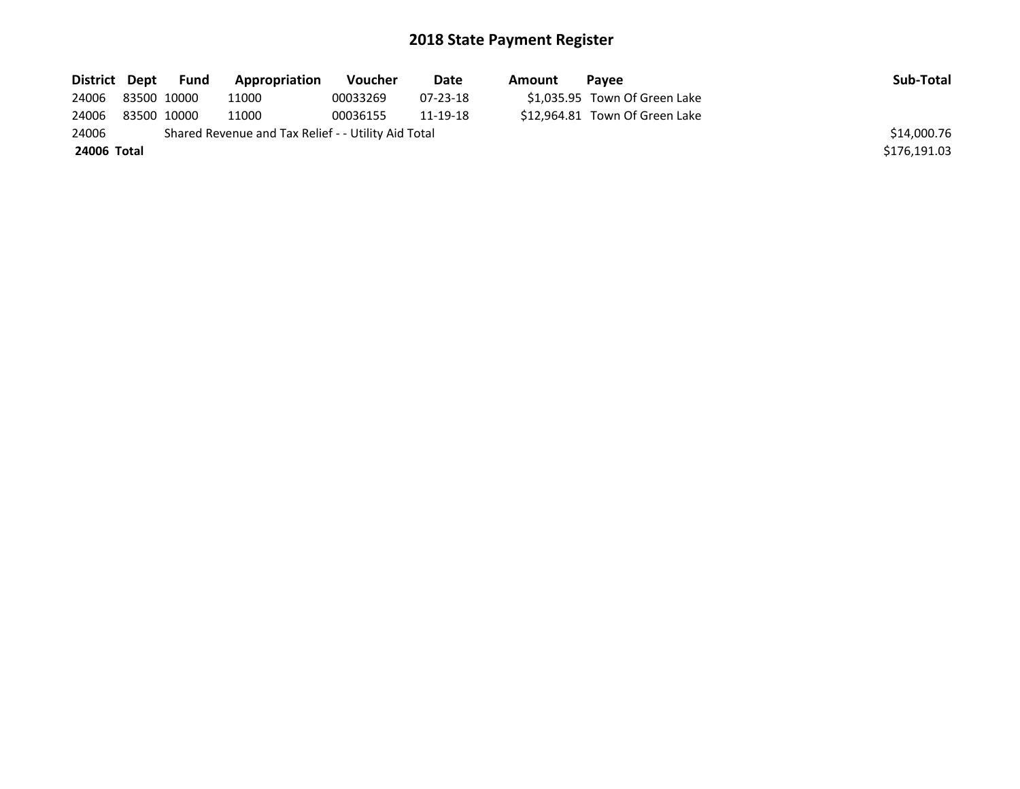| District Dept     | Fund        | Appropriation                                       | Voucher  | Date       | Amount | Pavee                          | Sub-Total    |
|-------------------|-------------|-----------------------------------------------------|----------|------------|--------|--------------------------------|--------------|
| 24006 83500 10000 |             | 11000                                               | 00033269 | $07-23-18$ |        | \$1,035.95 Town Of Green Lake  |              |
| 24006             | 83500 10000 | 11000                                               | 00036155 | 11-19-18   |        | \$12.964.81 Town Of Green Lake |              |
| 24006             |             | Shared Revenue and Tax Relief - - Utility Aid Total |          |            |        |                                | \$14,000.76  |
| 24006 Total       |             |                                                     |          |            |        |                                | \$176,191.03 |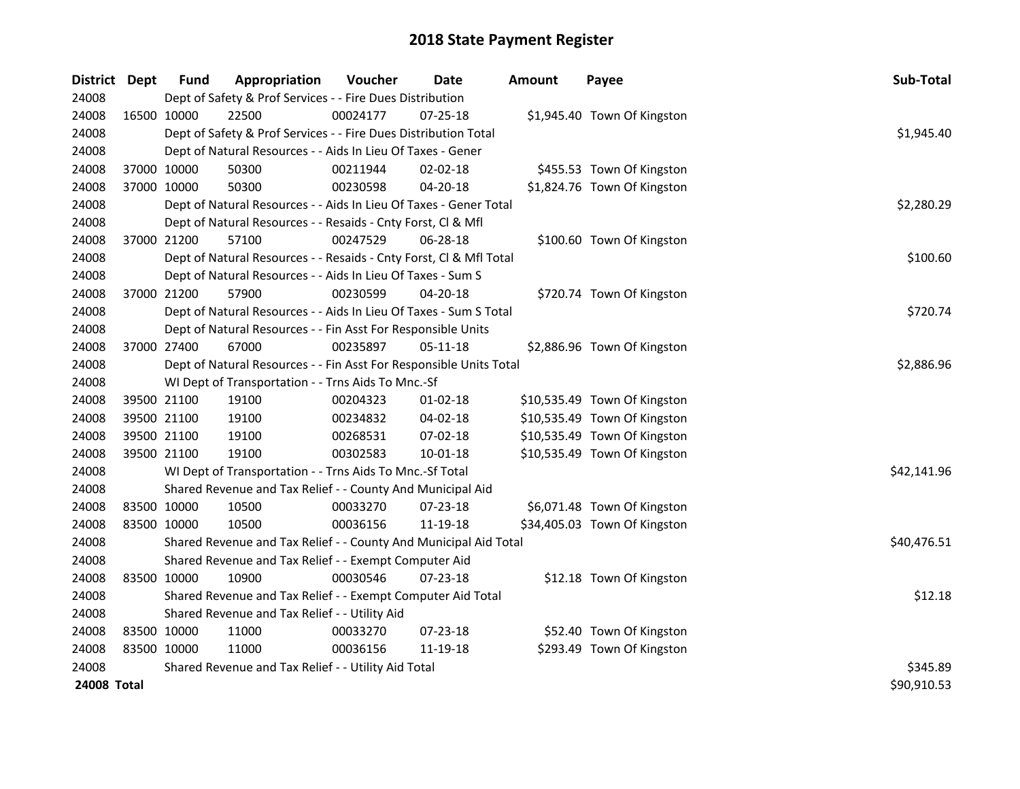| District Dept |             | <b>Fund</b> | Appropriation                                                      | Voucher    | Date           | <b>Amount</b> | Payee                        | Sub-Total   |
|---------------|-------------|-------------|--------------------------------------------------------------------|------------|----------------|---------------|------------------------------|-------------|
| 24008         |             |             | Dept of Safety & Prof Services - - Fire Dues Distribution          |            |                |               |                              |             |
| 24008         | 16500 10000 |             | 22500                                                              | 00024177   | $07 - 25 - 18$ |               | \$1,945.40 Town Of Kingston  |             |
| 24008         |             |             | Dept of Safety & Prof Services - - Fire Dues Distribution Total    |            |                |               |                              | \$1,945.40  |
| 24008         |             |             | Dept of Natural Resources - - Aids In Lieu Of Taxes - Gener        |            |                |               |                              |             |
| 24008         | 37000 10000 |             | 50300                                                              | 00211944   | 02-02-18       |               | \$455.53 Town Of Kingston    |             |
| 24008         | 37000 10000 |             | 50300                                                              | 00230598   | 04-20-18       |               | \$1,824.76 Town Of Kingston  |             |
| 24008         |             |             | Dept of Natural Resources - - Aids In Lieu Of Taxes - Gener Total  |            |                |               |                              | \$2,280.29  |
| 24008         |             |             | Dept of Natural Resources - - Resaids - Cnty Forst, Cl & Mfl       |            |                |               |                              |             |
| 24008         |             | 37000 21200 | 57100                                                              | 00247529   | $06 - 28 - 18$ |               | \$100.60 Town Of Kingston    |             |
| 24008         |             |             | Dept of Natural Resources - - Resaids - Cnty Forst, CI & Mfl Total | \$100.60   |                |               |                              |             |
| 24008         |             |             | Dept of Natural Resources - - Aids In Lieu Of Taxes - Sum S        |            |                |               |                              |             |
| 24008         | 37000 21200 |             | 57900                                                              | 00230599   | $04 - 20 - 18$ |               | \$720.74 Town Of Kingston    |             |
| 24008         |             |             | Dept of Natural Resources - - Aids In Lieu Of Taxes - Sum S Total  |            |                |               |                              | \$720.74    |
| 24008         |             |             | Dept of Natural Resources - - Fin Asst For Responsible Units       |            |                |               |                              |             |
| 24008         | 37000 27400 |             | 67000                                                              | 00235897   | $05 - 11 - 18$ |               | \$2,886.96 Town Of Kingston  |             |
| 24008         |             |             | Dept of Natural Resources - - Fin Asst For Responsible Units Total | \$2,886.96 |                |               |                              |             |
| 24008         |             |             | WI Dept of Transportation - - Trns Aids To Mnc.-Sf                 |            |                |               |                              |             |
| 24008         | 39500 21100 |             | 19100                                                              | 00204323   | $01 - 02 - 18$ |               | \$10,535.49 Town Of Kingston |             |
| 24008         | 39500 21100 |             | 19100                                                              | 00234832   | 04-02-18       |               | \$10,535.49 Town Of Kingston |             |
| 24008         | 39500 21100 |             | 19100                                                              | 00268531   | 07-02-18       |               | \$10,535.49 Town Of Kingston |             |
| 24008         | 39500 21100 |             | 19100                                                              | 00302583   | 10-01-18       |               | \$10,535.49 Town Of Kingston |             |
| 24008         |             |             | WI Dept of Transportation - - Trns Aids To Mnc.-Sf Total           |            |                |               |                              | \$42,141.96 |
| 24008         |             |             | Shared Revenue and Tax Relief - - County And Municipal Aid         |            |                |               |                              |             |
| 24008         | 83500 10000 |             | 10500                                                              | 00033270   | 07-23-18       |               | \$6,071.48 Town Of Kingston  |             |
| 24008         | 83500 10000 |             | 10500                                                              | 00036156   | 11-19-18       |               | \$34,405.03 Town Of Kingston |             |
| 24008         |             |             | Shared Revenue and Tax Relief - - County And Municipal Aid Total   |            |                |               |                              | \$40,476.51 |
| 24008         |             |             | Shared Revenue and Tax Relief - - Exempt Computer Aid              |            |                |               |                              |             |
| 24008         | 83500 10000 |             | 10900                                                              | 00030546   | $07 - 23 - 18$ |               | \$12.18 Town Of Kingston     |             |
| 24008         |             |             | Shared Revenue and Tax Relief - - Exempt Computer Aid Total        |            |                |               |                              | \$12.18     |
| 24008         |             |             | Shared Revenue and Tax Relief - - Utility Aid                      |            |                |               |                              |             |
| 24008         | 83500 10000 |             | 11000                                                              | 00033270   | 07-23-18       |               | \$52.40 Town Of Kingston     |             |
| 24008         | 83500 10000 |             | 11000                                                              | 00036156   | 11-19-18       |               | \$293.49 Town Of Kingston    |             |
| 24008         |             |             | Shared Revenue and Tax Relief - - Utility Aid Total                |            |                |               |                              | \$345.89    |
| 24008 Total   |             |             |                                                                    |            |                |               |                              | \$90,910.53 |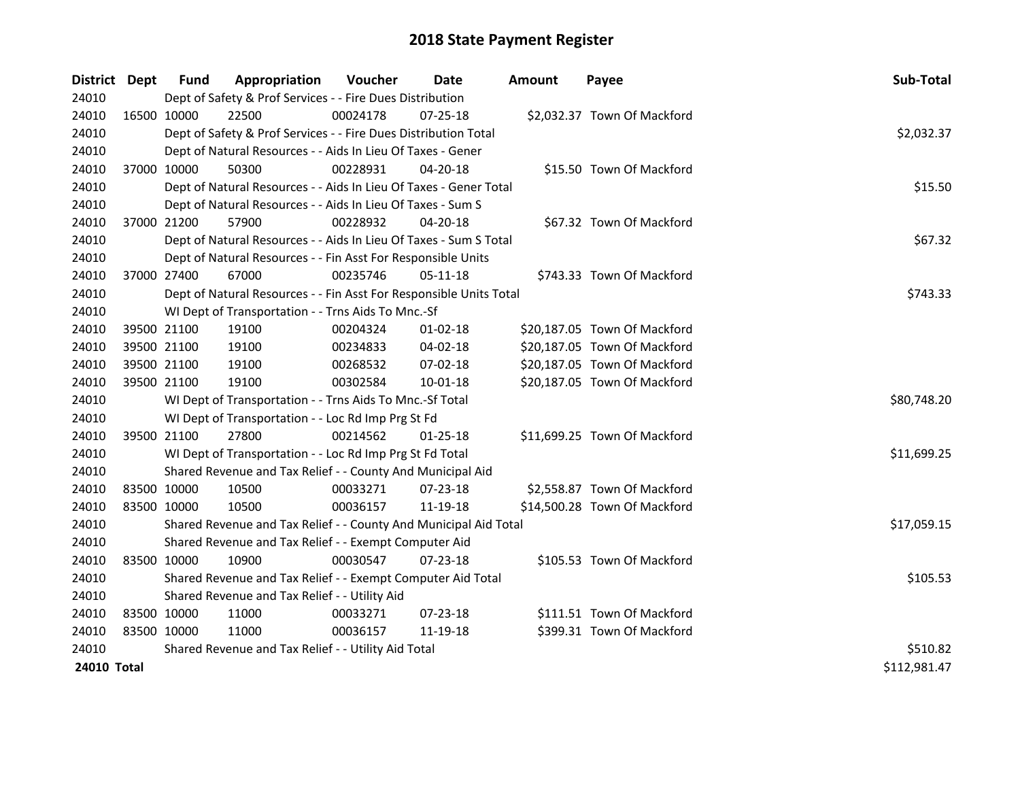| District Dept      | <b>Fund</b>                                   | Appropriation                                                      | Voucher  | Date           | <b>Amount</b> | Payee                        | Sub-Total    |
|--------------------|-----------------------------------------------|--------------------------------------------------------------------|----------|----------------|---------------|------------------------------|--------------|
| 24010              |                                               | Dept of Safety & Prof Services - - Fire Dues Distribution          |          |                |               |                              |              |
| 24010              | 16500 10000                                   | 22500                                                              | 00024178 | $07 - 25 - 18$ |               | \$2,032.37 Town Of Mackford  |              |
| 24010              |                                               | Dept of Safety & Prof Services - - Fire Dues Distribution Total    |          |                |               |                              | \$2,032.37   |
| 24010              |                                               | Dept of Natural Resources - - Aids In Lieu Of Taxes - Gener        |          |                |               |                              |              |
| 24010              | 37000 10000                                   | 50300                                                              | 00228931 | 04-20-18       |               | \$15.50 Town Of Mackford     |              |
| 24010              |                                               | Dept of Natural Resources - - Aids In Lieu Of Taxes - Gener Total  |          |                |               |                              | \$15.50      |
| 24010              |                                               | Dept of Natural Resources - - Aids In Lieu Of Taxes - Sum S        |          |                |               |                              |              |
| 24010              | 37000 21200                                   | 57900                                                              | 00228932 | 04-20-18       |               | \$67.32 Town Of Mackford     |              |
| 24010              |                                               | Dept of Natural Resources - - Aids In Lieu Of Taxes - Sum S Total  |          |                |               |                              | \$67.32      |
| 24010              |                                               | Dept of Natural Resources - - Fin Asst For Responsible Units       |          |                |               |                              |              |
| 24010              | 37000 27400                                   | 67000                                                              | 00235746 | $05 - 11 - 18$ |               | \$743.33 Town Of Mackford    |              |
| 24010              |                                               | Dept of Natural Resources - - Fin Asst For Responsible Units Total |          |                |               |                              | \$743.33     |
| 24010              |                                               | WI Dept of Transportation - - Trns Aids To Mnc.-Sf                 |          |                |               |                              |              |
| 24010              | 39500 21100                                   | 19100                                                              | 00204324 | 01-02-18       |               | \$20,187.05 Town Of Mackford |              |
| 24010              | 39500 21100                                   | 19100                                                              | 00234833 | 04-02-18       |               | \$20,187.05 Town Of Mackford |              |
| 24010              | 39500 21100                                   | 19100                                                              | 00268532 | 07-02-18       |               | \$20,187.05 Town Of Mackford |              |
| 24010              | 39500 21100                                   | 19100                                                              | 00302584 | 10-01-18       |               | \$20,187.05 Town Of Mackford |              |
| 24010              |                                               | WI Dept of Transportation - - Trns Aids To Mnc.-Sf Total           |          |                |               |                              | \$80,748.20  |
| 24010              |                                               | WI Dept of Transportation - - Loc Rd Imp Prg St Fd                 |          |                |               |                              |              |
| 24010              | 39500 21100                                   | 27800                                                              | 00214562 | $01 - 25 - 18$ |               | \$11,699.25 Town Of Mackford |              |
| 24010              |                                               | WI Dept of Transportation - - Loc Rd Imp Prg St Fd Total           |          |                |               |                              | \$11,699.25  |
| 24010              |                                               | Shared Revenue and Tax Relief - - County And Municipal Aid         |          |                |               |                              |              |
| 24010              | 83500 10000                                   | 10500                                                              | 00033271 | 07-23-18       |               | \$2,558.87 Town Of Mackford  |              |
| 24010              | 83500 10000                                   | 10500                                                              | 00036157 | 11-19-18       |               | \$14,500.28 Town Of Mackford |              |
| 24010              |                                               | Shared Revenue and Tax Relief - - County And Municipal Aid Total   |          |                |               |                              | \$17,059.15  |
| 24010              |                                               | Shared Revenue and Tax Relief - - Exempt Computer Aid              |          |                |               |                              |              |
| 24010              | 83500 10000                                   | 10900                                                              | 00030547 | 07-23-18       |               | \$105.53 Town Of Mackford    |              |
| 24010              |                                               | Shared Revenue and Tax Relief - - Exempt Computer Aid Total        |          |                |               |                              | \$105.53     |
| 24010              | Shared Revenue and Tax Relief - - Utility Aid |                                                                    |          |                |               |                              |              |
| 24010              | 83500 10000                                   | 11000                                                              | 00033271 | 07-23-18       |               | \$111.51 Town Of Mackford    |              |
| 24010              | 83500 10000                                   | 11000                                                              | 00036157 | 11-19-18       |               | \$399.31 Town Of Mackford    |              |
| 24010              |                                               | Shared Revenue and Tax Relief - - Utility Aid Total                |          |                |               |                              | \$510.82     |
| <b>24010 Total</b> |                                               |                                                                    |          |                |               |                              | \$112,981.47 |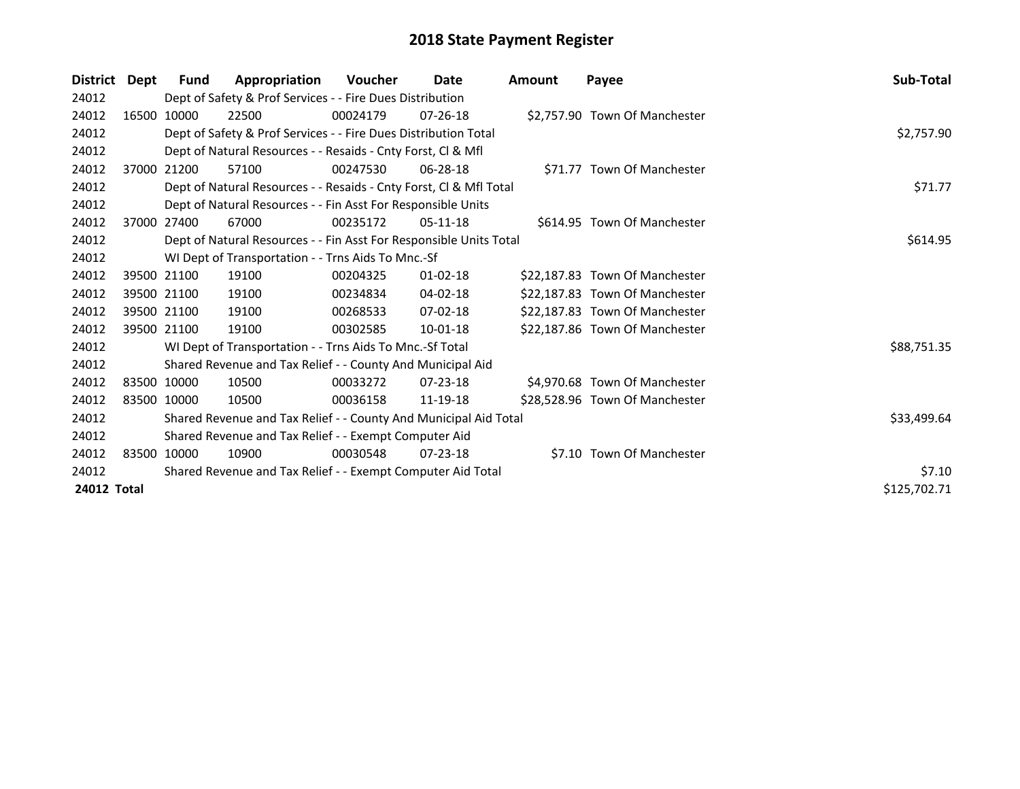| <b>District</b> | Dept | Fund                                                        | Appropriation                                                                 | <b>Voucher</b> | Date           | Amount | Payee                          | Sub-Total    |  |  |
|-----------------|------|-------------------------------------------------------------|-------------------------------------------------------------------------------|----------------|----------------|--------|--------------------------------|--------------|--|--|
| 24012           |      |                                                             | Dept of Safety & Prof Services - - Fire Dues Distribution                     |                |                |        |                                |              |  |  |
| 24012           |      | 16500 10000                                                 | 22500                                                                         | 00024179       | $07 - 26 - 18$ |        | \$2,757.90 Town Of Manchester  |              |  |  |
| 24012           |      |                                                             | \$2,757.90<br>Dept of Safety & Prof Services - - Fire Dues Distribution Total |                |                |        |                                |              |  |  |
| 24012           |      |                                                             | Dept of Natural Resources - - Resaids - Cnty Forst, CI & Mfl                  |                |                |        |                                |              |  |  |
| 24012           |      | 37000 21200                                                 | 57100                                                                         | 00247530       | 06-28-18       |        | \$71.77 Town Of Manchester     |              |  |  |
| 24012           |      |                                                             | Dept of Natural Resources - - Resaids - Cnty Forst, CI & Mfl Total            |                |                |        |                                | \$71.77      |  |  |
| 24012           |      |                                                             | Dept of Natural Resources - - Fin Asst For Responsible Units                  |                |                |        |                                |              |  |  |
| 24012           |      | 37000 27400                                                 | 67000                                                                         | 00235172       | 05-11-18       |        | \$614.95 Town Of Manchester    |              |  |  |
| 24012           |      |                                                             | Dept of Natural Resources - - Fin Asst For Responsible Units Total            |                |                |        |                                | \$614.95     |  |  |
| 24012           |      |                                                             | WI Dept of Transportation - - Trns Aids To Mnc.-Sf                            |                |                |        |                                |              |  |  |
| 24012           |      | 39500 21100                                                 | 19100                                                                         | 00204325       | $01 - 02 - 18$ |        | \$22,187.83 Town Of Manchester |              |  |  |
| 24012           |      | 39500 21100                                                 | 19100                                                                         | 00234834       | 04-02-18       |        | \$22,187.83 Town Of Manchester |              |  |  |
| 24012           |      | 39500 21100                                                 | 19100                                                                         | 00268533       | 07-02-18       |        | \$22,187.83 Town Of Manchester |              |  |  |
| 24012           |      | 39500 21100                                                 | 19100                                                                         | 00302585       | $10-01-18$     |        | \$22,187.86 Town Of Manchester |              |  |  |
| 24012           |      |                                                             | WI Dept of Transportation - - Trns Aids To Mnc.-Sf Total                      |                |                |        |                                | \$88,751.35  |  |  |
| 24012           |      |                                                             | Shared Revenue and Tax Relief - - County And Municipal Aid                    |                |                |        |                                |              |  |  |
| 24012           |      | 83500 10000                                                 | 10500                                                                         | 00033272       | $07 - 23 - 18$ |        | \$4,970.68 Town Of Manchester  |              |  |  |
| 24012           |      | 83500 10000                                                 | 10500                                                                         | 00036158       | 11-19-18       |        | \$28,528.96 Town Of Manchester |              |  |  |
| 24012           |      |                                                             | Shared Revenue and Tax Relief - - County And Municipal Aid Total              |                |                |        |                                | \$33,499.64  |  |  |
| 24012           |      | Shared Revenue and Tax Relief - - Exempt Computer Aid       |                                                                               |                |                |        |                                |              |  |  |
| 24012           |      | 83500 10000                                                 | 10900                                                                         | 00030548       | $07 - 23 - 18$ |        | \$7.10 Town Of Manchester      |              |  |  |
| 24012           |      | Shared Revenue and Tax Relief - - Exempt Computer Aid Total | \$7.10                                                                        |                |                |        |                                |              |  |  |
| 24012 Total     |      |                                                             |                                                                               |                |                |        |                                | \$125,702.71 |  |  |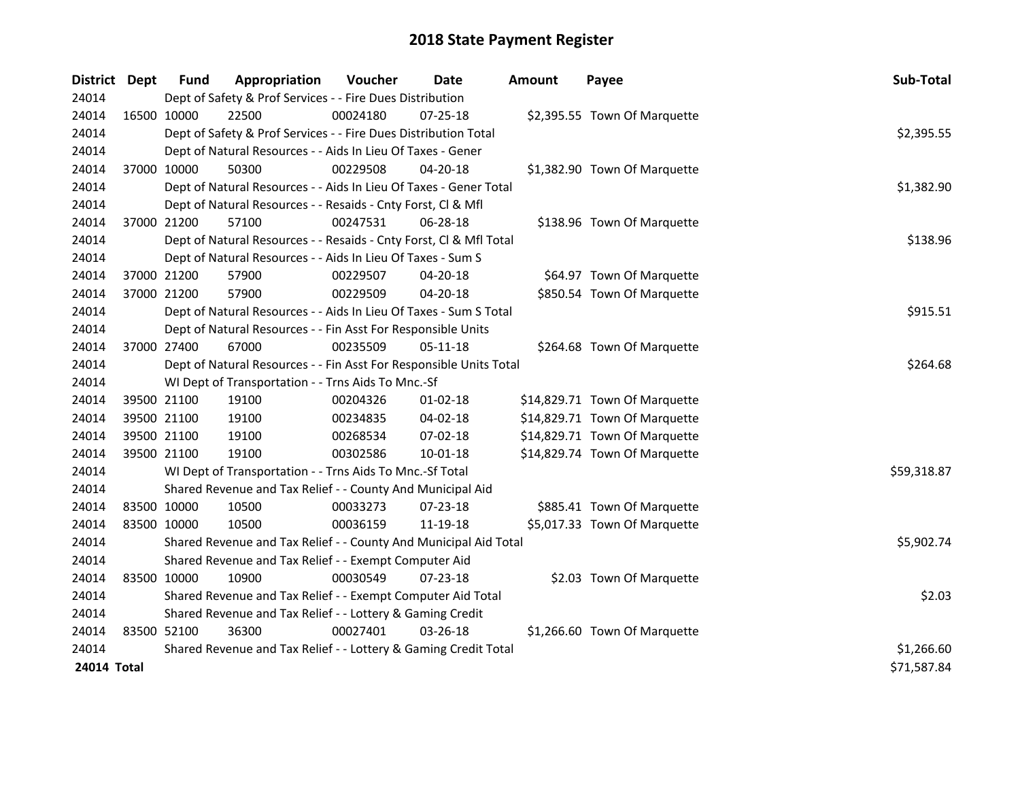| District Dept |             | <b>Fund</b>                                               | Appropriation                                                                  | Voucher  | <b>Date</b>    | <b>Amount</b> | Payee                         | Sub-Total   |  |  |  |
|---------------|-------------|-----------------------------------------------------------|--------------------------------------------------------------------------------|----------|----------------|---------------|-------------------------------|-------------|--|--|--|
| 24014         |             |                                                           | Dept of Safety & Prof Services - - Fire Dues Distribution                      |          |                |               |                               |             |  |  |  |
| 24014         | 16500 10000 |                                                           | 22500                                                                          | 00024180 | 07-25-18       |               | \$2,395.55 Town Of Marquette  |             |  |  |  |
| 24014         |             |                                                           | Dept of Safety & Prof Services - - Fire Dues Distribution Total                |          |                |               |                               | \$2,395.55  |  |  |  |
| 24014         |             |                                                           | Dept of Natural Resources - - Aids In Lieu Of Taxes - Gener                    |          |                |               |                               |             |  |  |  |
| 24014         | 37000 10000 |                                                           | 50300                                                                          | 00229508 | $04 - 20 - 18$ |               | \$1,382.90 Town Of Marquette  |             |  |  |  |
| 24014         |             |                                                           | Dept of Natural Resources - - Aids In Lieu Of Taxes - Gener Total              |          |                |               |                               | \$1,382.90  |  |  |  |
| 24014         |             |                                                           | Dept of Natural Resources - - Resaids - Cnty Forst, Cl & Mfl                   |          |                |               |                               |             |  |  |  |
| 24014         | 37000 21200 |                                                           | 57100                                                                          | 00247531 | 06-28-18       |               | \$138.96 Town Of Marquette    |             |  |  |  |
| 24014         |             |                                                           | Dept of Natural Resources - - Resaids - Cnty Forst, Cl & Mfl Total             |          |                |               |                               | \$138.96    |  |  |  |
| 24014         |             |                                                           | Dept of Natural Resources - - Aids In Lieu Of Taxes - Sum S                    |          |                |               |                               |             |  |  |  |
| 24014         | 37000 21200 |                                                           | 57900                                                                          | 00229507 | 04-20-18       |               | \$64.97 Town Of Marquette     |             |  |  |  |
| 24014         | 37000 21200 |                                                           | 57900                                                                          | 00229509 | 04-20-18       |               | \$850.54 Town Of Marquette    |             |  |  |  |
| 24014         |             |                                                           | Dept of Natural Resources - - Aids In Lieu Of Taxes - Sum S Total              |          |                |               |                               | \$915.51    |  |  |  |
| 24014         |             |                                                           | Dept of Natural Resources - - Fin Asst For Responsible Units                   |          |                |               |                               |             |  |  |  |
| 24014         | 37000 27400 |                                                           | 67000                                                                          | 00235509 | $05 - 11 - 18$ |               | \$264.68 Town Of Marquette    |             |  |  |  |
| 24014         |             |                                                           | \$264.68<br>Dept of Natural Resources - - Fin Asst For Responsible Units Total |          |                |               |                               |             |  |  |  |
| 24014         |             |                                                           | WI Dept of Transportation - - Trns Aids To Mnc.-Sf                             |          |                |               |                               |             |  |  |  |
| 24014         | 39500 21100 |                                                           | 19100                                                                          | 00204326 | $01 - 02 - 18$ |               | \$14,829.71 Town Of Marquette |             |  |  |  |
| 24014         | 39500 21100 |                                                           | 19100                                                                          | 00234835 | 04-02-18       |               | \$14,829.71 Town Of Marquette |             |  |  |  |
| 24014         | 39500 21100 |                                                           | 19100                                                                          | 00268534 | 07-02-18       |               | \$14,829.71 Town Of Marquette |             |  |  |  |
| 24014         | 39500 21100 |                                                           | 19100                                                                          | 00302586 | 10-01-18       |               | \$14,829.74 Town Of Marquette |             |  |  |  |
| 24014         |             |                                                           | WI Dept of Transportation - - Trns Aids To Mnc.-Sf Total                       |          |                |               |                               | \$59,318.87 |  |  |  |
| 24014         |             |                                                           | Shared Revenue and Tax Relief - - County And Municipal Aid                     |          |                |               |                               |             |  |  |  |
| 24014         | 83500 10000 |                                                           | 10500                                                                          | 00033273 | 07-23-18       |               | \$885.41 Town Of Marquette    |             |  |  |  |
| 24014         | 83500 10000 |                                                           | 10500                                                                          | 00036159 | 11-19-18       |               | \$5,017.33 Town Of Marquette  |             |  |  |  |
| 24014         |             |                                                           | Shared Revenue and Tax Relief - - County And Municipal Aid Total               |          |                |               |                               | \$5,902.74  |  |  |  |
| 24014         |             |                                                           | Shared Revenue and Tax Relief - - Exempt Computer Aid                          |          |                |               |                               |             |  |  |  |
| 24014         | 83500 10000 |                                                           | 10900                                                                          | 00030549 | 07-23-18       |               | \$2.03 Town Of Marquette      |             |  |  |  |
| 24014         |             |                                                           | Shared Revenue and Tax Relief - - Exempt Computer Aid Total                    |          |                |               |                               | \$2.03      |  |  |  |
| 24014         |             | Shared Revenue and Tax Relief - - Lottery & Gaming Credit |                                                                                |          |                |               |                               |             |  |  |  |
| 24014         | 83500 52100 |                                                           | 36300                                                                          | 00027401 | 03-26-18       |               | \$1,266.60 Town Of Marquette  |             |  |  |  |
| 24014         |             |                                                           | Shared Revenue and Tax Relief - - Lottery & Gaming Credit Total                |          |                |               |                               | \$1,266.60  |  |  |  |
| 24014 Total   |             |                                                           |                                                                                |          |                |               |                               | \$71,587.84 |  |  |  |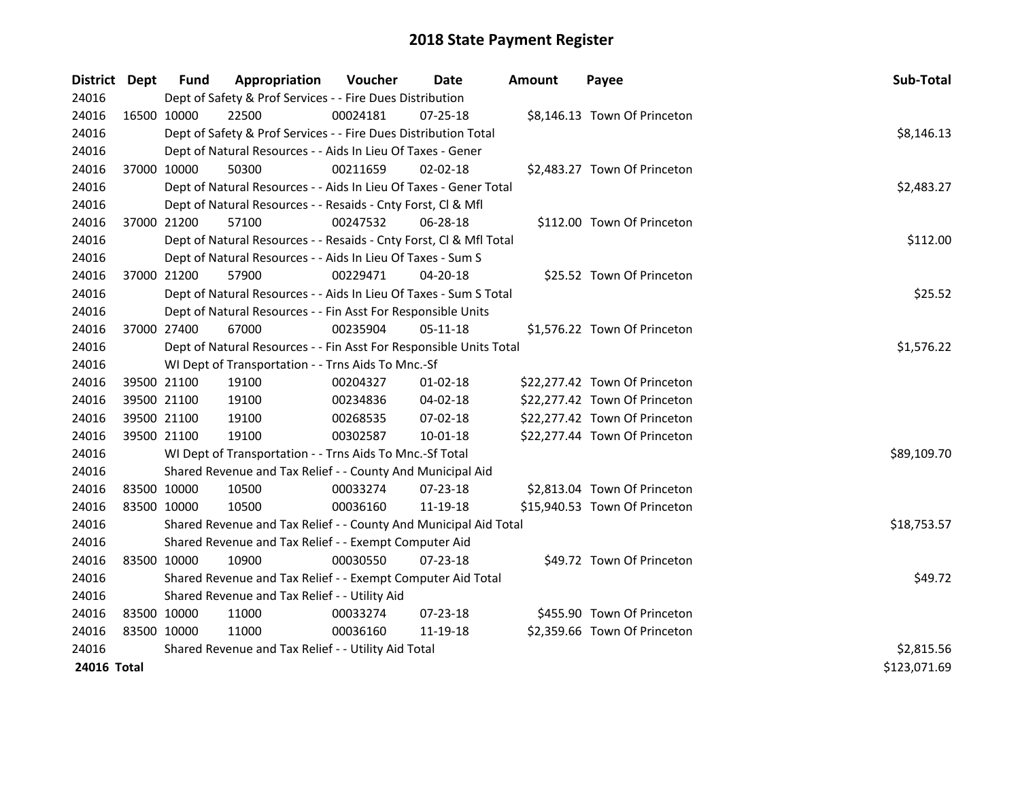| District Dept |             | <b>Fund</b>                                   | Appropriation                                                      | Voucher    | <b>Date</b>    | <b>Amount</b> | Payee                         | Sub-Total    |  |
|---------------|-------------|-----------------------------------------------|--------------------------------------------------------------------|------------|----------------|---------------|-------------------------------|--------------|--|
| 24016         |             |                                               | Dept of Safety & Prof Services - - Fire Dues Distribution          |            |                |               |                               |              |  |
| 24016         | 16500 10000 |                                               | 22500                                                              | 00024181   | $07 - 25 - 18$ |               | \$8,146.13 Town Of Princeton  |              |  |
| 24016         |             |                                               | Dept of Safety & Prof Services - - Fire Dues Distribution Total    |            |                |               |                               | \$8,146.13   |  |
| 24016         |             |                                               | Dept of Natural Resources - - Aids In Lieu Of Taxes - Gener        |            |                |               |                               |              |  |
| 24016         | 37000 10000 |                                               | 50300                                                              | 00211659   | $02 - 02 - 18$ |               | \$2,483.27 Town Of Princeton  |              |  |
| 24016         |             |                                               | Dept of Natural Resources - - Aids In Lieu Of Taxes - Gener Total  |            |                |               |                               | \$2,483.27   |  |
| 24016         |             |                                               | Dept of Natural Resources - - Resaids - Cnty Forst, Cl & Mfl       |            |                |               |                               |              |  |
| 24016         | 37000 21200 |                                               | 57100                                                              | 00247532   | 06-28-18       |               | \$112.00 Town Of Princeton    |              |  |
| 24016         |             |                                               | Dept of Natural Resources - - Resaids - Cnty Forst, Cl & Mfl Total |            |                |               |                               | \$112.00     |  |
| 24016         |             |                                               | Dept of Natural Resources - - Aids In Lieu Of Taxes - Sum S        |            |                |               |                               |              |  |
| 24016         |             | 37000 21200                                   | 57900                                                              | 00229471   | 04-20-18       |               | \$25.52 Town Of Princeton     |              |  |
| 24016         |             |                                               | Dept of Natural Resources - - Aids In Lieu Of Taxes - Sum S Total  |            |                |               |                               | \$25.52      |  |
| 24016         |             |                                               | Dept of Natural Resources - - Fin Asst For Responsible Units       |            |                |               |                               |              |  |
| 24016         | 37000 27400 |                                               | 67000                                                              | 00235904   | $05 - 11 - 18$ |               | \$1,576.22 Town Of Princeton  |              |  |
| 24016         |             |                                               | Dept of Natural Resources - - Fin Asst For Responsible Units Total | \$1,576.22 |                |               |                               |              |  |
| 24016         |             |                                               | WI Dept of Transportation - - Trns Aids To Mnc.-Sf                 |            |                |               |                               |              |  |
| 24016         |             | 39500 21100                                   | 19100                                                              | 00204327   | $01 - 02 - 18$ |               | \$22,277.42 Town Of Princeton |              |  |
| 24016         | 39500 21100 |                                               | 19100                                                              | 00234836   | 04-02-18       |               | \$22,277.42 Town Of Princeton |              |  |
| 24016         |             | 39500 21100                                   | 19100                                                              | 00268535   | 07-02-18       |               | \$22,277.42 Town Of Princeton |              |  |
| 24016         | 39500 21100 |                                               | 19100                                                              | 00302587   | $10 - 01 - 18$ |               | \$22,277.44 Town Of Princeton |              |  |
| 24016         |             |                                               | WI Dept of Transportation - - Trns Aids To Mnc.-Sf Total           |            |                |               |                               | \$89,109.70  |  |
| 24016         |             |                                               | Shared Revenue and Tax Relief - - County And Municipal Aid         |            |                |               |                               |              |  |
| 24016         |             | 83500 10000                                   | 10500                                                              | 00033274   | 07-23-18       |               | \$2,813.04 Town Of Princeton  |              |  |
| 24016         | 83500 10000 |                                               | 10500                                                              | 00036160   | 11-19-18       |               | \$15,940.53 Town Of Princeton |              |  |
| 24016         |             |                                               | Shared Revenue and Tax Relief - - County And Municipal Aid Total   |            |                |               |                               | \$18,753.57  |  |
| 24016         |             |                                               | Shared Revenue and Tax Relief - - Exempt Computer Aid              |            |                |               |                               |              |  |
| 24016         | 83500 10000 |                                               | 10900                                                              | 00030550   | 07-23-18       |               | \$49.72 Town Of Princeton     |              |  |
| 24016         |             |                                               | Shared Revenue and Tax Relief - - Exempt Computer Aid Total        |            |                |               |                               | \$49.72      |  |
| 24016         |             | Shared Revenue and Tax Relief - - Utility Aid |                                                                    |            |                |               |                               |              |  |
| 24016         | 83500 10000 |                                               | 11000                                                              | 00033274   | 07-23-18       |               | \$455.90 Town Of Princeton    |              |  |
| 24016         | 83500 10000 |                                               | 11000                                                              | 00036160   | 11-19-18       |               | \$2,359.66 Town Of Princeton  |              |  |
| 24016         |             |                                               | Shared Revenue and Tax Relief - - Utility Aid Total                |            |                |               |                               | \$2,815.56   |  |
| 24016 Total   |             |                                               |                                                                    |            |                |               |                               | \$123,071.69 |  |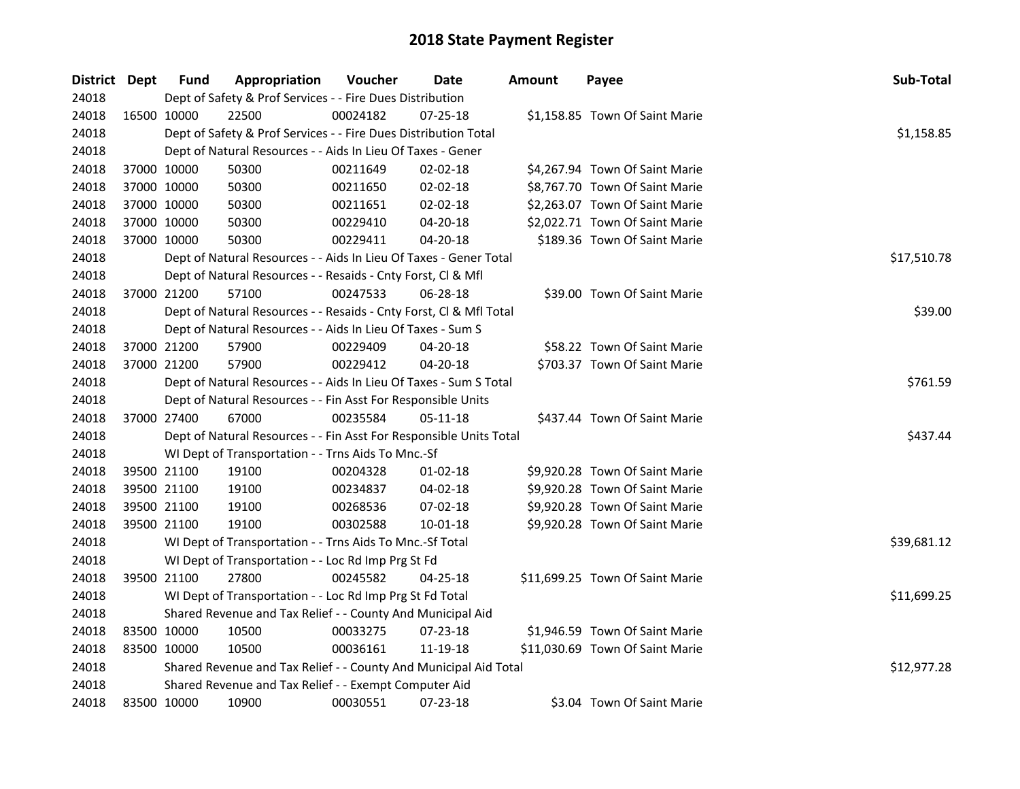| District Dept |             | <b>Fund</b>                                           | Appropriation                                                      | Voucher  | Date           | <b>Amount</b> | Payee                           | Sub-Total   |  |  |  |
|---------------|-------------|-------------------------------------------------------|--------------------------------------------------------------------|----------|----------------|---------------|---------------------------------|-------------|--|--|--|
| 24018         |             |                                                       | Dept of Safety & Prof Services - - Fire Dues Distribution          |          |                |               |                                 |             |  |  |  |
| 24018         |             | 16500 10000                                           | 22500                                                              | 00024182 | 07-25-18       |               | \$1,158.85 Town Of Saint Marie  |             |  |  |  |
| 24018         |             |                                                       | Dept of Safety & Prof Services - - Fire Dues Distribution Total    |          |                |               |                                 | \$1,158.85  |  |  |  |
| 24018         |             |                                                       | Dept of Natural Resources - - Aids In Lieu Of Taxes - Gener        |          |                |               |                                 |             |  |  |  |
| 24018         |             | 37000 10000                                           | 50300                                                              | 00211649 | 02-02-18       |               | \$4,267.94 Town Of Saint Marie  |             |  |  |  |
| 24018         | 37000 10000 |                                                       | 50300                                                              | 00211650 | $02 - 02 - 18$ |               | \$8,767.70 Town Of Saint Marie  |             |  |  |  |
| 24018         | 37000 10000 |                                                       | 50300                                                              | 00211651 | 02-02-18       |               | \$2,263.07 Town Of Saint Marie  |             |  |  |  |
| 24018         | 37000 10000 |                                                       | 50300                                                              | 00229410 | 04-20-18       |               | \$2,022.71 Town Of Saint Marie  |             |  |  |  |
| 24018         | 37000 10000 |                                                       | 50300                                                              | 00229411 | 04-20-18       |               | \$189.36 Town Of Saint Marie    |             |  |  |  |
| 24018         |             |                                                       | Dept of Natural Resources - - Aids In Lieu Of Taxes - Gener Total  |          |                |               |                                 |             |  |  |  |
| 24018         |             |                                                       | Dept of Natural Resources - - Resaids - Cnty Forst, Cl & Mfl       |          |                |               |                                 |             |  |  |  |
| 24018         |             | 37000 21200                                           | 57100                                                              | 00247533 | 06-28-18       |               | \$39.00 Town Of Saint Marie     |             |  |  |  |
| 24018         |             |                                                       | Dept of Natural Resources - - Resaids - Cnty Forst, Cl & Mfl Total |          |                |               |                                 | \$39.00     |  |  |  |
| 24018         |             |                                                       | Dept of Natural Resources - - Aids In Lieu Of Taxes - Sum S        |          |                |               |                                 |             |  |  |  |
| 24018         | 37000 21200 |                                                       | 57900                                                              | 00229409 | 04-20-18       |               | \$58.22 Town Of Saint Marie     |             |  |  |  |
| 24018         |             | 37000 21200                                           | 57900                                                              | 00229412 | 04-20-18       |               | \$703.37 Town Of Saint Marie    |             |  |  |  |
| 24018         |             |                                                       | Dept of Natural Resources - - Aids In Lieu Of Taxes - Sum S Total  | \$761.59 |                |               |                                 |             |  |  |  |
| 24018         |             |                                                       | Dept of Natural Resources - - Fin Asst For Responsible Units       |          |                |               |                                 |             |  |  |  |
| 24018         |             | 37000 27400                                           | 67000                                                              | 00235584 | 05-11-18       |               | \$437.44 Town Of Saint Marie    |             |  |  |  |
| 24018         |             |                                                       | Dept of Natural Resources - - Fin Asst For Responsible Units Total |          |                |               |                                 | \$437.44    |  |  |  |
| 24018         |             |                                                       | WI Dept of Transportation - - Trns Aids To Mnc.-Sf                 |          |                |               |                                 |             |  |  |  |
| 24018         |             | 39500 21100                                           | 19100                                                              | 00204328 | $01-02-18$     |               | \$9,920.28 Town Of Saint Marie  |             |  |  |  |
| 24018         | 39500 21100 |                                                       | 19100                                                              | 00234837 | 04-02-18       |               | \$9,920.28 Town Of Saint Marie  |             |  |  |  |
| 24018         | 39500 21100 |                                                       | 19100                                                              | 00268536 | 07-02-18       |               | \$9,920.28 Town Of Saint Marie  |             |  |  |  |
| 24018         |             | 39500 21100                                           | 19100                                                              | 00302588 | 10-01-18       |               | \$9,920.28 Town Of Saint Marie  |             |  |  |  |
| 24018         |             |                                                       | WI Dept of Transportation - - Trns Aids To Mnc.-Sf Total           |          |                |               |                                 | \$39,681.12 |  |  |  |
| 24018         |             |                                                       | WI Dept of Transportation - - Loc Rd Imp Prg St Fd                 |          |                |               |                                 |             |  |  |  |
| 24018         |             | 39500 21100                                           | 27800                                                              | 00245582 | 04-25-18       |               | \$11,699.25 Town Of Saint Marie |             |  |  |  |
| 24018         |             |                                                       | WI Dept of Transportation - - Loc Rd Imp Prg St Fd Total           |          |                |               |                                 | \$11,699.25 |  |  |  |
| 24018         |             |                                                       | Shared Revenue and Tax Relief - - County And Municipal Aid         |          |                |               |                                 |             |  |  |  |
| 24018         | 83500 10000 |                                                       | 10500                                                              | 00033275 | $07 - 23 - 18$ |               | \$1,946.59 Town Of Saint Marie  |             |  |  |  |
| 24018         | 83500 10000 |                                                       | 10500                                                              | 00036161 | 11-19-18       |               | \$11,030.69 Town Of Saint Marie |             |  |  |  |
| 24018         |             |                                                       | Shared Revenue and Tax Relief - - County And Municipal Aid Total   |          |                |               |                                 | \$12,977.28 |  |  |  |
| 24018         |             | Shared Revenue and Tax Relief - - Exempt Computer Aid |                                                                    |          |                |               |                                 |             |  |  |  |
| 24018         | 83500 10000 |                                                       | 10900                                                              | 00030551 | 07-23-18       |               | \$3.04 Town Of Saint Marie      |             |  |  |  |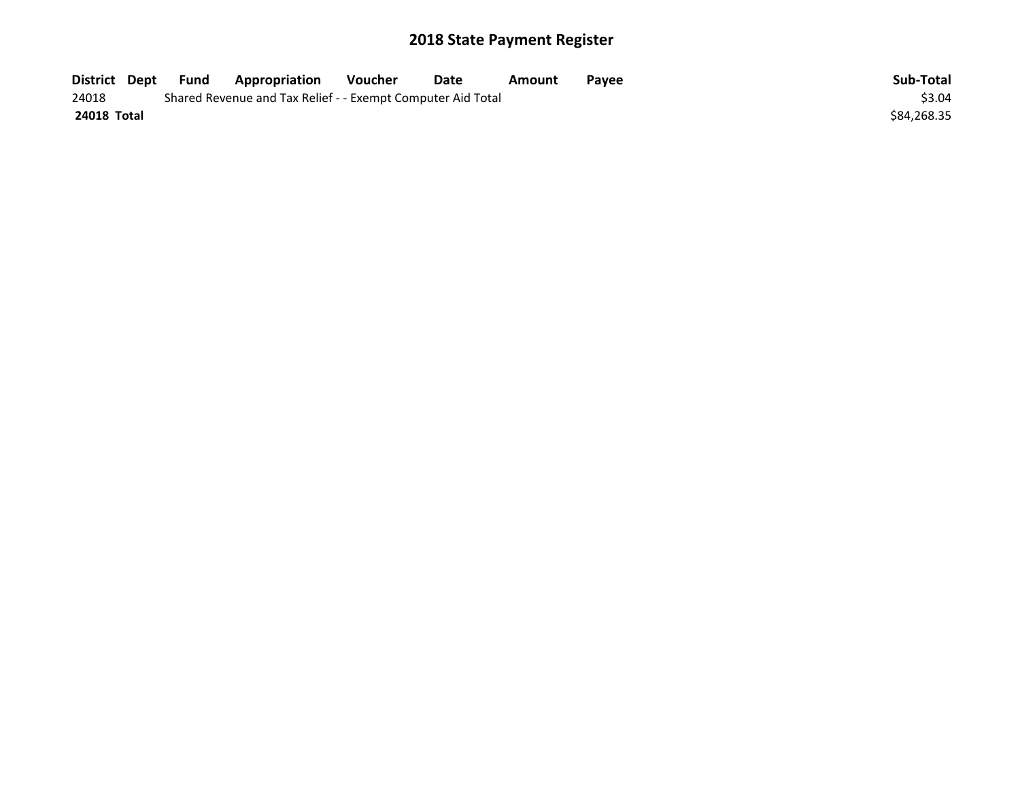| District Dept | Fund | <b>Appropriation</b>                                        | Voucher | Date | Amount | Pavee | Sub-Total   |
|---------------|------|-------------------------------------------------------------|---------|------|--------|-------|-------------|
| 24018         |      | Shared Revenue and Tax Relief - - Exempt Computer Aid Total |         |      |        |       | \$3.04      |
| 24018 Total   |      |                                                             |         |      |        |       | \$84,268.35 |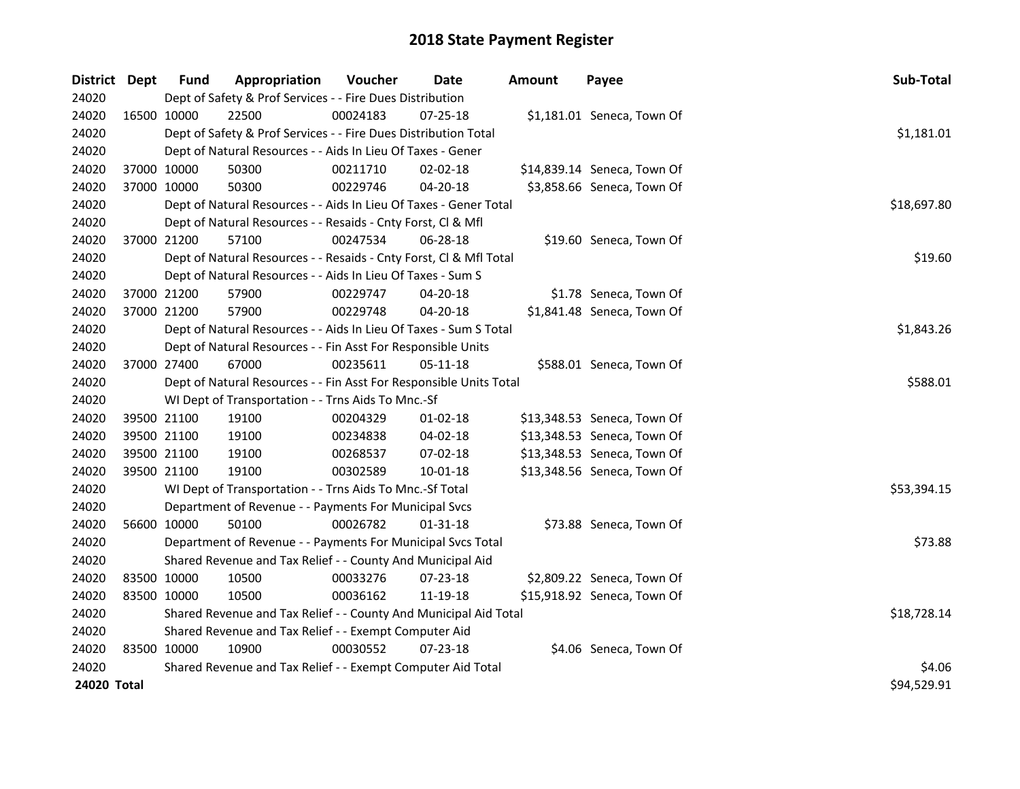| <b>District</b> | <b>Dept</b> | <b>Fund</b> | Appropriation                                                      | Voucher     | Date           | <b>Amount</b> | Payee                       | Sub-Total   |  |  |  |
|-----------------|-------------|-------------|--------------------------------------------------------------------|-------------|----------------|---------------|-----------------------------|-------------|--|--|--|
| 24020           |             |             | Dept of Safety & Prof Services - - Fire Dues Distribution          |             |                |               |                             |             |  |  |  |
| 24020           | 16500 10000 |             | 22500                                                              | 00024183    | 07-25-18       |               | \$1,181.01 Seneca, Town Of  |             |  |  |  |
| 24020           |             |             | Dept of Safety & Prof Services - - Fire Dues Distribution Total    |             |                |               |                             | \$1,181.01  |  |  |  |
| 24020           |             |             | Dept of Natural Resources - - Aids In Lieu Of Taxes - Gener        |             |                |               |                             |             |  |  |  |
| 24020           |             | 37000 10000 | 50300                                                              | 00211710    | 02-02-18       |               | \$14,839.14 Seneca, Town Of |             |  |  |  |
| 24020           | 37000 10000 |             | 50300                                                              | 00229746    | 04-20-18       |               | \$3,858.66 Seneca, Town Of  |             |  |  |  |
| 24020           |             |             | Dept of Natural Resources - - Aids In Lieu Of Taxes - Gener Total  | \$18,697.80 |                |               |                             |             |  |  |  |
| 24020           |             |             | Dept of Natural Resources - - Resaids - Cnty Forst, Cl & Mfl       |             |                |               |                             |             |  |  |  |
| 24020           | 37000 21200 |             | 57100                                                              | 00247534    | 06-28-18       |               | \$19.60 Seneca, Town Of     |             |  |  |  |
| 24020           |             |             | Dept of Natural Resources - - Resaids - Cnty Forst, Cl & Mfl Total |             |                |               |                             |             |  |  |  |
| 24020           |             |             | Dept of Natural Resources - - Aids In Lieu Of Taxes - Sum S        |             |                |               |                             |             |  |  |  |
| 24020           | 37000 21200 |             | 57900                                                              | 00229747    | 04-20-18       |               | \$1.78 Seneca, Town Of      |             |  |  |  |
| 24020           | 37000 21200 |             | 57900                                                              | 00229748    | 04-20-18       |               | \$1,841.48 Seneca, Town Of  |             |  |  |  |
| 24020           |             |             | Dept of Natural Resources - - Aids In Lieu Of Taxes - Sum S Total  | \$1,843.26  |                |               |                             |             |  |  |  |
| 24020           |             |             | Dept of Natural Resources - - Fin Asst For Responsible Units       |             |                |               |                             |             |  |  |  |
| 24020           | 37000 27400 |             | 67000                                                              | 00235611    | $05 - 11 - 18$ |               | \$588.01 Seneca, Town Of    |             |  |  |  |
| 24020           |             |             | Dept of Natural Resources - - Fin Asst For Responsible Units Total | \$588.01    |                |               |                             |             |  |  |  |
| 24020           |             |             | WI Dept of Transportation - - Trns Aids To Mnc.-Sf                 |             |                |               |                             |             |  |  |  |
| 24020           | 39500 21100 |             | 19100                                                              | 00204329    | 01-02-18       |               | \$13,348.53 Seneca, Town Of |             |  |  |  |
| 24020           | 39500 21100 |             | 19100                                                              | 00234838    | 04-02-18       |               | \$13,348.53 Seneca, Town Of |             |  |  |  |
| 24020           | 39500 21100 |             | 19100                                                              | 00268537    | 07-02-18       |               | \$13,348.53 Seneca, Town Of |             |  |  |  |
| 24020           | 39500 21100 |             | 19100                                                              | 00302589    | $10 - 01 - 18$ |               | \$13,348.56 Seneca, Town Of |             |  |  |  |
| 24020           |             |             | WI Dept of Transportation - - Trns Aids To Mnc.-Sf Total           |             |                |               |                             | \$53,394.15 |  |  |  |
| 24020           |             |             | Department of Revenue - - Payments For Municipal Svcs              |             |                |               |                             |             |  |  |  |
| 24020           | 56600 10000 |             | 50100                                                              | 00026782    | $01 - 31 - 18$ |               | \$73.88 Seneca, Town Of     |             |  |  |  |
| 24020           |             |             | Department of Revenue - - Payments For Municipal Svcs Total        |             |                |               |                             | \$73.88     |  |  |  |
| 24020           |             |             | Shared Revenue and Tax Relief - - County And Municipal Aid         |             |                |               |                             |             |  |  |  |
| 24020           | 83500 10000 |             | 10500                                                              | 00033276    | 07-23-18       |               | \$2,809.22 Seneca, Town Of  |             |  |  |  |
| 24020           | 83500 10000 |             | 10500                                                              | 00036162    | 11-19-18       |               | \$15,918.92 Seneca, Town Of |             |  |  |  |
| 24020           |             |             | Shared Revenue and Tax Relief - - County And Municipal Aid Total   |             |                |               |                             | \$18,728.14 |  |  |  |
| 24020           |             |             | Shared Revenue and Tax Relief - - Exempt Computer Aid              |             |                |               |                             |             |  |  |  |
| 24020           | 83500 10000 |             | 10900                                                              | 00030552    | 07-23-18       |               | \$4.06 Seneca, Town Of      |             |  |  |  |
| 24020           |             |             | Shared Revenue and Tax Relief - - Exempt Computer Aid Total        |             |                |               |                             | \$4.06      |  |  |  |
| 24020 Total     |             |             |                                                                    |             |                |               |                             | \$94,529.91 |  |  |  |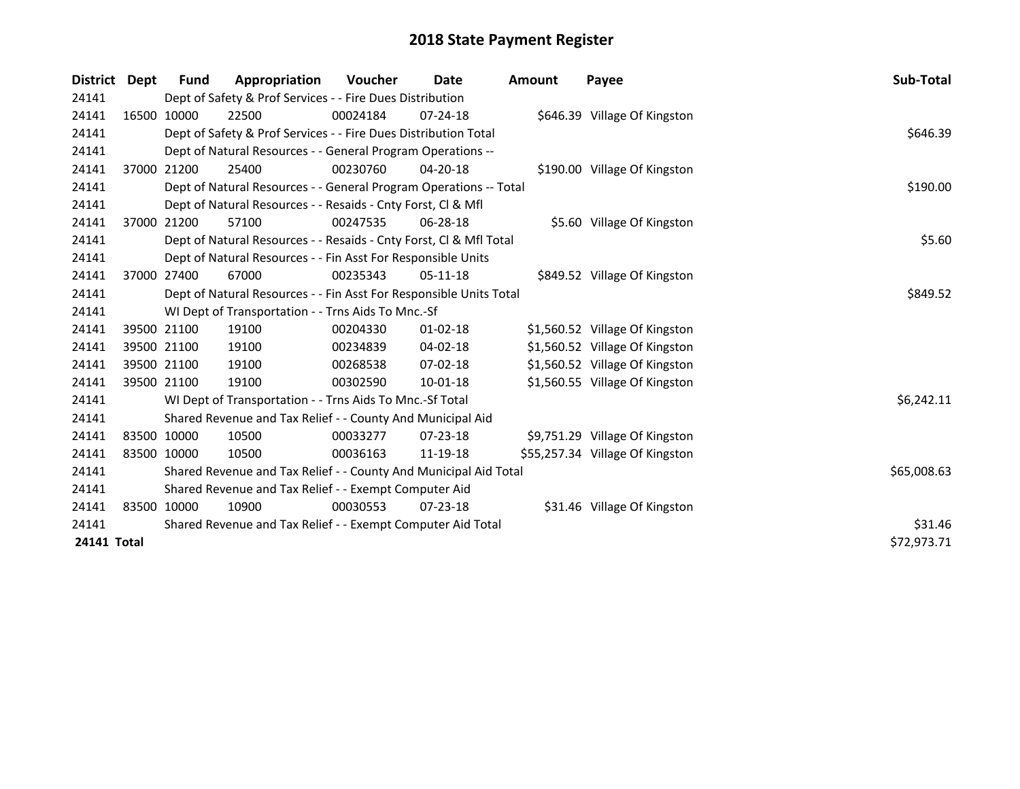| District    | Dept | Fund        | Appropriation                                                      | <b>Voucher</b> | Date           | <b>Amount</b> | Payee                           | Sub-Total   |
|-------------|------|-------------|--------------------------------------------------------------------|----------------|----------------|---------------|---------------------------------|-------------|
| 24141       |      |             | Dept of Safety & Prof Services - - Fire Dues Distribution          |                |                |               |                                 |             |
| 24141       |      | 16500 10000 | 22500                                                              | 00024184       | $07 - 24 - 18$ |               | \$646.39 Village Of Kingston    |             |
| 24141       |      |             | Dept of Safety & Prof Services - - Fire Dues Distribution Total    |                |                |               |                                 | \$646.39    |
| 24141       |      |             | Dept of Natural Resources - - General Program Operations --        |                |                |               |                                 |             |
| 24141       |      | 37000 21200 | 25400                                                              | 00230760       | 04-20-18       |               | \$190.00 Village Of Kingston    |             |
| 24141       |      |             | Dept of Natural Resources - - General Program Operations -- Total  |                |                |               |                                 | \$190.00    |
| 24141       |      |             | Dept of Natural Resources - - Resaids - Cnty Forst, Cl & Mfl       |                |                |               |                                 |             |
| 24141       |      | 37000 21200 | 57100                                                              | 00247535       | $06 - 28 - 18$ |               | \$5.60 Village Of Kingston      |             |
| 24141       |      |             | Dept of Natural Resources - - Resaids - Cnty Forst, Cl & Mfl Total |                |                |               |                                 | \$5.60      |
| 24141       |      |             | Dept of Natural Resources - - Fin Asst For Responsible Units       |                |                |               |                                 |             |
| 24141       |      | 37000 27400 | 67000                                                              | 00235343       | $05-11-18$     |               | \$849.52 Village Of Kingston    |             |
| 24141       |      |             | Dept of Natural Resources - - Fin Asst For Responsible Units Total | \$849.52       |                |               |                                 |             |
| 24141       |      |             | WI Dept of Transportation - - Trns Aids To Mnc.-Sf                 |                |                |               |                                 |             |
| 24141       |      | 39500 21100 | 19100                                                              | 00204330       | $01-02-18$     |               | \$1,560.52 Village Of Kingston  |             |
| 24141       |      | 39500 21100 | 19100                                                              | 00234839       | $04 - 02 - 18$ |               | \$1,560.52 Village Of Kingston  |             |
| 24141       |      | 39500 21100 | 19100                                                              | 00268538       | $07 - 02 - 18$ |               | \$1,560.52 Village Of Kingston  |             |
| 24141       |      | 39500 21100 | 19100                                                              | 00302590       | $10-01-18$     |               | \$1,560.55 Village Of Kingston  |             |
| 24141       |      |             | WI Dept of Transportation - - Trns Aids To Mnc.-Sf Total           |                |                |               |                                 | \$6,242.11  |
| 24141       |      |             | Shared Revenue and Tax Relief - - County And Municipal Aid         |                |                |               |                                 |             |
| 24141       |      | 83500 10000 | 10500                                                              | 00033277       | $07 - 23 - 18$ |               | \$9,751.29 Village Of Kingston  |             |
| 24141       |      | 83500 10000 | 10500                                                              | 00036163       | 11-19-18       |               | \$55,257.34 Village Of Kingston |             |
| 24141       |      |             | Shared Revenue and Tax Relief - - County And Municipal Aid Total   | \$65,008.63    |                |               |                                 |             |
| 24141       |      |             | Shared Revenue and Tax Relief - - Exempt Computer Aid              |                |                |               |                                 |             |
| 24141       |      | 83500 10000 | 10900                                                              | 00030553       | 07-23-18       |               | \$31.46 Village Of Kingston     |             |
| 24141       |      |             | Shared Revenue and Tax Relief - - Exempt Computer Aid Total        |                |                |               |                                 | \$31.46     |
| 24141 Total |      |             |                                                                    |                |                |               |                                 | \$72,973.71 |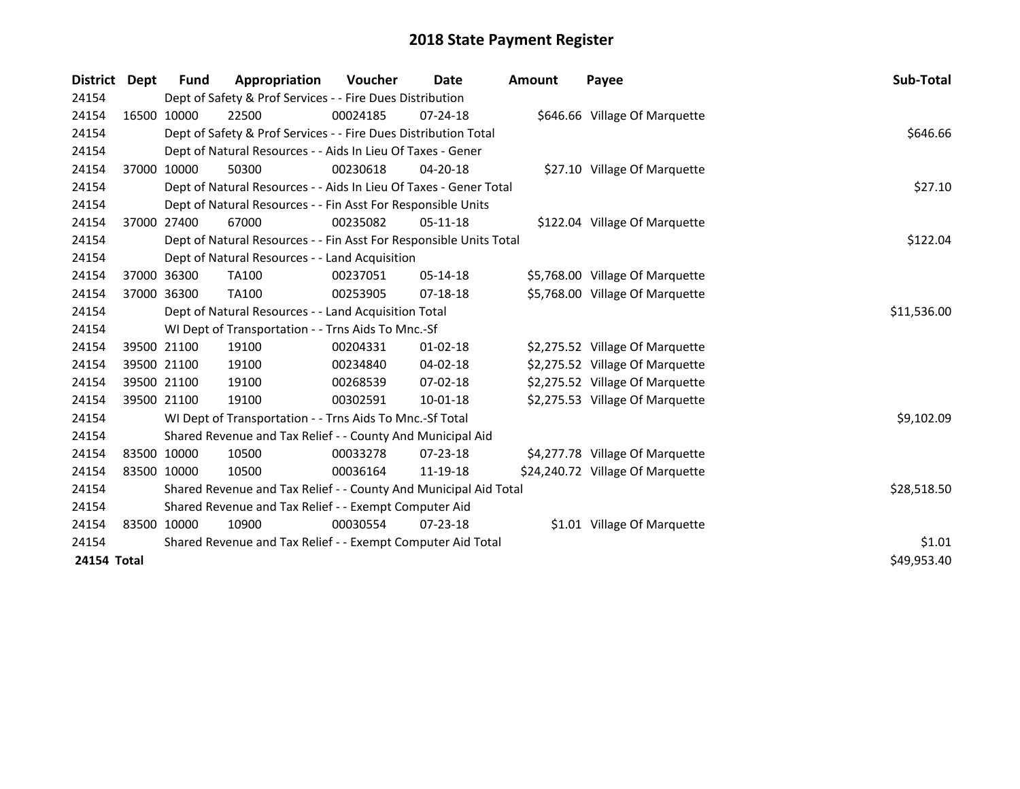| <b>District</b> | Dept | <b>Fund</b> | Appropriation                                                      | Voucher  | Date           | Amount | Payee                            | Sub-Total   |
|-----------------|------|-------------|--------------------------------------------------------------------|----------|----------------|--------|----------------------------------|-------------|
| 24154           |      |             | Dept of Safety & Prof Services - - Fire Dues Distribution          |          |                |        |                                  |             |
| 24154           |      | 16500 10000 | 22500                                                              | 00024185 | $07 - 24 - 18$ |        | \$646.66 Village Of Marquette    |             |
| 24154           |      |             | Dept of Safety & Prof Services - - Fire Dues Distribution Total    |          |                |        |                                  | \$646.66    |
| 24154           |      |             | Dept of Natural Resources - - Aids In Lieu Of Taxes - Gener        |          |                |        |                                  |             |
| 24154           |      | 37000 10000 | 50300                                                              | 00230618 | 04-20-18       |        | \$27.10 Village Of Marquette     |             |
| 24154           |      |             | Dept of Natural Resources - - Aids In Lieu Of Taxes - Gener Total  |          |                |        |                                  | \$27.10     |
| 24154           |      |             | Dept of Natural Resources - - Fin Asst For Responsible Units       |          |                |        |                                  |             |
| 24154           |      | 37000 27400 | 67000                                                              | 00235082 | $05-11-18$     |        | \$122.04 Village Of Marquette    |             |
| 24154           |      |             | Dept of Natural Resources - - Fin Asst For Responsible Units Total |          |                |        |                                  | \$122.04    |
| 24154           |      |             | Dept of Natural Resources - - Land Acquisition                     |          |                |        |                                  |             |
| 24154           |      | 37000 36300 | TA100                                                              | 00237051 | 05-14-18       |        | \$5,768.00 Village Of Marquette  |             |
| 24154           |      | 37000 36300 | TA100                                                              | 00253905 | $07-18-18$     |        | \$5,768.00 Village Of Marquette  |             |
| 24154           |      |             | Dept of Natural Resources - - Land Acquisition Total               |          |                |        |                                  | \$11,536.00 |
| 24154           |      |             | WI Dept of Transportation - - Trns Aids To Mnc.-Sf                 |          |                |        |                                  |             |
| 24154           |      | 39500 21100 | 19100                                                              | 00204331 | $01 - 02 - 18$ |        | \$2,275.52 Village Of Marquette  |             |
| 24154           |      | 39500 21100 | 19100                                                              | 00234840 | 04-02-18       |        | \$2,275.52 Village Of Marquette  |             |
| 24154           |      | 39500 21100 | 19100                                                              | 00268539 | 07-02-18       |        | \$2,275.52 Village Of Marquette  |             |
| 24154           |      | 39500 21100 | 19100                                                              | 00302591 | $10 - 01 - 18$ |        | \$2,275.53 Village Of Marquette  |             |
| 24154           |      |             | WI Dept of Transportation - - Trns Aids To Mnc.-Sf Total           |          |                |        |                                  | \$9,102.09  |
| 24154           |      |             | Shared Revenue and Tax Relief - - County And Municipal Aid         |          |                |        |                                  |             |
| 24154           |      | 83500 10000 | 10500                                                              | 00033278 | $07 - 23 - 18$ |        | \$4,277.78 Village Of Marquette  |             |
| 24154           |      | 83500 10000 | 10500                                                              | 00036164 | 11-19-18       |        | \$24,240.72 Village Of Marquette |             |
| 24154           |      |             | Shared Revenue and Tax Relief - - County And Municipal Aid Total   |          |                |        |                                  | \$28,518.50 |
| 24154           |      |             | Shared Revenue and Tax Relief - - Exempt Computer Aid              |          |                |        |                                  |             |
| 24154           |      | 83500 10000 | 10900                                                              | 00030554 | $07 - 23 - 18$ |        | \$1.01 Village Of Marquette      |             |
| 24154           |      |             | Shared Revenue and Tax Relief - - Exempt Computer Aid Total        | \$1.01   |                |        |                                  |             |
| 24154 Total     |      |             |                                                                    |          |                |        |                                  | \$49,953.40 |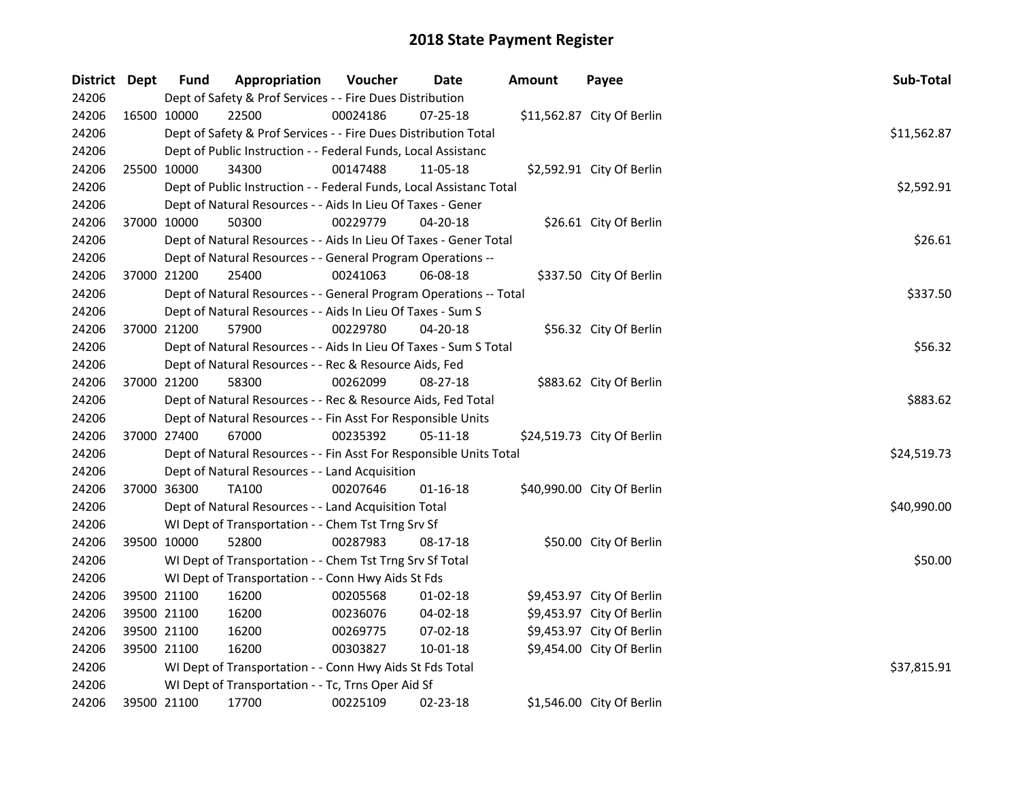| District Dept | <b>Fund</b>                                        | Appropriation                                                       | Voucher  | Date           | <b>Amount</b> | Payee                      | Sub-Total   |  |  |
|---------------|----------------------------------------------------|---------------------------------------------------------------------|----------|----------------|---------------|----------------------------|-------------|--|--|
| 24206         |                                                    | Dept of Safety & Prof Services - - Fire Dues Distribution           |          |                |               |                            |             |  |  |
| 24206         | 16500 10000                                        | 22500                                                               | 00024186 | $07 - 25 - 18$ |               | \$11,562.87 City Of Berlin |             |  |  |
| 24206         |                                                    | Dept of Safety & Prof Services - - Fire Dues Distribution Total     |          |                |               |                            | \$11,562.87 |  |  |
| 24206         |                                                    | Dept of Public Instruction - - Federal Funds, Local Assistanc       |          |                |               |                            |             |  |  |
| 24206         | 25500 10000                                        | 34300                                                               | 00147488 | 11-05-18       |               | \$2,592.91 City Of Berlin  |             |  |  |
| 24206         |                                                    | Dept of Public Instruction - - Federal Funds, Local Assistanc Total |          |                |               |                            | \$2,592.91  |  |  |
| 24206         |                                                    | Dept of Natural Resources - - Aids In Lieu Of Taxes - Gener         |          |                |               |                            |             |  |  |
| 24206         | 37000 10000                                        | 50300                                                               | 00229779 | 04-20-18       |               | \$26.61 City Of Berlin     |             |  |  |
| 24206         |                                                    | Dept of Natural Resources - - Aids In Lieu Of Taxes - Gener Total   |          |                |               |                            | \$26.61     |  |  |
| 24206         |                                                    | Dept of Natural Resources - - General Program Operations --         |          |                |               |                            |             |  |  |
| 24206         | 37000 21200                                        | 25400                                                               | 00241063 | 06-08-18       |               | \$337.50 City Of Berlin    |             |  |  |
| 24206         |                                                    | Dept of Natural Resources - - General Program Operations -- Total   |          |                |               |                            | \$337.50    |  |  |
| 24206         |                                                    | Dept of Natural Resources - - Aids In Lieu Of Taxes - Sum S         |          |                |               |                            |             |  |  |
| 24206         | 37000 21200                                        | 57900                                                               | 00229780 | 04-20-18       |               | \$56.32 City Of Berlin     |             |  |  |
| 24206         |                                                    | Dept of Natural Resources - - Aids In Lieu Of Taxes - Sum S Total   |          |                |               |                            | \$56.32     |  |  |
| 24206         |                                                    | Dept of Natural Resources - - Rec & Resource Aids, Fed              |          |                |               |                            |             |  |  |
| 24206         | 37000 21200                                        | 58300                                                               | 00262099 | 08-27-18       |               | \$883.62 City Of Berlin    |             |  |  |
| 24206         |                                                    | Dept of Natural Resources - - Rec & Resource Aids, Fed Total        |          |                |               |                            | \$883.62    |  |  |
| 24206         |                                                    | Dept of Natural Resources - - Fin Asst For Responsible Units        |          |                |               |                            |             |  |  |
| 24206         | 37000 27400                                        | 67000                                                               | 00235392 | $05 - 11 - 18$ |               | \$24,519.73 City Of Berlin |             |  |  |
| 24206         |                                                    | Dept of Natural Resources - - Fin Asst For Responsible Units Total  |          |                |               |                            | \$24,519.73 |  |  |
| 24206         |                                                    | Dept of Natural Resources - - Land Acquisition                      |          |                |               |                            |             |  |  |
| 24206         | 37000 36300                                        | <b>TA100</b>                                                        | 00207646 | $01 - 16 - 18$ |               | \$40,990.00 City Of Berlin |             |  |  |
| 24206         |                                                    | Dept of Natural Resources - - Land Acquisition Total                |          |                |               |                            | \$40,990.00 |  |  |
| 24206         |                                                    | WI Dept of Transportation - - Chem Tst Trng Srv Sf                  |          |                |               |                            |             |  |  |
| 24206         | 39500 10000                                        | 52800                                                               | 00287983 | 08-17-18       |               | \$50.00 City Of Berlin     |             |  |  |
| 24206         |                                                    | WI Dept of Transportation - - Chem Tst Trng Srv Sf Total            |          |                |               |                            | \$50.00     |  |  |
| 24206         |                                                    | WI Dept of Transportation - - Conn Hwy Aids St Fds                  |          |                |               |                            |             |  |  |
| 24206         | 39500 21100                                        | 16200                                                               | 00205568 | 01-02-18       |               | \$9,453.97 City Of Berlin  |             |  |  |
| 24206         | 39500 21100                                        | 16200                                                               | 00236076 | 04-02-18       |               | \$9,453.97 City Of Berlin  |             |  |  |
| 24206         | 39500 21100                                        | 16200                                                               | 00269775 | 07-02-18       |               | \$9,453.97 City Of Berlin  |             |  |  |
| 24206         | 39500 21100                                        | 16200                                                               | 00303827 | 10-01-18       |               | \$9,454.00 City Of Berlin  |             |  |  |
| 24206         |                                                    | WI Dept of Transportation - - Conn Hwy Aids St Fds Total            |          |                |               |                            | \$37,815.91 |  |  |
| 24206         | WI Dept of Transportation - - Tc, Trns Oper Aid Sf |                                                                     |          |                |               |                            |             |  |  |
| 24206         | 39500 21100                                        | 17700                                                               | 00225109 | 02-23-18       |               | \$1,546.00 City Of Berlin  |             |  |  |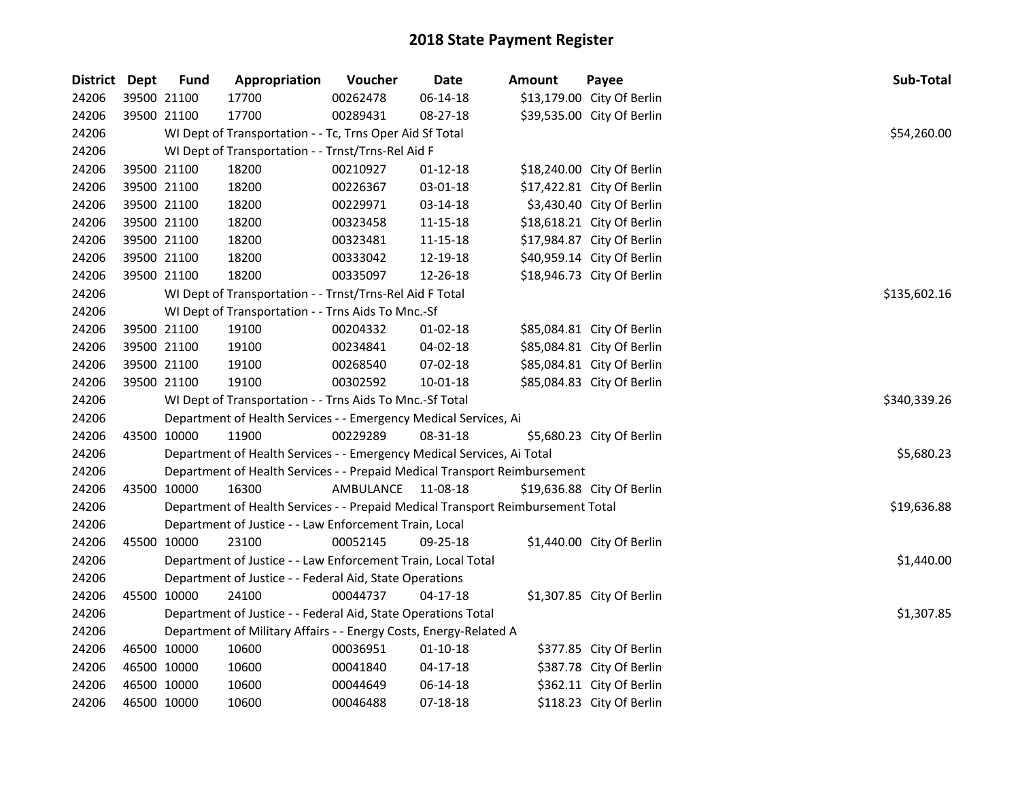| <b>District Dept</b> |             | <b>Fund</b> | Appropriation                                                                   | Voucher            | <b>Date</b>    | Amount | Payee                      | Sub-Total    |
|----------------------|-------------|-------------|---------------------------------------------------------------------------------|--------------------|----------------|--------|----------------------------|--------------|
| 24206                |             | 39500 21100 | 17700                                                                           | 00262478           | 06-14-18       |        | \$13,179.00 City Of Berlin |              |
| 24206                |             | 39500 21100 | 17700                                                                           | 00289431           | 08-27-18       |        | \$39,535.00 City Of Berlin |              |
| 24206                |             |             | WI Dept of Transportation - - Tc, Trns Oper Aid Sf Total                        |                    |                |        |                            | \$54,260.00  |
| 24206                |             |             | WI Dept of Transportation - - Trnst/Trns-Rel Aid F                              |                    |                |        |                            |              |
| 24206                |             | 39500 21100 | 18200                                                                           | 00210927           | $01 - 12 - 18$ |        | \$18,240.00 City Of Berlin |              |
| 24206                |             | 39500 21100 | 18200                                                                           | 00226367           | 03-01-18       |        | \$17,422.81 City Of Berlin |              |
| 24206                |             | 39500 21100 | 18200                                                                           | 00229971           | 03-14-18       |        | \$3,430.40 City Of Berlin  |              |
| 24206                |             | 39500 21100 | 18200                                                                           | 00323458           | 11-15-18       |        | \$18,618.21 City Of Berlin |              |
| 24206                |             | 39500 21100 | 18200                                                                           | 00323481           | 11-15-18       |        | \$17,984.87 City Of Berlin |              |
| 24206                |             | 39500 21100 | 18200                                                                           | 00333042           | 12-19-18       |        | \$40,959.14 City Of Berlin |              |
| 24206                |             | 39500 21100 | 18200                                                                           | 00335097           | 12-26-18       |        | \$18,946.73 City Of Berlin |              |
| 24206                |             |             | WI Dept of Transportation - - Trnst/Trns-Rel Aid F Total                        |                    |                |        |                            | \$135,602.16 |
| 24206                |             |             | WI Dept of Transportation - - Trns Aids To Mnc.-Sf                              |                    |                |        |                            |              |
| 24206                |             | 39500 21100 | 19100                                                                           | 00204332           | 01-02-18       |        | \$85,084.81 City Of Berlin |              |
| 24206                |             | 39500 21100 | 19100                                                                           | 00234841           | 04-02-18       |        | \$85,084.81 City Of Berlin |              |
| 24206                |             | 39500 21100 | 19100                                                                           | 00268540           | 07-02-18       |        | \$85,084.81 City Of Berlin |              |
| 24206                |             | 39500 21100 | 19100                                                                           | 00302592           | 10-01-18       |        | \$85,084.83 City Of Berlin |              |
| 24206                |             |             | WI Dept of Transportation - - Trns Aids To Mnc.-Sf Total                        |                    |                |        |                            | \$340,339.26 |
| 24206                |             |             | Department of Health Services - - Emergency Medical Services, Ai                |                    |                |        |                            |              |
| 24206                |             | 43500 10000 | 11900                                                                           | 00229289           | 08-31-18       |        | \$5,680.23 City Of Berlin  |              |
| 24206                |             |             | Department of Health Services - - Emergency Medical Services, Ai Total          |                    |                |        |                            | \$5,680.23   |
| 24206                |             |             | Department of Health Services - - Prepaid Medical Transport Reimbursement       |                    |                |        |                            |              |
| 24206                |             | 43500 10000 | 16300                                                                           | AMBULANCE 11-08-18 |                |        | \$19,636.88 City Of Berlin |              |
| 24206                |             |             | Department of Health Services - - Prepaid Medical Transport Reimbursement Total |                    |                |        |                            | \$19,636.88  |
| 24206                |             |             | Department of Justice - - Law Enforcement Train, Local                          |                    |                |        |                            |              |
| 24206                |             | 45500 10000 | 23100                                                                           | 00052145           | 09-25-18       |        | \$1,440.00 City Of Berlin  |              |
| 24206                |             |             | Department of Justice - - Law Enforcement Train, Local Total                    |                    |                |        |                            | \$1,440.00   |
| 24206                |             |             | Department of Justice - - Federal Aid, State Operations                         |                    |                |        |                            |              |
| 24206                |             | 45500 10000 | 24100                                                                           | 00044737           | 04-17-18       |        | \$1,307.85 City Of Berlin  |              |
| 24206                |             |             | Department of Justice - - Federal Aid, State Operations Total                   |                    |                |        |                            | \$1,307.85   |
| 24206                |             |             | Department of Military Affairs - - Energy Costs, Energy-Related A               |                    |                |        |                            |              |
| 24206                |             | 46500 10000 | 10600                                                                           | 00036951           | $01 - 10 - 18$ |        | \$377.85 City Of Berlin    |              |
| 24206                |             | 46500 10000 | 10600                                                                           | 00041840           | 04-17-18       |        | \$387.78 City Of Berlin    |              |
| 24206                |             | 46500 10000 | 10600                                                                           | 00044649           | 06-14-18       |        | \$362.11 City Of Berlin    |              |
| 24206                | 46500 10000 |             | 10600                                                                           | 00046488           | 07-18-18       |        | \$118.23 City Of Berlin    |              |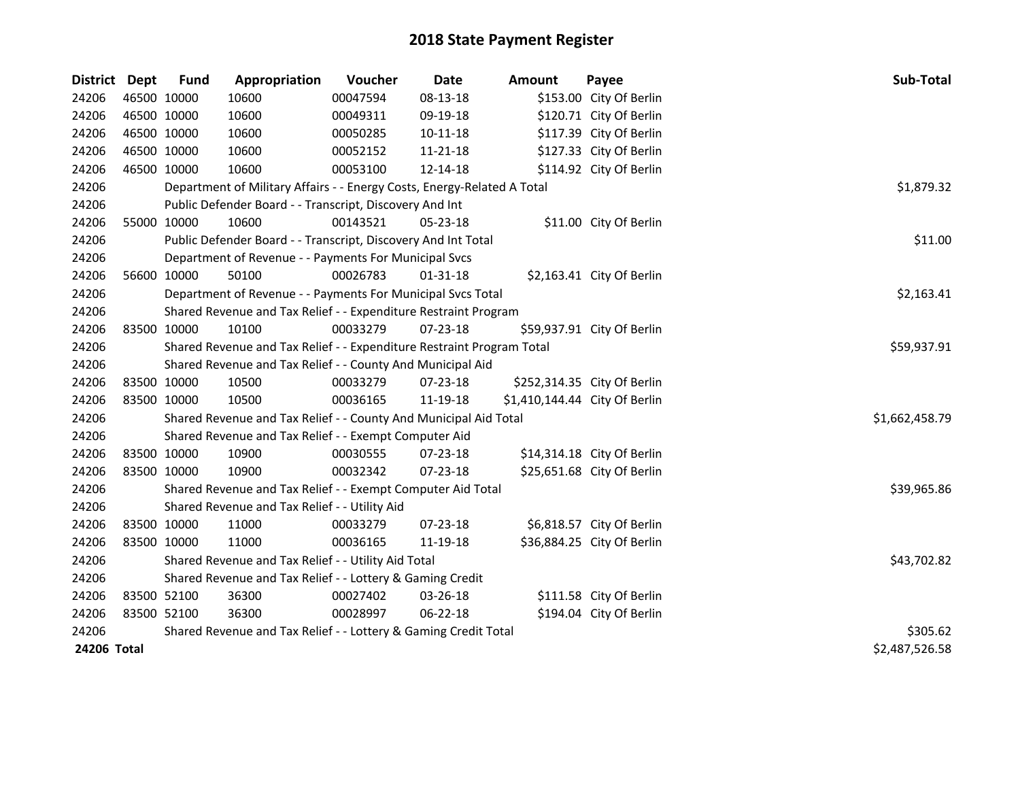| District Dept                 |             | <b>Fund</b> | Appropriation                                                           | Voucher     | Date           | <b>Amount</b>                 | Payee                       | Sub-Total      |  |
|-------------------------------|-------------|-------------|-------------------------------------------------------------------------|-------------|----------------|-------------------------------|-----------------------------|----------------|--|
| 24206                         | 46500 10000 |             | 10600                                                                   | 00047594    | 08-13-18       |                               | \$153.00 City Of Berlin     |                |  |
| 24206                         | 46500 10000 |             | 10600                                                                   | 00049311    | 09-19-18       |                               | \$120.71 City Of Berlin     |                |  |
| 24206                         | 46500 10000 |             | 10600                                                                   | 00050285    | 10-11-18       |                               | \$117.39 City Of Berlin     |                |  |
| 24206                         | 46500 10000 |             | 10600                                                                   | 00052152    | 11-21-18       |                               | \$127.33 City Of Berlin     |                |  |
| 24206                         | 46500 10000 |             | 10600                                                                   | 00053100    | 12-14-18       |                               | \$114.92 City Of Berlin     |                |  |
| 24206                         |             |             | Department of Military Affairs - - Energy Costs, Energy-Related A Total | \$1,879.32  |                |                               |                             |                |  |
| 24206                         |             |             | Public Defender Board - - Transcript, Discovery And Int                 |             |                |                               |                             |                |  |
| 24206                         | 55000 10000 |             | 10600                                                                   | 00143521    | $05 - 23 - 18$ |                               | \$11.00 City Of Berlin      |                |  |
| 24206                         |             |             | Public Defender Board - - Transcript, Discovery And Int Total           |             |                |                               |                             | \$11.00        |  |
| 24206                         |             |             | Department of Revenue - - Payments For Municipal Svcs                   |             |                |                               |                             |                |  |
| 24206                         | 56600 10000 |             | 50100                                                                   | 00026783    | 01-31-18       |                               | \$2,163.41 City Of Berlin   |                |  |
| 24206                         |             |             | Department of Revenue - - Payments For Municipal Svcs Total             |             |                |                               |                             | \$2,163.41     |  |
| 24206                         |             |             | Shared Revenue and Tax Relief - - Expenditure Restraint Program         |             |                |                               |                             |                |  |
| 24206                         | 83500 10000 |             | 10100                                                                   | 00033279    | 07-23-18       |                               | \$59,937.91 City Of Berlin  |                |  |
| 24206                         |             |             | Shared Revenue and Tax Relief - - Expenditure Restraint Program Total   | \$59,937.91 |                |                               |                             |                |  |
| 24206                         |             |             | Shared Revenue and Tax Relief - - County And Municipal Aid              |             |                |                               |                             |                |  |
| 24206                         | 83500 10000 |             | 10500                                                                   | 00033279    | $07 - 23 - 18$ |                               | \$252,314.35 City Of Berlin |                |  |
| 24206                         | 83500 10000 |             | 10500                                                                   | 00036165    | 11-19-18       | \$1,410,144.44 City Of Berlin |                             |                |  |
| 24206                         |             |             | Shared Revenue and Tax Relief - - County And Municipal Aid Total        |             |                |                               |                             | \$1,662,458.79 |  |
| 24206                         |             |             | Shared Revenue and Tax Relief - - Exempt Computer Aid                   |             |                |                               |                             |                |  |
| 24206                         | 83500 10000 |             | 10900                                                                   | 00030555    | 07-23-18       |                               | \$14,314.18 City Of Berlin  |                |  |
| 24206                         | 83500 10000 |             | 10900                                                                   | 00032342    | 07-23-18       |                               | \$25,651.68 City Of Berlin  |                |  |
| 24206                         |             |             | Shared Revenue and Tax Relief - - Exempt Computer Aid Total             |             |                |                               |                             | \$39,965.86    |  |
| 24206                         |             |             | Shared Revenue and Tax Relief - - Utility Aid                           |             |                |                               |                             |                |  |
| 24206                         | 83500 10000 |             | 11000                                                                   | 00033279    | $07 - 23 - 18$ |                               | \$6,818.57 City Of Berlin   |                |  |
| 24206                         | 83500 10000 |             | 11000                                                                   | 00036165    | 11-19-18       |                               | \$36,884.25 City Of Berlin  |                |  |
| 24206                         |             |             | Shared Revenue and Tax Relief - - Utility Aid Total                     |             |                |                               |                             | \$43,702.82    |  |
| 24206                         |             |             | Shared Revenue and Tax Relief - - Lottery & Gaming Credit               |             |                |                               |                             |                |  |
| 24206                         | 83500 52100 |             | 36300                                                                   | 00027402    | 03-26-18       |                               | \$111.58 City Of Berlin     |                |  |
| 24206                         | 83500 52100 |             | 36300                                                                   | 00028997    | 06-22-18       |                               | \$194.04 City Of Berlin     |                |  |
| 24206                         |             |             | Shared Revenue and Tax Relief - - Lottery & Gaming Credit Total         | \$305.62    |                |                               |                             |                |  |
| 24206 Total<br>\$2,487,526.58 |             |             |                                                                         |             |                |                               |                             |                |  |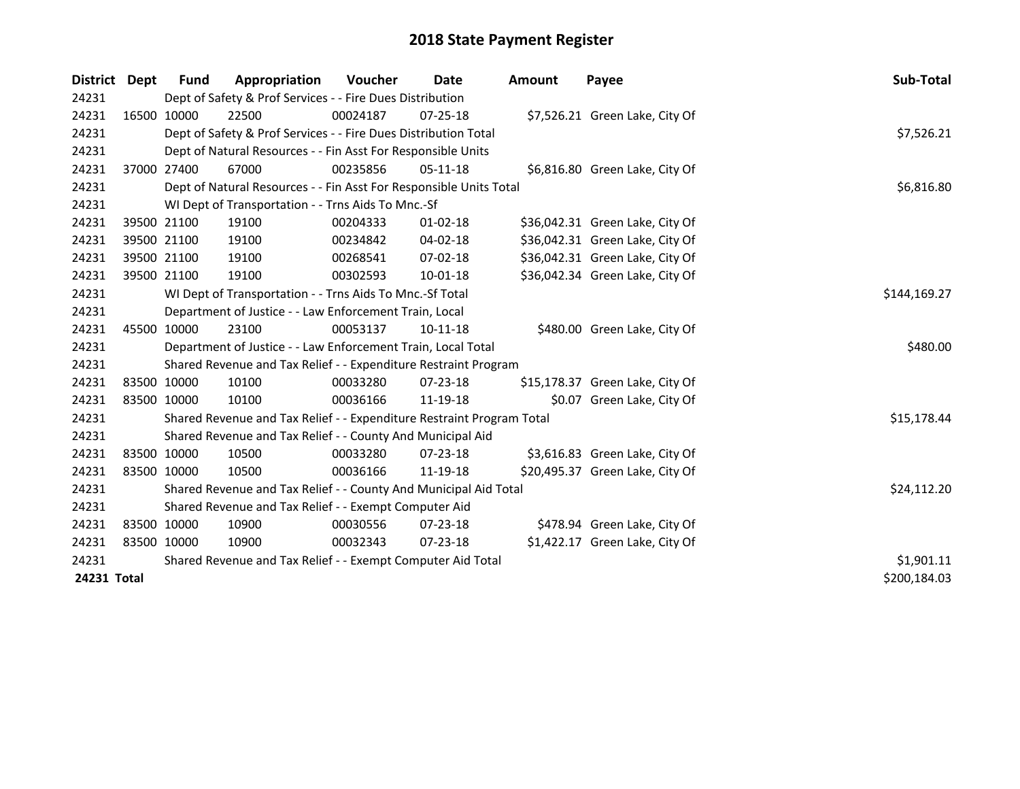| District Dept |             | Fund        | Appropriation                                                         | <b>Voucher</b> | Date           | <b>Amount</b> | Payee                           | Sub-Total    |
|---------------|-------------|-------------|-----------------------------------------------------------------------|----------------|----------------|---------------|---------------------------------|--------------|
| 24231         |             |             | Dept of Safety & Prof Services - - Fire Dues Distribution             |                |                |               |                                 |              |
| 24231         |             | 16500 10000 | 22500                                                                 | 00024187       | $07 - 25 - 18$ |               | \$7,526.21 Green Lake, City Of  |              |
| 24231         |             |             | Dept of Safety & Prof Services - - Fire Dues Distribution Total       |                |                |               |                                 | \$7,526.21   |
| 24231         |             |             | Dept of Natural Resources - - Fin Asst For Responsible Units          |                |                |               |                                 |              |
| 24231         |             | 37000 27400 | 67000                                                                 | 00235856       | $05 - 11 - 18$ |               | \$6,816.80 Green Lake, City Of  |              |
| 24231         |             |             | Dept of Natural Resources - - Fin Asst For Responsible Units Total    | \$6,816.80     |                |               |                                 |              |
| 24231         |             |             | WI Dept of Transportation - - Trns Aids To Mnc.-Sf                    |                |                |               |                                 |              |
| 24231         |             | 39500 21100 | 19100                                                                 | 00204333       | 01-02-18       |               | \$36,042.31 Green Lake, City Of |              |
| 24231         |             | 39500 21100 | 19100                                                                 | 00234842       | $04 - 02 - 18$ |               | \$36,042.31 Green Lake, City Of |              |
| 24231         |             | 39500 21100 | 19100                                                                 | 00268541       | $07 - 02 - 18$ |               | \$36,042.31 Green Lake, City Of |              |
| 24231         |             | 39500 21100 | 19100                                                                 | 00302593       | 10-01-18       |               | \$36,042.34 Green Lake, City Of |              |
| 24231         |             |             | WI Dept of Transportation - - Trns Aids To Mnc.-Sf Total              |                |                |               |                                 | \$144,169.27 |
| 24231         |             |             | Department of Justice - - Law Enforcement Train, Local                |                |                |               |                                 |              |
| 24231         |             | 45500 10000 | 23100                                                                 | 00053137       | 10-11-18       |               | \$480.00 Green Lake, City Of    |              |
| 24231         |             |             | Department of Justice - - Law Enforcement Train, Local Total          |                |                |               |                                 | \$480.00     |
| 24231         |             |             | Shared Revenue and Tax Relief - - Expenditure Restraint Program       |                |                |               |                                 |              |
| 24231         |             | 83500 10000 | 10100                                                                 | 00033280       | $07 - 23 - 18$ |               | \$15,178.37 Green Lake, City Of |              |
| 24231         |             | 83500 10000 | 10100                                                                 | 00036166       | 11-19-18       |               | \$0.07 Green Lake, City Of      |              |
| 24231         |             |             | Shared Revenue and Tax Relief - - Expenditure Restraint Program Total |                |                |               |                                 | \$15,178.44  |
| 24231         |             |             | Shared Revenue and Tax Relief - - County And Municipal Aid            |                |                |               |                                 |              |
| 24231         |             | 83500 10000 | 10500                                                                 | 00033280       | $07 - 23 - 18$ |               | \$3,616.83 Green Lake, City Of  |              |
| 24231         | 83500 10000 |             | 10500                                                                 | 00036166       | 11-19-18       |               | \$20,495.37 Green Lake, City Of |              |
| 24231         |             |             | Shared Revenue and Tax Relief - - County And Municipal Aid Total      |                |                |               |                                 | \$24,112.20  |
| 24231         |             |             | Shared Revenue and Tax Relief - - Exempt Computer Aid                 |                |                |               |                                 |              |
| 24231         |             | 83500 10000 | 10900                                                                 | 00030556       | $07 - 23 - 18$ |               | \$478.94 Green Lake, City Of    |              |
| 24231         |             | 83500 10000 | 10900                                                                 | 00032343       | 07-23-18       |               | \$1,422.17 Green Lake, City Of  |              |
| 24231         |             |             | Shared Revenue and Tax Relief - - Exempt Computer Aid Total           | \$1,901.11     |                |               |                                 |              |
| 24231 Total   |             |             |                                                                       |                |                |               |                                 | \$200,184.03 |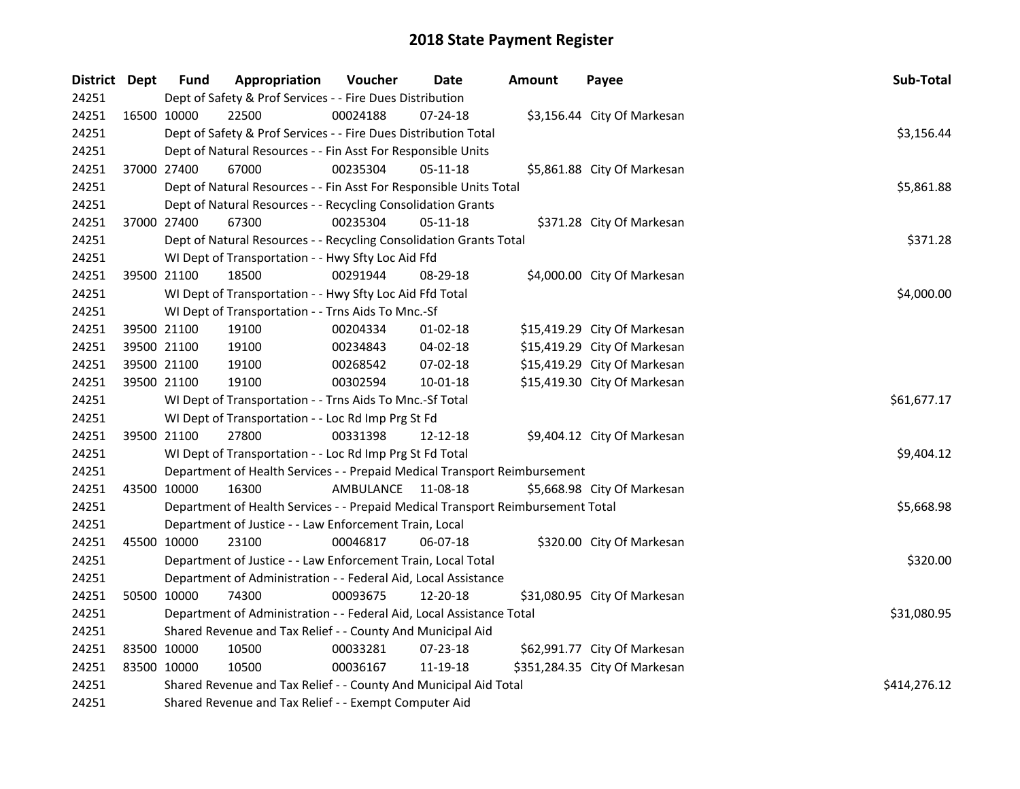| District Dept | <b>Fund</b> | Appropriation                                                                   | Voucher            | Date           | <b>Amount</b> | Payee                         | Sub-Total   |
|---------------|-------------|---------------------------------------------------------------------------------|--------------------|----------------|---------------|-------------------------------|-------------|
| 24251         |             | Dept of Safety & Prof Services - - Fire Dues Distribution                       |                    |                |               |                               |             |
| 24251         | 16500 10000 | 22500                                                                           | 00024188           | $07 - 24 - 18$ |               | \$3,156.44 City Of Markesan   |             |
| 24251         |             | Dept of Safety & Prof Services - - Fire Dues Distribution Total                 |                    |                |               |                               | \$3,156.44  |
| 24251         |             | Dept of Natural Resources - - Fin Asst For Responsible Units                    |                    |                |               |                               |             |
| 24251         | 37000 27400 | 67000                                                                           | 00235304           | 05-11-18       |               | \$5,861.88 City Of Markesan   |             |
| 24251         |             | Dept of Natural Resources - - Fin Asst For Responsible Units Total              |                    |                |               |                               | \$5,861.88  |
| 24251         |             | Dept of Natural Resources - - Recycling Consolidation Grants                    |                    |                |               |                               |             |
| 24251         | 37000 27400 | 67300                                                                           | 00235304           | 05-11-18       |               | \$371.28 City Of Markesan     |             |
| 24251         |             | Dept of Natural Resources - - Recycling Consolidation Grants Total              |                    |                |               |                               | \$371.28    |
| 24251         |             | WI Dept of Transportation - - Hwy Sfty Loc Aid Ffd                              |                    |                |               |                               |             |
| 24251         | 39500 21100 | 18500                                                                           | 00291944           | 08-29-18       |               | \$4,000.00 City Of Markesan   |             |
| 24251         |             | WI Dept of Transportation - - Hwy Sfty Loc Aid Ffd Total                        |                    |                |               |                               | \$4,000.00  |
| 24251         |             | WI Dept of Transportation - - Trns Aids To Mnc.-Sf                              |                    |                |               |                               |             |
| 24251         | 39500 21100 | 19100                                                                           | 00204334           | $01-02-18$     |               | \$15,419.29 City Of Markesan  |             |
| 24251         | 39500 21100 | 19100                                                                           | 00234843           | 04-02-18       |               | \$15,419.29 City Of Markesan  |             |
| 24251         | 39500 21100 | 19100                                                                           | 00268542           | 07-02-18       |               | \$15,419.29 City Of Markesan  |             |
| 24251         | 39500 21100 | 19100                                                                           | 00302594           | 10-01-18       |               | \$15,419.30 City Of Markesan  |             |
| 24251         |             | WI Dept of Transportation - - Trns Aids To Mnc.-Sf Total                        |                    |                |               |                               | \$61,677.17 |
| 24251         |             | WI Dept of Transportation - - Loc Rd Imp Prg St Fd                              |                    |                |               |                               |             |
| 24251         | 39500 21100 | 27800                                                                           | 00331398           | 12-12-18       |               | \$9,404.12 City Of Markesan   |             |
| 24251         |             | WI Dept of Transportation - - Loc Rd Imp Prg St Fd Total                        |                    |                |               |                               | \$9,404.12  |
| 24251         |             | Department of Health Services - - Prepaid Medical Transport Reimbursement       |                    |                |               |                               |             |
| 24251         | 43500 10000 | 16300                                                                           | AMBULANCE 11-08-18 |                |               | \$5,668.98 City Of Markesan   |             |
| 24251         |             | Department of Health Services - - Prepaid Medical Transport Reimbursement Total |                    |                |               |                               | \$5,668.98  |
| 24251         |             | Department of Justice - - Law Enforcement Train, Local                          |                    |                |               |                               |             |
| 24251         | 45500 10000 | 23100                                                                           | 00046817           | 06-07-18       |               | \$320.00 City Of Markesan     |             |
| 24251         |             | Department of Justice - - Law Enforcement Train, Local Total                    |                    |                |               |                               | \$320.00    |
| 24251         |             | Department of Administration - - Federal Aid, Local Assistance                  |                    |                |               |                               |             |
| 24251         | 50500 10000 | 74300                                                                           | 00093675           | 12-20-18       |               | \$31,080.95 City Of Markesan  |             |
| 24251         |             | Department of Administration - - Federal Aid, Local Assistance Total            |                    |                |               |                               | \$31,080.95 |
| 24251         |             | Shared Revenue and Tax Relief - - County And Municipal Aid                      |                    |                |               |                               |             |
| 24251         | 83500 10000 | 10500                                                                           | 00033281           | 07-23-18       |               | \$62,991.77 City Of Markesan  |             |
| 24251         | 83500 10000 | 10500                                                                           | 00036167           | 11-19-18       |               | \$351,284.35 City Of Markesan |             |
| 24251         |             | Shared Revenue and Tax Relief - - County And Municipal Aid Total                | \$414,276.12       |                |               |                               |             |
| 24251         |             | Shared Revenue and Tax Relief - - Exempt Computer Aid                           |                    |                |               |                               |             |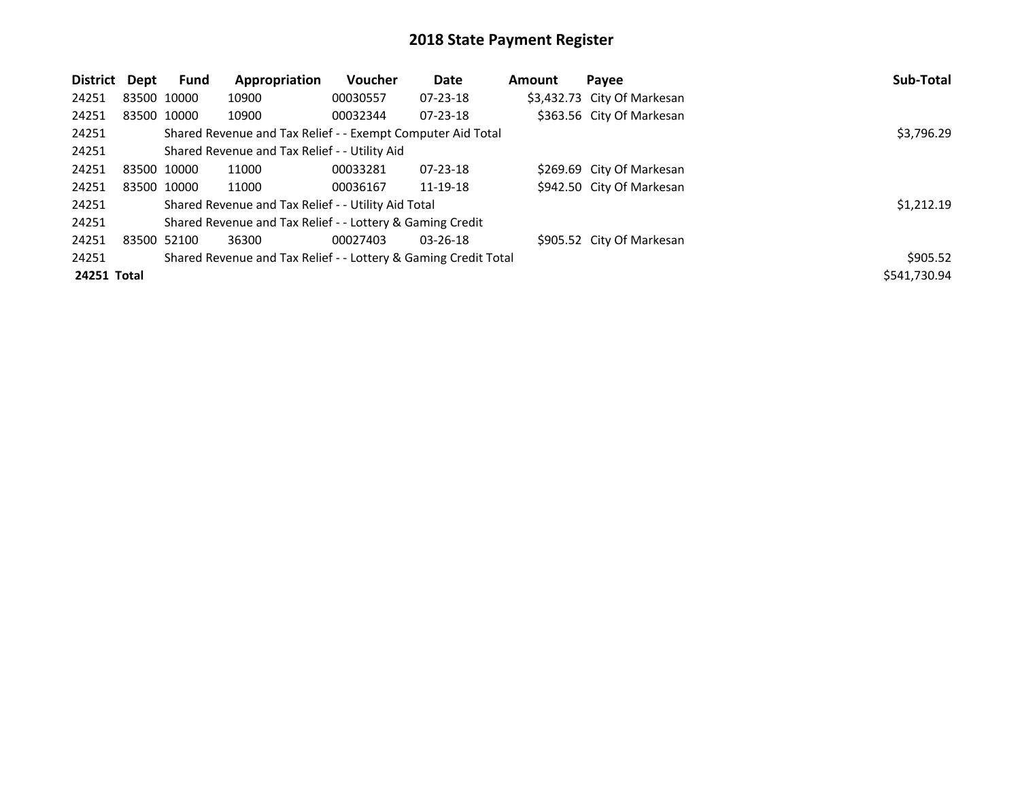| District    | Dept | <b>Fund</b>                                                 | Appropriation                                                   | <b>Voucher</b> | Date           | <b>Amount</b> | Payee                       | Sub-Total    |
|-------------|------|-------------------------------------------------------------|-----------------------------------------------------------------|----------------|----------------|---------------|-----------------------------|--------------|
| 24251       |      | 83500 10000                                                 | 10900                                                           | 00030557       | $07 - 23 - 18$ |               | \$3,432.73 City Of Markesan |              |
| 24251       |      | 83500 10000                                                 | 10900                                                           | 00032344       | $07 - 23 - 18$ |               | \$363.56 City Of Markesan   |              |
| 24251       |      | Shared Revenue and Tax Relief - - Exempt Computer Aid Total | \$3,796.29                                                      |                |                |               |                             |              |
| 24251       |      | Shared Revenue and Tax Relief - - Utility Aid               |                                                                 |                |                |               |                             |              |
| 24251       |      | 83500 10000                                                 | 11000                                                           | 00033281       | 07-23-18       |               | \$269.69 City Of Markesan   |              |
| 24251       |      | 83500 10000                                                 | 11000                                                           | 00036167       | 11-19-18       |               | \$942.50 City Of Markesan   |              |
| 24251       |      | Shared Revenue and Tax Relief - - Utility Aid Total         | \$1,212.19                                                      |                |                |               |                             |              |
| 24251       |      | Shared Revenue and Tax Relief - - Lottery & Gaming Credit   |                                                                 |                |                |               |                             |              |
| 24251       |      | 83500 52100                                                 | 36300                                                           | 00027403       | $03 - 26 - 18$ |               | \$905.52 City Of Markesan   |              |
| 24251       |      |                                                             | Shared Revenue and Tax Relief - - Lottery & Gaming Credit Total |                |                |               |                             | \$905.52     |
| 24251 Total |      |                                                             |                                                                 |                |                |               |                             | \$541,730.94 |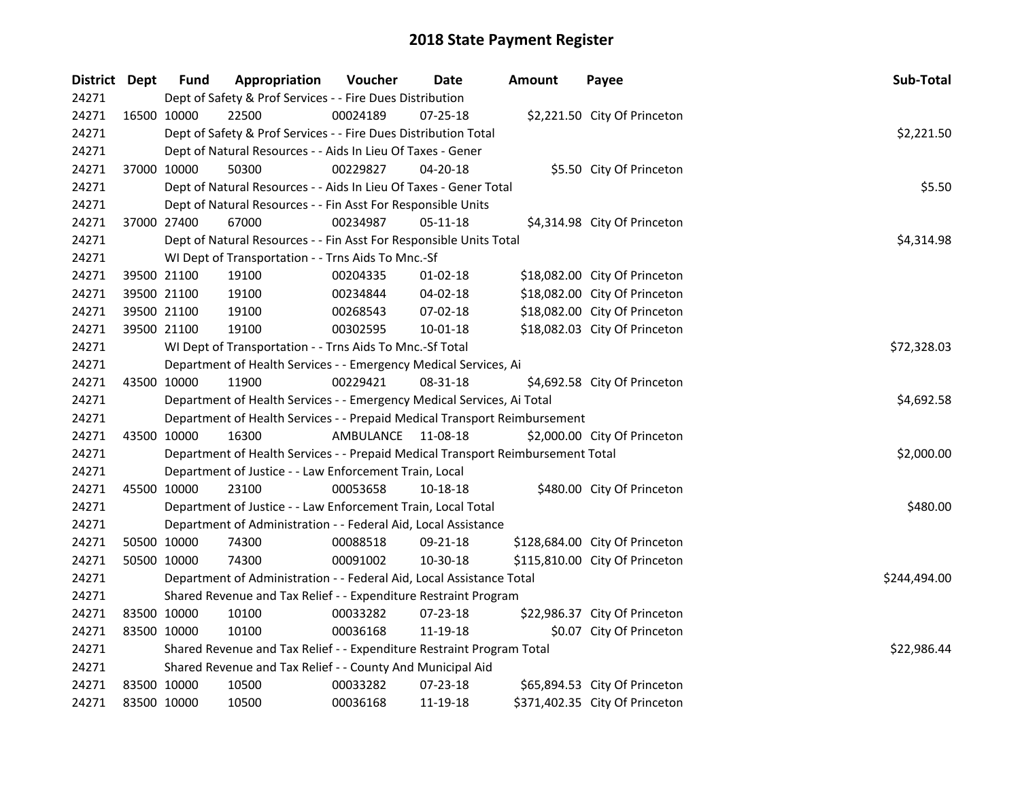| District Dept |             | <b>Fund</b>                                                                     | Appropriation                                                             | Voucher            | <b>Date</b>    | <b>Amount</b> | Payee                          | Sub-Total   |
|---------------|-------------|---------------------------------------------------------------------------------|---------------------------------------------------------------------------|--------------------|----------------|---------------|--------------------------------|-------------|
| 24271         |             | Dept of Safety & Prof Services - - Fire Dues Distribution                       |                                                                           |                    |                |               |                                |             |
| 24271         | 16500 10000 |                                                                                 | 22500                                                                     | 00024189           | $07 - 25 - 18$ |               | \$2,221.50 City Of Princeton   |             |
| 24271         |             | Dept of Safety & Prof Services - - Fire Dues Distribution Total                 | \$2,221.50                                                                |                    |                |               |                                |             |
| 24271         |             | Dept of Natural Resources - - Aids In Lieu Of Taxes - Gener                     |                                                                           |                    |                |               |                                |             |
| 24271         | 37000 10000 |                                                                                 | 50300                                                                     | 00229827           | $04 - 20 - 18$ |               | \$5.50 City Of Princeton       |             |
| 24271         |             | Dept of Natural Resources - - Aids In Lieu Of Taxes - Gener Total               | \$5.50                                                                    |                    |                |               |                                |             |
| 24271         |             |                                                                                 | Dept of Natural Resources - - Fin Asst For Responsible Units              |                    |                |               |                                |             |
| 24271         |             | 37000 27400                                                                     | 67000                                                                     | 00234987           | $05 - 11 - 18$ |               | \$4,314.98 City Of Princeton   |             |
| 24271         |             |                                                                                 | Dept of Natural Resources - - Fin Asst For Responsible Units Total        |                    |                |               |                                | \$4,314.98  |
| 24271         |             |                                                                                 | WI Dept of Transportation - - Trns Aids To Mnc.-Sf                        |                    |                |               |                                |             |
| 24271         |             | 39500 21100                                                                     | 19100                                                                     | 00204335           | $01 - 02 - 18$ |               | \$18,082.00 City Of Princeton  |             |
| 24271         |             | 39500 21100                                                                     | 19100                                                                     | 00234844           | 04-02-18       |               | \$18,082.00 City Of Princeton  |             |
| 24271         |             | 39500 21100                                                                     | 19100                                                                     | 00268543           | 07-02-18       |               | \$18,082.00 City Of Princeton  |             |
| 24271         | 39500 21100 |                                                                                 | 19100                                                                     | 00302595           | $10 - 01 - 18$ |               | \$18,082.03 City Of Princeton  |             |
| 24271         |             |                                                                                 | WI Dept of Transportation - - Trns Aids To Mnc.-Sf Total                  |                    |                |               |                                | \$72,328.03 |
| 24271         |             | Department of Health Services - - Emergency Medical Services, Ai                |                                                                           |                    |                |               |                                |             |
| 24271         | 43500 10000 |                                                                                 | 11900                                                                     | 00229421           | 08-31-18       |               | \$4,692.58 City Of Princeton   |             |
| 24271         |             |                                                                                 | Department of Health Services - - Emergency Medical Services, Ai Total    |                    |                |               |                                | \$4,692.58  |
| 24271         |             |                                                                                 | Department of Health Services - - Prepaid Medical Transport Reimbursement |                    |                |               |                                |             |
| 24271         | 43500 10000 |                                                                                 | 16300                                                                     | AMBULANCE 11-08-18 |                |               | \$2,000.00 City Of Princeton   |             |
| 24271         |             | Department of Health Services - - Prepaid Medical Transport Reimbursement Total | \$2,000.00                                                                |                    |                |               |                                |             |
| 24271         |             | Department of Justice - - Law Enforcement Train, Local                          |                                                                           |                    |                |               |                                |             |
| 24271         | 45500 10000 |                                                                                 | 23100                                                                     | 00053658           | 10-18-18       |               | \$480.00 City Of Princeton     |             |
| 24271         |             | Department of Justice - - Law Enforcement Train, Local Total                    | \$480.00                                                                  |                    |                |               |                                |             |
| 24271         |             | Department of Administration - - Federal Aid, Local Assistance                  |                                                                           |                    |                |               |                                |             |
| 24271         | 50500 10000 |                                                                                 | 74300                                                                     | 00088518           | 09-21-18       |               | \$128,684.00 City Of Princeton |             |
| 24271         | 50500 10000 |                                                                                 | 74300                                                                     | 00091002           | 10-30-18       |               | \$115,810.00 City Of Princeton |             |
| 24271         |             | Department of Administration - - Federal Aid, Local Assistance Total            | \$244,494.00                                                              |                    |                |               |                                |             |
| 24271         |             | Shared Revenue and Tax Relief - - Expenditure Restraint Program                 |                                                                           |                    |                |               |                                |             |
| 24271         | 83500 10000 |                                                                                 | 10100                                                                     | 00033282           | 07-23-18       |               | \$22,986.37 City Of Princeton  |             |
| 24271         | 83500 10000 |                                                                                 | 10100                                                                     | 00036168           | 11-19-18       |               | \$0.07 City Of Princeton       |             |
| 24271         |             | Shared Revenue and Tax Relief - - Expenditure Restraint Program Total           | \$22,986.44                                                               |                    |                |               |                                |             |
| 24271         |             | Shared Revenue and Tax Relief - - County And Municipal Aid                      |                                                                           |                    |                |               |                                |             |
| 24271         | 83500 10000 |                                                                                 | 10500                                                                     | 00033282           | 07-23-18       |               | \$65,894.53 City Of Princeton  |             |
| 24271         | 83500 10000 |                                                                                 | 10500                                                                     | 00036168           | 11-19-18       |               | \$371,402.35 City Of Princeton |             |